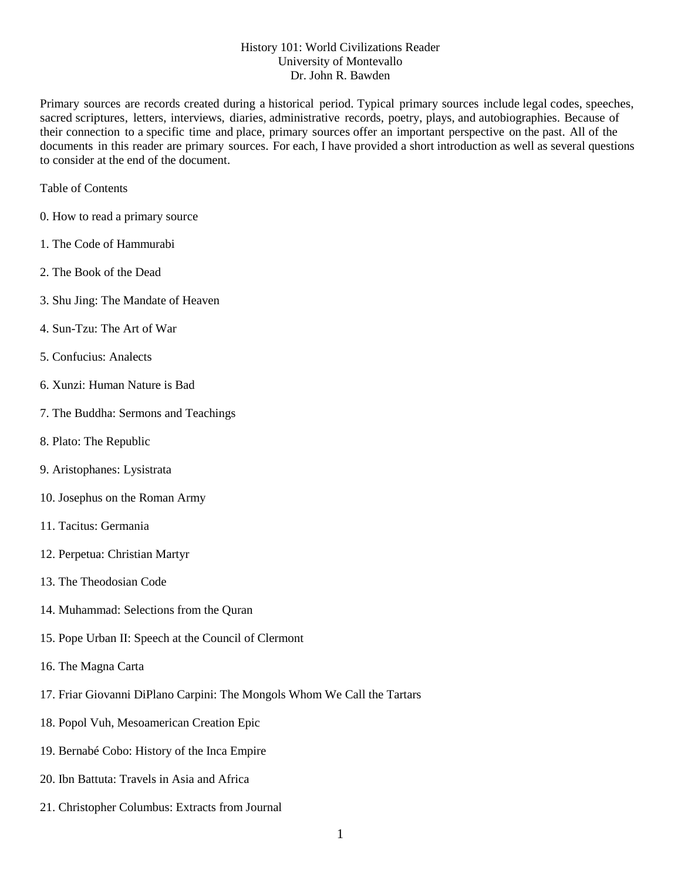## History 101: World Civilizations Reader University of Montevallo Dr. John R. Bawden

Primary sources are records created during a historical period. Typical primary sources include legal codes, speeches, sacred scriptures, letters, interviews, diaries, administrative records, poetry, plays, and autobiographies. Because of their connection to a specific time and place, primary sources offer an important perspective on the past. All of the documents in this reader are primary sources. For each, I have provided a short introduction as well as several questions to consider at the end of the document.

Table of Contents

- 0. How to read a primary source
- 1. The Code of Hammurabi
- 2. The Book of the Dead
- 3. Shu Jing: The Mandate of Heaven
- 4. Sun-Tzu: The Art of War
- 5. Confucius: Analects
- 6. Xunzi: Human Nature is Bad
- 7. The Buddha: Sermons and Teachings
- 8. Plato: The Republic
- 9. Aristophanes: Lysistrata
- 10. Josephus on the Roman Army
- 11. Tacitus: Germania
- 12. Perpetua: Christian Martyr
- 13. The Theodosian Code
- 14. Muhammad: Selections from the Quran
- 15. Pope Urban II: Speech at the Council of Clermont
- 16. The Magna Carta
- 17. Friar Giovanni DiPlano Carpini: The Mongols Whom We Call the Tartars
- 18. Popol Vuh, Mesoamerican Creation Epic
- 19. Bernabé Cobo: History of the Inca Empire
- 20. Ibn Battuta: Travels in Asia and Africa
- 21. Christopher Columbus: Extracts from Journal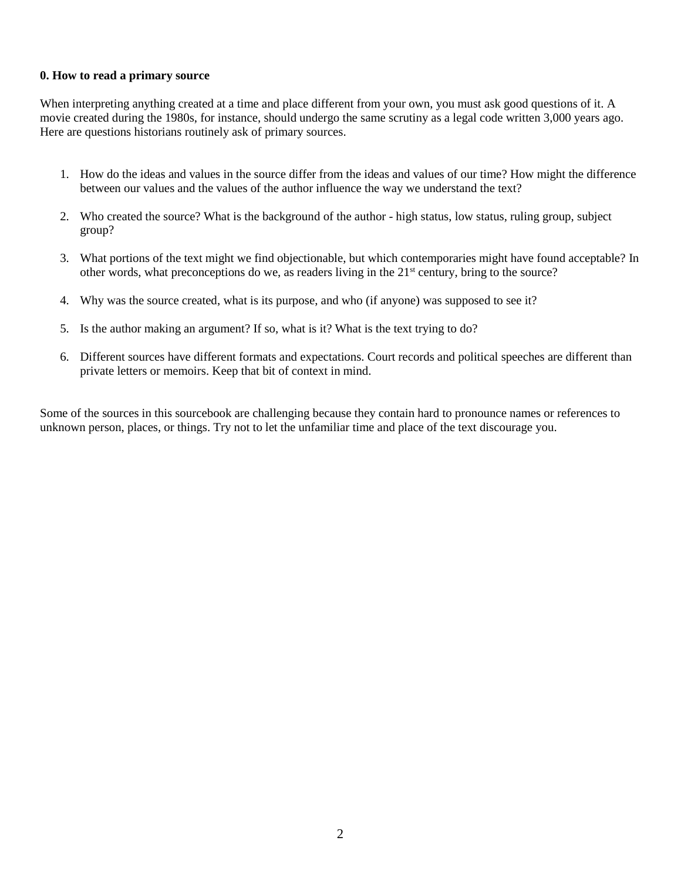#### **0. How to read a primary source**

When interpreting anything created at a time and place different from your own, you must ask good questions of it. A movie created during the 1980s, for instance, should undergo the same scrutiny as a legal code written 3,000 years ago. Here are questions historians routinely ask of primary sources.

- 1. How do the ideas and values in the source differ from the ideas and values of our time? How might the difference between our values and the values of the author influence the way we understand the text?
- 2. Who created the source? What is the background of the author high status, low status, ruling group, subject group?
- 3. What portions of the text might we find objectionable, but which contemporaries might have found acceptable? In other words, what preconceptions do we, as readers living in the  $21<sup>st</sup>$  century, bring to the source?
- 4. Why was the source created, what is its purpose, and who (if anyone) was supposed to see it?
- 5. Is the author making an argument? If so, what is it? What is the text trying to do?
- 6. Different sources have different formats and expectations. Court records and political speeches are different than private letters or memoirs. Keep that bit of context in mind.

Some of the sources in this sourcebook are challenging because they contain hard to pronounce names or references to unknown person, places, or things. Try not to let the unfamiliar time and place of the text discourage you.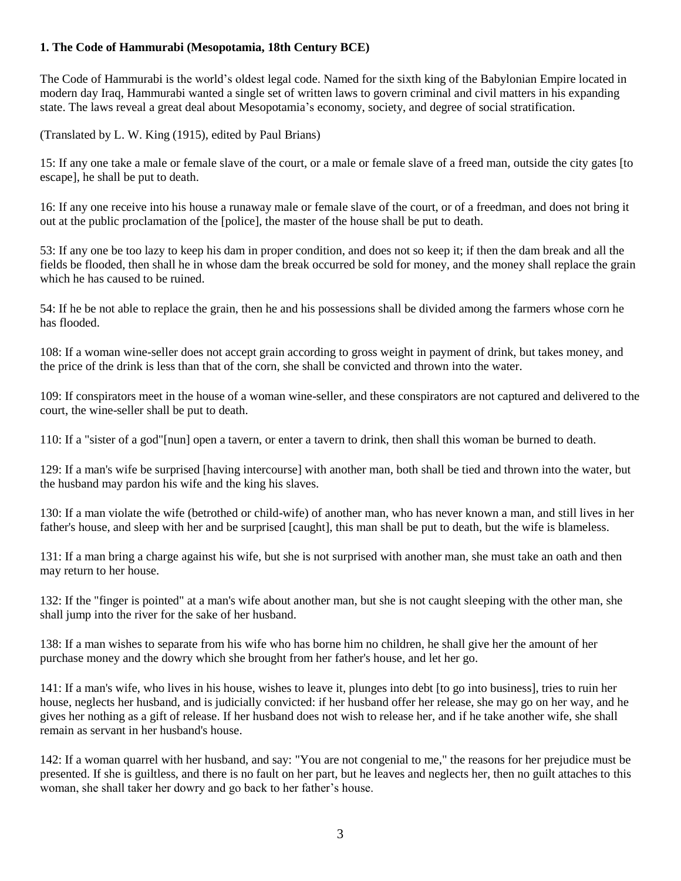## **1. The Code of Hammurabi (Mesopotamia, 18th Century BCE)**

The Code of Hammurabi is the world's oldest legal code. Named for the sixth king of the Babylonian Empire located in modern day Iraq, Hammurabi wanted a single set of written laws to govern criminal and civil matters in his expanding state. The laws reveal a great deal about Mesopotamia's economy, society, and degree of social stratification.

(Translated by L. W. King (1915), edited by Paul Brians)

15: If any one take a male or female slave of the court, or a male or female slave of a freed man, outside the city gates [to escape], he shall be put to death.

16: If any one receive into his house a runaway male or female slave of the court, or of a freedman, and does not bring it out at the public proclamation of the [police], the master of the house shall be put to death.

53: If any one be too lazy to keep his dam in proper condition, and does not so keep it; if then the dam break and all the fields be flooded, then shall he in whose dam the break occurred be sold for money, and the money shall replace the grain which he has caused to be ruined.

54: If he be not able to replace the grain, then he and his possessions shall be divided among the farmers whose corn he has flooded.

108: If a woman wine-seller does not accept grain according to gross weight in payment of drink, but takes money, and the price of the drink is less than that of the corn, she shall be convicted and thrown into the water.

109: If conspirators meet in the house of a woman wine-seller, and these conspirators are not captured and delivered to the court, the wine-seller shall be put to death.

110: If a "sister of a god"[nun] open a tavern, or enter a tavern to drink, then shall this woman be burned to death.

129: If a man's wife be surprised [having intercourse] with another man, both shall be tied and thrown into the water, but the husband may pardon his wife and the king his slaves.

130: If a man violate the wife (betrothed or child-wife) of another man, who has never known a man, and still lives in her father's house, and sleep with her and be surprised [caught], this man shall be put to death, but the wife is blameless.

131: If a man bring a charge against his wife, but she is not surprised with another man, she must take an oath and then may return to her house.

132: If the "finger is pointed" at a man's wife about another man, but she is not caught sleeping with the other man, she shall jump into the river for the sake of her husband.

138: If a man wishes to separate from his wife who has borne him no children, he shall give her the amount of her purchase money and the dowry which she brought from her father's house, and let her go.

141: If a man's wife, who lives in his house, wishes to leave it, plunges into debt [to go into business], tries to ruin her house, neglects her husband, and is judicially convicted: if her husband offer her release, she may go on her way, and he gives her nothing as a gift of release. If her husband does not wish to release her, and if he take another wife, she shall remain as servant in her husband's house.

142: If a woman quarrel with her husband, and say: "You are not congenial to me," the reasons for her prejudice must be presented. If she is guiltless, and there is no fault on her part, but he leaves and neglects her, then no guilt attaches to this woman, she shall taker her dowry and go back to her father's house.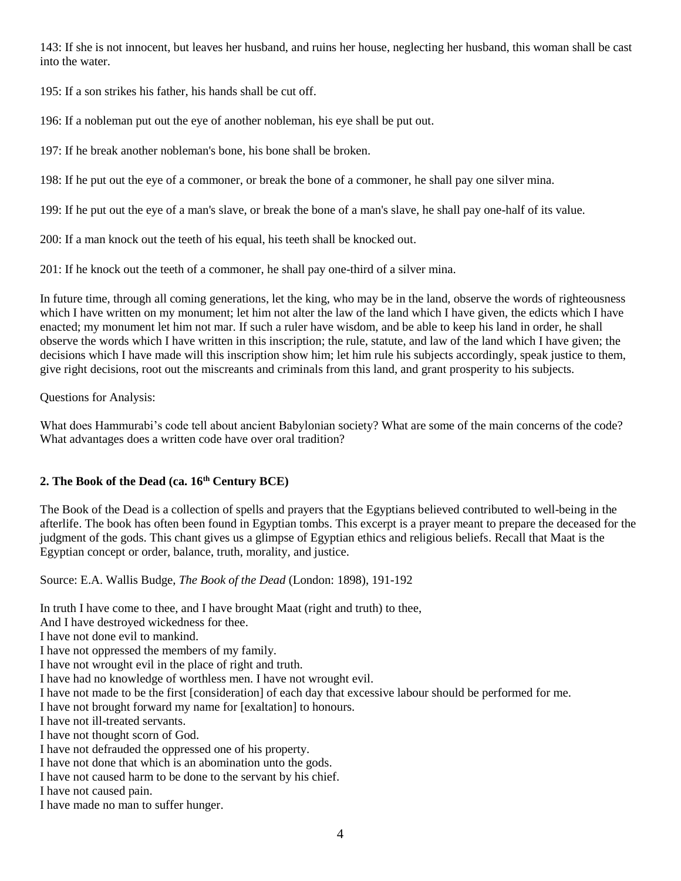143: If she is not innocent, but leaves her husband, and ruins her house, neglecting her husband, this woman shall be cast into the water.

195: If a son strikes his father, his hands shall be cut off.

196: If a nobleman put out the eye of another nobleman, his eye shall be put out.

197: If he break another nobleman's bone, his bone shall be broken.

198: If he put out the eye of a commoner, or break the bone of a commoner, he shall pay one silver mina.

199: If he put out the eye of a man's slave, or break the bone of a man's slave, he shall pay one-half of its value.

200: If a man knock out the teeth of his equal, his teeth shall be knocked out.

201: If he knock out the teeth of a commoner, he shall pay one-third of a silver mina.

In future time, through all coming generations, let the king, who may be in the land, observe the words of righteousness which I have written on my monument; let him not alter the law of the land which I have given, the edicts which I have enacted; my monument let him not mar. If such a ruler have wisdom, and be able to keep his land in order, he shall observe the words which I have written in this inscription; the rule, statute, and law of the land which I have given; the decisions which I have made will this inscription show him; let him rule his subjects accordingly, speak justice to them, give right decisions, root out the miscreants and criminals from this land, and grant prosperity to his subjects.

Questions for Analysis:

What does Hammurabi's code tell about ancient Babylonian society? What are some of the main concerns of the code? What advantages does a written code have over oral tradition?

# **2. The Book of the Dead (ca. 16th Century BCE)**

The Book of the Dead is a collection of spells and prayers that the Egyptians believed contributed to well-being in the afterlife. The book has often been found in Egyptian tombs. This excerpt is a prayer meant to prepare the deceased for the judgment of the gods. This chant gives us a glimpse of Egyptian ethics and religious beliefs. Recall that Maat is the Egyptian concept or order, balance, truth, morality, and justice.

Source: E.A. Wallis Budge, *The Book of the Dead* (London: 1898), 191-192

In truth I have come to thee, and I have brought Maat (right and truth) to thee,

And I have destroyed wickedness for thee.

I have not done evil to mankind.

I have not oppressed the members of my family.

I have not wrought evil in the place of right and truth.

I have had no knowledge of worthless men. I have not wrought evil.

I have not made to be the first [consideration] of each day that excessive labour should be performed for me.

I have not brought forward my name for [exaltation] to honours.

I have not ill-treated servants.

I have not thought scorn of God.

I have not defrauded the oppressed one of his property.

I have not done that which is an abomination unto the gods.

I have not caused harm to be done to the servant by his chief.

I have not caused pain.

I have made no man to suffer hunger.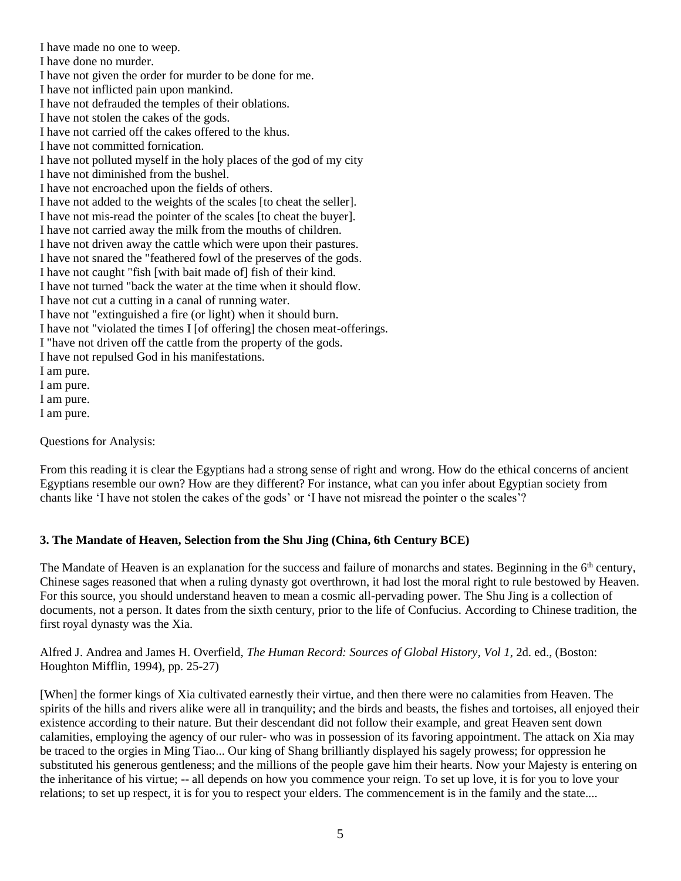I have done no murder. I have not given the order for murder to be done for me. I have not inflicted pain upon mankind. I have not defrauded the temples of their oblations. I have not stolen the cakes of the gods. I have not carried off the cakes offered to the khus. I have not committed fornication. I have not polluted myself in the holy places of the god of my city I have not diminished from the bushel. I have not encroached upon the fields of others. I have not added to the weights of the scales [to cheat the seller]. I have not mis-read the pointer of the scales [to cheat the buyer]. I have not carried away the milk from the mouths of children. I have not driven away the cattle which were upon their pastures. I have not snared the "feathered fowl of the preserves of the gods. I have not caught "fish [with bait made of] fish of their kind. I have not turned "back the water at the time when it should flow. I have not cut a cutting in a canal of running water. I have not "extinguished a fire (or light) when it should burn. I have not "violated the times I [of offering] the chosen meat-offerings. I "have not driven off the cattle from the property of the gods. I have not repulsed God in his manifestations. I am pure. I am pure. I am pure.

I am pure.

Questions for Analysis:

I have made no one to weep.

From this reading it is clear the Egyptians had a strong sense of right and wrong. How do the ethical concerns of ancient Egyptians resemble our own? How are they different? For instance, what can you infer about Egyptian society from chants like 'I have not stolen the cakes of the gods' or 'I have not misread the pointer o the scales'?

## **3. The Mandate of Heaven, Selection from the Shu Jing (China, 6th Century BCE)**

The Mandate of Heaven is an explanation for the success and failure of monarchs and states. Beginning in the 6<sup>th</sup> century, Chinese sages reasoned that when a ruling dynasty got overthrown, it had lost the moral right to rule bestowed by Heaven. For this source, you should understand heaven to mean a cosmic all-pervading power. The Shu Jing is a collection of documents, not a person. It dates from the sixth century, prior to the life of Confucius. According to Chinese tradition, the first royal dynasty was the Xia.

Alfred J. Andrea and James H. Overfield, *The Human Record: Sources of Global History*, *Vol 1*, 2d. ed., (Boston: Houghton Mifflin, 1994), pp. 25-27)

[When] the former kings of Xia cultivated earnestly their virtue, and then there were no calamities from Heaven. The spirits of the hills and rivers alike were all in tranquility; and the birds and beasts, the fishes and tortoises, all enjoyed their existence according to their nature. But their descendant did not follow their example, and great Heaven sent down calamities, employing the agency of our ruler- who was in possession of its favoring appointment. The attack on Xia may be traced to the orgies in Ming Tiao... Our king of Shang brilliantly displayed his sagely prowess; for oppression he substituted his generous gentleness; and the millions of the people gave him their hearts. Now your Majesty is entering on the inheritance of his virtue; -- all depends on how you commence your reign. To set up love, it is for you to love your relations; to set up respect, it is for you to respect your elders. The commencement is in the family and the state....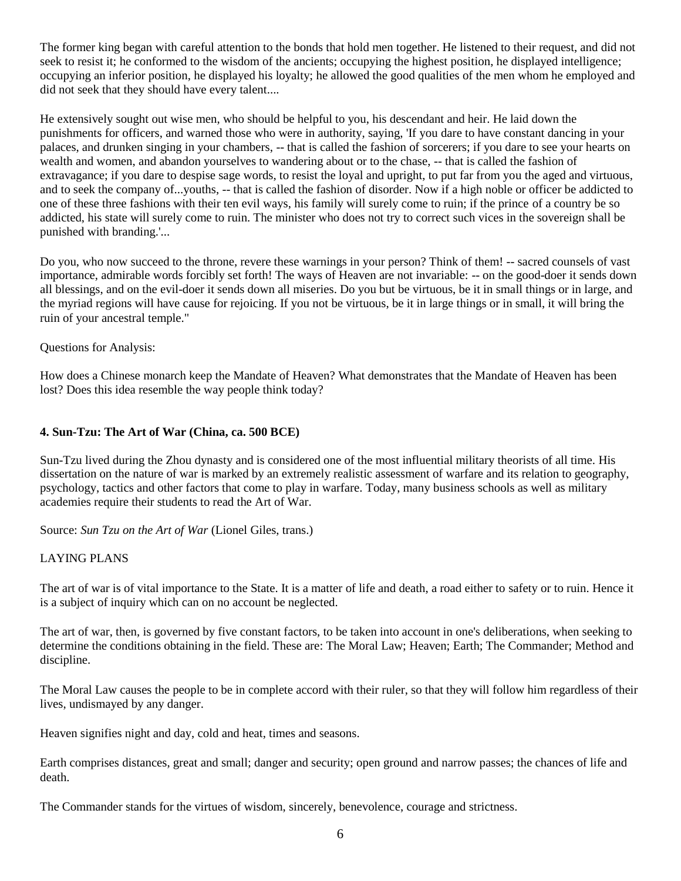The former king began with careful attention to the bonds that hold men together. He listened to their request, and did not seek to resist it; he conformed to the wisdom of the ancients; occupying the highest position, he displayed intelligence; occupying an inferior position, he displayed his loyalty; he allowed the good qualities of the men whom he employed and did not seek that they should have every talent....

He extensively sought out wise men, who should be helpful to you, his descendant and heir. He laid down the punishments for officers, and warned those who were in authority, saying, 'If you dare to have constant dancing in your palaces, and drunken singing in your chambers, -- that is called the fashion of sorcerers; if you dare to see your hearts on wealth and women, and abandon yourselves to wandering about or to the chase, -- that is called the fashion of extravagance; if you dare to despise sage words, to resist the loyal and upright, to put far from you the aged and virtuous, and to seek the company of...youths, -- that is called the fashion of disorder. Now if a high noble or officer be addicted to one of these three fashions with their ten evil ways, his family will surely come to ruin; if the prince of a country be so addicted, his state will surely come to ruin. The minister who does not try to correct such vices in the sovereign shall be punished with branding.'...

Do you, who now succeed to the throne, revere these warnings in your person? Think of them! -- sacred counsels of vast importance, admirable words forcibly set forth! The ways of Heaven are not invariable: -- on the good-doer it sends down all blessings, and on the evil-doer it sends down all miseries. Do you but be virtuous, be it in small things or in large, and the myriad regions will have cause for rejoicing. If you not be virtuous, be it in large things or in small, it will bring the ruin of your ancestral temple."

## Questions for Analysis:

How does a Chinese monarch keep the Mandate of Heaven? What demonstrates that the Mandate of Heaven has been lost? Does this idea resemble the way people think today?

## **4. Sun-Tzu: The Art of War (China, ca. 500 BCE)**

Sun-Tzu lived during the Zhou dynasty and is considered one of the most influential military theorists of all time. His dissertation on the nature of war is marked by an extremely realistic assessment of warfare and its relation to geography, psychology, tactics and other factors that come to play in warfare. Today, many business schools as well as military academies require their students to read the Art of War.

Source: *Sun Tzu on the Art of War* (Lionel Giles, trans.)

### LAYING PLANS

The art of war is of vital importance to the State. It is a matter of life and death, a road either to safety or to ruin. Hence it is a subject of inquiry which can on no account be neglected.

The art of war, then, is governed by five constant factors, to be taken into account in one's deliberations, when seeking to determine the conditions obtaining in the field. These are: The Moral Law; Heaven; Earth; The Commander; Method and discipline.

The Moral Law causes the people to be in complete accord with their ruler, so that they will follow him regardless of their lives, undismayed by any danger.

Heaven signifies night and day, cold and heat, times and seasons.

Earth comprises distances, great and small; danger and security; open ground and narrow passes; the chances of life and death.

The Commander stands for the virtues of wisdom, sincerely, benevolence, courage and strictness.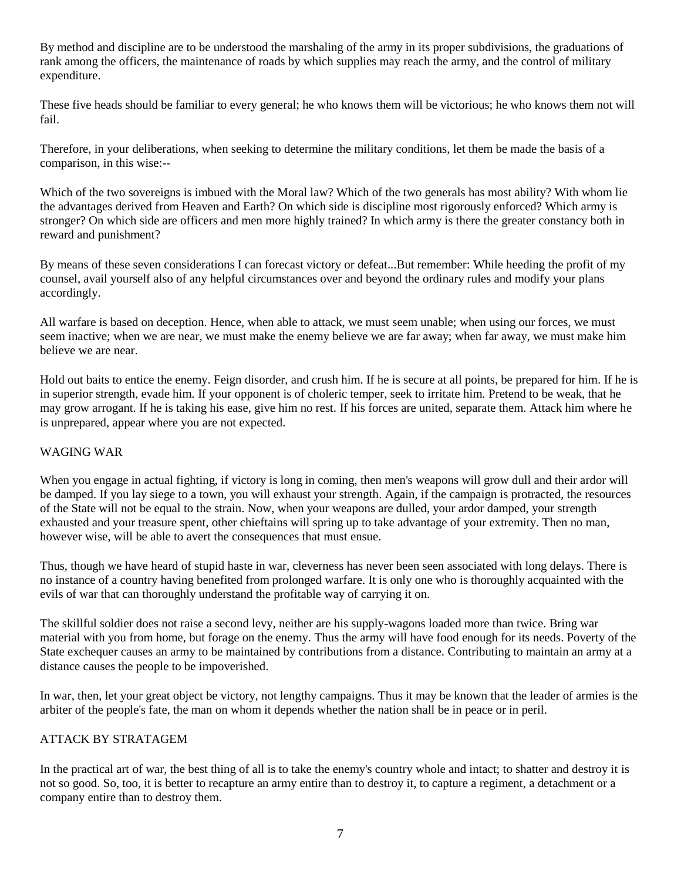By method and discipline are to be understood the marshaling of the army in its proper subdivisions, the graduations of rank among the officers, the maintenance of roads by which supplies may reach the army, and the control of military expenditure.

These five heads should be familiar to every general; he who knows them will be victorious; he who knows them not will fail.

Therefore, in your deliberations, when seeking to determine the military conditions, let them be made the basis of a comparison, in this wise:--

Which of the two sovereigns is imbued with the Moral law? Which of the two generals has most ability? With whom lie the advantages derived from Heaven and Earth? On which side is discipline most rigorously enforced? Which army is stronger? On which side are officers and men more highly trained? In which army is there the greater constancy both in reward and punishment?

By means of these seven considerations I can forecast victory or defeat...But remember: While heeding the profit of my counsel, avail yourself also of any helpful circumstances over and beyond the ordinary rules and modify your plans accordingly.

All warfare is based on deception. Hence, when able to attack, we must seem unable; when using our forces, we must seem inactive; when we are near, we must make the enemy believe we are far away; when far away, we must make him believe we are near.

Hold out baits to entice the enemy. Feign disorder, and crush him. If he is secure at all points, be prepared for him. If he is in superior strength, evade him. If your opponent is of choleric temper, seek to irritate him. Pretend to be weak, that he may grow arrogant. If he is taking his ease, give him no rest. If his forces are united, separate them. Attack him where he is unprepared, appear where you are not expected.

### WAGING WAR

When you engage in actual fighting, if victory is long in coming, then men's weapons will grow dull and their ardor will be damped. If you lay siege to a town, you will exhaust your strength. Again, if the campaign is protracted, the resources of the State will not be equal to the strain. Now, when your weapons are dulled, your ardor damped, your strength exhausted and your treasure spent, other chieftains will spring up to take advantage of your extremity. Then no man, however wise, will be able to avert the consequences that must ensue.

Thus, though we have heard of stupid haste in war, cleverness has never been seen associated with long delays. There is no instance of a country having benefited from prolonged warfare. It is only one who is thoroughly acquainted with the evils of war that can thoroughly understand the profitable way of carrying it on.

The skillful soldier does not raise a second levy, neither are his supply-wagons loaded more than twice. Bring war material with you from home, but forage on the enemy. Thus the army will have food enough for its needs. Poverty of the State exchequer causes an army to be maintained by contributions from a distance. Contributing to maintain an army at a distance causes the people to be impoverished.

In war, then, let your great object be victory, not lengthy campaigns. Thus it may be known that the leader of armies is the arbiter of the people's fate, the man on whom it depends whether the nation shall be in peace or in peril.

### ATTACK BY STRATAGEM

In the practical art of war, the best thing of all is to take the enemy's country whole and intact; to shatter and destroy it is not so good. So, too, it is better to recapture an army entire than to destroy it, to capture a regiment, a detachment or a company entire than to destroy them.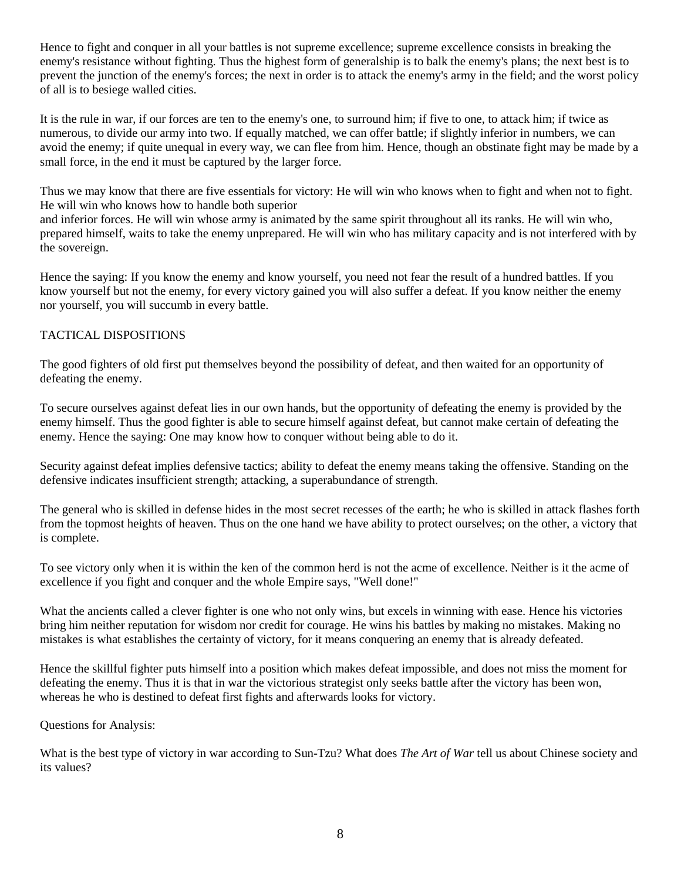Hence to fight and conquer in all your battles is not supreme excellence; supreme excellence consists in breaking the enemy's resistance without fighting. Thus the highest form of generalship is to balk the enemy's plans; the next best is to prevent the junction of the enemy's forces; the next in order is to attack the enemy's army in the field; and the worst policy of all is to besiege walled cities.

It is the rule in war, if our forces are ten to the enemy's one, to surround him; if five to one, to attack him; if twice as numerous, to divide our army into two. If equally matched, we can offer battle; if slightly inferior in numbers, we can avoid the enemy; if quite unequal in every way, we can flee from him. Hence, though an obstinate fight may be made by a small force, in the end it must be captured by the larger force.

Thus we may know that there are five essentials for victory: He will win who knows when to fight and when not to fight. He will win who knows how to handle both superior and inferior forces. He will win whose army is animated by the same spirit throughout all its ranks. He will win who, prepared himself, waits to take the enemy unprepared. He will win who has military capacity and is not interfered with by the sovereign.

Hence the saying: If you know the enemy and know yourself, you need not fear the result of a hundred battles. If you know yourself but not the enemy, for every victory gained you will also suffer a defeat. If you know neither the enemy nor yourself, you will succumb in every battle.

## TACTICAL DISPOSITIONS

The good fighters of old first put themselves beyond the possibility of defeat, and then waited for an opportunity of defeating the enemy.

To secure ourselves against defeat lies in our own hands, but the opportunity of defeating the enemy is provided by the enemy himself. Thus the good fighter is able to secure himself against defeat, but cannot make certain of defeating the enemy. Hence the saying: One may know how to conquer without being able to do it.

Security against defeat implies defensive tactics; ability to defeat the enemy means taking the offensive. Standing on the defensive indicates insufficient strength; attacking, a superabundance of strength.

The general who is skilled in defense hides in the most secret recesses of the earth; he who is skilled in attack flashes forth from the topmost heights of heaven. Thus on the one hand we have ability to protect ourselves; on the other, a victory that is complete.

To see victory only when it is within the ken of the common herd is not the acme of excellence. Neither is it the acme of excellence if you fight and conquer and the whole Empire says, "Well done!"

What the ancients called a clever fighter is one who not only wins, but excels in winning with ease. Hence his victories bring him neither reputation for wisdom nor credit for courage. He wins his battles by making no mistakes. Making no mistakes is what establishes the certainty of victory, for it means conquering an enemy that is already defeated.

Hence the skillful fighter puts himself into a position which makes defeat impossible, and does not miss the moment for defeating the enemy. Thus it is that in war the victorious strategist only seeks battle after the victory has been won, whereas he who is destined to defeat first fights and afterwards looks for victory.

Questions for Analysis:

What is the best type of victory in war according to Sun-Tzu? What does *The Art of War* tell us about Chinese society and its values?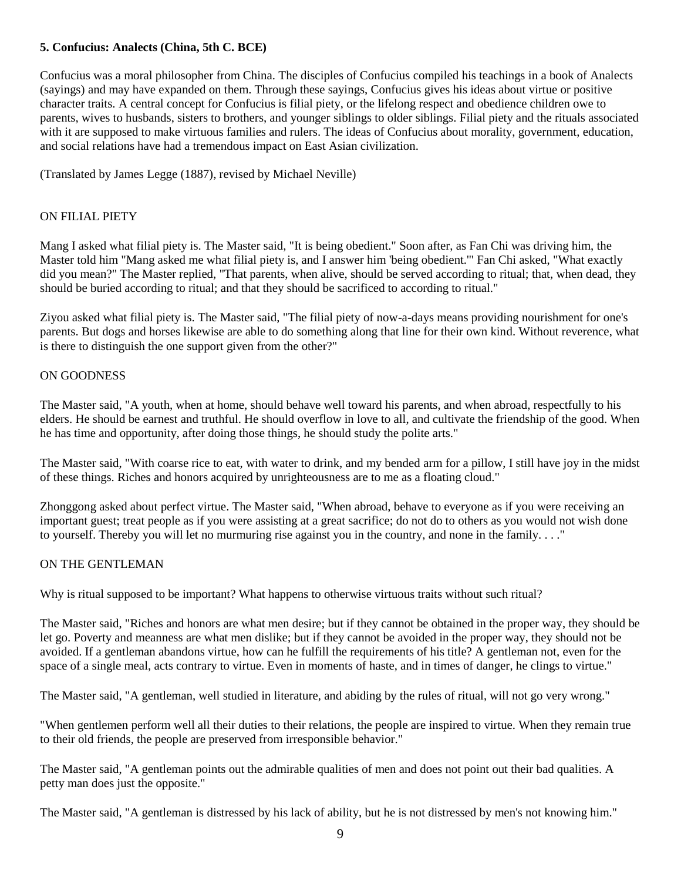## **5. Confucius: Analects (China, 5th C. BCE)**

Confucius was a moral philosopher from China. The disciples of Confucius compiled his teachings in a book of Analects (sayings) and may have expanded on them. Through these sayings, Confucius gives his ideas about virtue or positive character traits. A central concept for Confucius is filial piety, or the lifelong respect and obedience children owe to parents, wives to husbands, sisters to brothers, and younger siblings to older siblings. Filial piety and the rituals associated with it are supposed to make virtuous families and rulers. The ideas of Confucius about morality, government, education, and social relations have had a tremendous impact on East Asian civilization.

(Translated by James Legge (1887), revised by Michael Neville)

## ON FILIAL PIETY

Mang I asked what filial piety is. The Master said, "It is being obedient." Soon after, as Fan Chi was driving him, the Master told him "Mang asked me what filial piety is, and I answer him 'being obedient.'" Fan Chi asked, "What exactly did you mean?" The Master replied, "That parents, when alive, should be served according to ritual; that, when dead, they should be buried according to ritual; and that they should be sacrificed to according to ritual."

Ziyou asked what filial piety is. The Master said, "The filial piety of now-a-days means providing nourishment for one's parents. But dogs and horses likewise are able to do something along that line for their own kind. Without reverence, what is there to distinguish the one support given from the other?"

### ON GOODNESS

The Master said, "A youth, when at home, should behave well toward his parents, and when abroad, respectfully to his elders. He should be earnest and truthful. He should overflow in love to all, and cultivate the friendship of the good. When he has time and opportunity, after doing those things, he should study the polite arts."

The Master said, "With coarse rice to eat, with water to drink, and my bended arm for a pillow, I still have joy in the midst of these things. Riches and honors acquired by unrighteousness are to me as a floating cloud."

Zhonggong asked about perfect virtue. The Master said, "When abroad, behave to everyone as if you were receiving an important guest; treat people as if you were assisting at a great sacrifice; do not do to others as you would not wish done to yourself. Thereby you will let no murmuring rise against you in the country, and none in the family. . . ."

### ON THE GENTLEMAN

Why is ritual supposed to be important? What happens to otherwise virtuous traits without such ritual?

The Master said, "Riches and honors are what men desire; but if they cannot be obtained in the proper way, they should be let go. Poverty and meanness are what men dislike; but if they cannot be avoided in the proper way, they should not be avoided. If a gentleman abandons virtue, how can he fulfill the requirements of his title? A gentleman not, even for the space of a single meal, acts contrary to virtue. Even in moments of haste, and in times of danger, he clings to virtue."

The Master said, "A gentleman, well studied in literature, and abiding by the rules of ritual, will not go very wrong."

"When gentlemen perform well all their duties to their relations, the people are inspired to virtue. When they remain true to their old friends, the people are preserved from irresponsible behavior."

The Master said, "A gentleman points out the admirable qualities of men and does not point out their bad qualities. A petty man does just the opposite."

The Master said, "A gentleman is distressed by his lack of ability, but he is not distressed by men's not knowing him."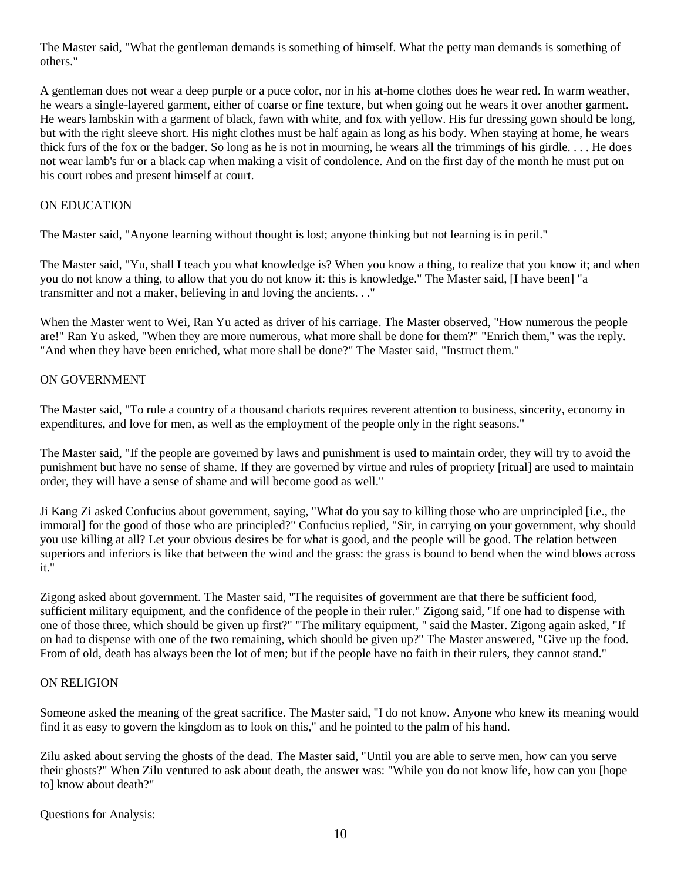The Master said, "What the gentleman demands is something of himself. What the petty man demands is something of others."

A gentleman does not wear a deep purple or a puce color, nor in his at-home clothes does he wear red. In warm weather, he wears a single-layered garment, either of coarse or fine texture, but when going out he wears it over another garment. He wears lambskin with a garment of black, fawn with white, and fox with yellow. His fur dressing gown should be long, but with the right sleeve short. His night clothes must be half again as long as his body. When staying at home, he wears thick furs of the fox or the badger. So long as he is not in mourning, he wears all the trimmings of his girdle. . . . He does not wear lamb's fur or a black cap when making a visit of condolence. And on the first day of the month he must put on his court robes and present himself at court.

## ON EDUCATION

The Master said, "Anyone learning without thought is lost; anyone thinking but not learning is in peril."

The Master said, "Yu, shall I teach you what knowledge is? When you know a thing, to realize that you know it; and when you do not know a thing, to allow that you do not know it: this is knowledge." The Master said, [I have been] "a transmitter and not a maker, believing in and loving the ancients. . ."

When the Master went to Wei, Ran Yu acted as driver of his carriage. The Master observed, "How numerous the people are!" Ran Yu asked, "When they are more numerous, what more shall be done for them?" "Enrich them," was the reply. "And when they have been enriched, what more shall be done?" The Master said, "Instruct them."

## ON GOVERNMENT

The Master said, "To rule a country of a thousand chariots requires reverent attention to business, sincerity, economy in expenditures, and love for men, as well as the employment of the people only in the right seasons."

The Master said, "If the people are governed by laws and punishment is used to maintain order, they will try to avoid the punishment but have no sense of shame. If they are governed by virtue and rules of propriety [ritual] are used to maintain order, they will have a sense of shame and will become good as well."

Ji Kang Zi asked Confucius about government, saying, "What do you say to killing those who are unprincipled [i.e., the immoral] for the good of those who are principled?" Confucius replied, "Sir, in carrying on your government, why should you use killing at all? Let your obvious desires be for what is good, and the people will be good. The relation between superiors and inferiors is like that between the wind and the grass: the grass is bound to bend when the wind blows across it."

Zigong asked about government. The Master said, "The requisites of government are that there be sufficient food, sufficient military equipment, and the confidence of the people in their ruler." Zigong said, "If one had to dispense with one of those three, which should be given up first?" "The military equipment, " said the Master. Zigong again asked, "If on had to dispense with one of the two remaining, which should be given up?" The Master answered, "Give up the food. From of old, death has always been the lot of men; but if the people have no faith in their rulers, they cannot stand."

### ON RELIGION

Someone asked the meaning of the great sacrifice. The Master said, "I do not know. Anyone who knew its meaning would find it as easy to govern the kingdom as to look on this," and he pointed to the palm of his hand.

Zilu asked about serving the ghosts of the dead. The Master said, "Until you are able to serve men, how can you serve their ghosts?" When Zilu ventured to ask about death, the answer was: "While you do not know life, how can you [hope to] know about death?"

Questions for Analysis: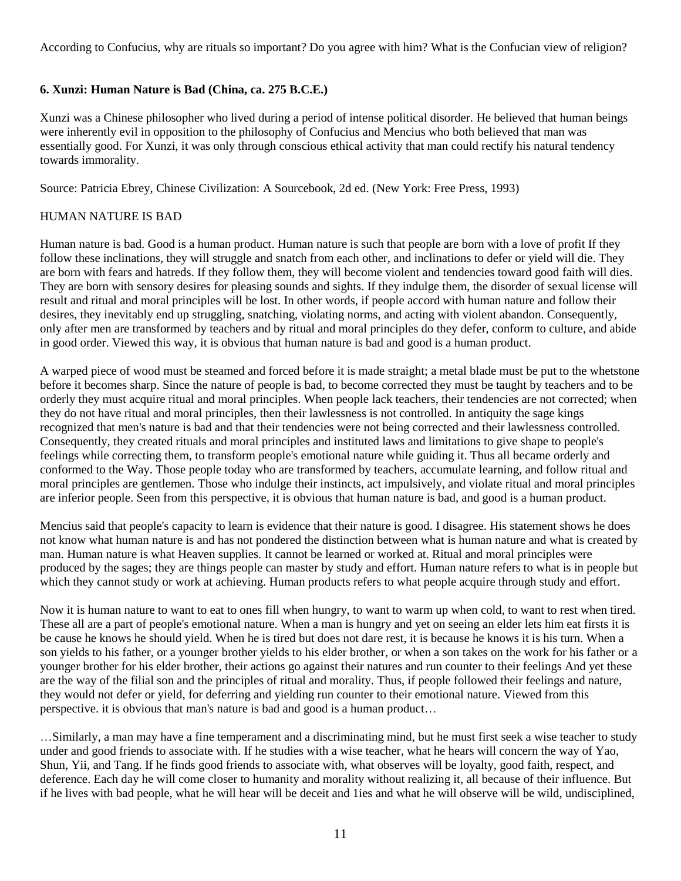According to Confucius, why are rituals so important? Do you agree with him? What is the Confucian view of religion?

## **6. Xunzi: Human Nature is Bad (China, ca. 275 B.C.E.)**

Xunzi was a Chinese philosopher who lived during a period of intense political disorder. He believed that human beings were inherently evil in opposition to the philosophy of Confucius and Mencius who both believed that man was essentially good. For Xunzi, it was only through conscious ethical activity that man could rectify his natural tendency towards immorality.

Source: Patricia Ebrey, Chinese Civilization: A Sourcebook, 2d ed. (New York: Free Press, 1993)

### HUMAN NATURE IS BAD

Human nature is bad. Good is a human product. Human nature is such that people are born with a love of profit If they follow these inclinations, they will struggle and snatch from each other, and inclinations to defer or yield will die. They are born with fears and hatreds. If they follow them, they will become violent and tendencies toward good faith will dies. They are born with sensory desires for pleasing sounds and sights. If they indulge them, the disorder of sexual license will result and ritual and moral principles will be lost. In other words, if people accord with human nature and follow their desires, they inevitably end up struggling, snatching, violating norms, and acting with violent abandon. Consequently, only after men are transformed by teachers and by ritual and moral principles do they defer, conform to culture, and abide in good order. Viewed this way, it is obvious that human nature is bad and good is a human product.

A warped piece of wood must be steamed and forced before it is made straight; a metal blade must be put to the whetstone before it becomes sharp. Since the nature of people is bad, to become corrected they must be taught by teachers and to be orderly they must acquire ritual and moral principles. When people lack teachers, their tendencies are not corrected; when they do not have ritual and moral principles, then their lawlessness is not controlled. In antiquity the sage kings recognized that men's nature is bad and that their tendencies were not being corrected and their lawlessness controlled. Consequently, they created rituals and moral principles and instituted laws and limitations to give shape to people's feelings while correcting them, to transform people's emotional nature while guiding it. Thus all became orderly and conformed to the Way. Those people today who are transformed by teachers, accumulate learning, and follow ritual and moral principles are gentlemen. Those who indulge their instincts, act impulsively, and violate ritual and moral principles are inferior people. Seen from this perspective, it is obvious that human nature is bad, and good is a human product.

Mencius said that people's capacity to learn is evidence that their nature is good. I disagree. His statement shows he does not know what human nature is and has not pondered the distinction between what is human nature and what is created by man. Human nature is what Heaven supplies. It cannot be learned or worked at. Ritual and moral principles were produced by the sages; they are things people can master by study and effort. Human nature refers to what is in people but which they cannot study or work at achieving. Human products refers to what people acquire through study and effort.

Now it is human nature to want to eat to ones fill when hungry, to want to warm up when cold, to want to rest when tired. These all are a part of people's emotional nature. When a man is hungry and yet on seeing an elder lets him eat firsts it is be cause he knows he should yield. When he is tired but does not dare rest, it is because he knows it is his turn. When a son yields to his father, or a younger brother yields to his elder brother, or when a son takes on the work for his father or a younger brother for his elder brother, their actions go against their natures and run counter to their feelings And yet these are the way of the filial son and the principles of ritual and morality. Thus, if people followed their feelings and nature, they would not defer or yield, for deferring and yielding run counter to their emotional nature. Viewed from this perspective. it is obvious that man's nature is bad and good is a human product…

…Similarly, a man may have a fine temperament and a discriminating mind, but he must first seek a wise teacher to study under and good friends to associate with. If he studies with a wise teacher, what he hears will concern the way of Yao, Shun, Yii, and Tang. If he finds good friends to associate with, what observes will be loyalty, good faith, respect, and deference. Each day he will come closer to humanity and morality without realizing it, all because of their influence. But if he lives with bad people, what he will hear will be deceit and 1ies and what he will observe will be wild, undisciplined,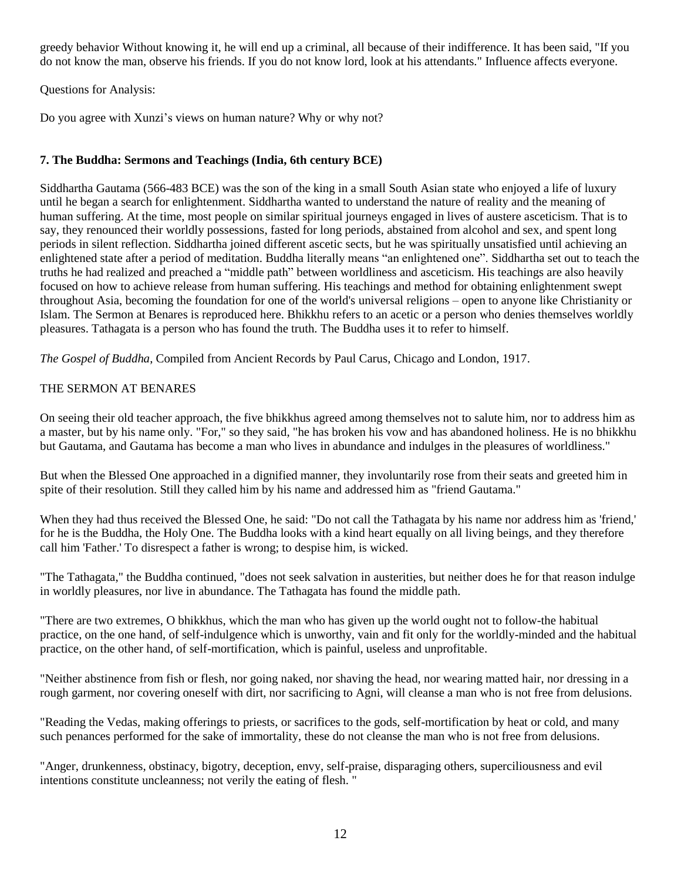greedy behavior Without knowing it, he will end up a criminal, all because of their indifference. It has been said, "If you do not know the man, observe his friends. If you do not know lord, look at his attendants." Influence affects everyone.

Questions for Analysis:

Do you agree with Xunzi's views on human nature? Why or why not?

## **7. The Buddha: Sermons and Teachings (India, 6th century BCE)**

Siddhartha Gautama (566-483 BCE) was the son of the king in a small South Asian state who enjoyed a life of luxury until he began a search for enlightenment. Siddhartha wanted to understand the nature of reality and the meaning of human suffering. At the time, most people on similar spiritual journeys engaged in lives of austere asceticism. That is to say, they renounced their worldly possessions, fasted for long periods, abstained from alcohol and sex, and spent long periods in silent reflection. Siddhartha joined different ascetic sects, but he was spiritually unsatisfied until achieving an enlightened state after a period of meditation. Buddha literally means "an enlightened one". Siddhartha set out to teach the truths he had realized and preached a "middle path" between worldliness and asceticism. His teachings are also heavily focused on how to achieve release from human suffering. His teachings and method for obtaining enlightenment swept throughout Asia, becoming the foundation for one of the world's universal religions – open to anyone like Christianity or Islam. The Sermon at Benares is reproduced here. Bhikkhu refers to an acetic or a person who denies themselves worldly pleasures. Tathagata is a person who has found the truth. The Buddha uses it to refer to himself.

*The Gospel of Buddha*, Compiled from Ancient Records by Paul Carus, Chicago and London, 1917.

## THE SERMON AT BENARES

On seeing their old teacher approach, the five bhikkhus agreed among themselves not to salute him, nor to address him as a master, but by his name only. "For," so they said, "he has broken his vow and has abandoned holiness. He is no bhikkhu but Gautama, and Gautama has become a man who lives in abundance and indulges in the pleasures of worldliness."

But when the Blessed One approached in a dignified manner, they involuntarily rose from their seats and greeted him in spite of their resolution. Still they called him by his name and addressed him as "friend Gautama."

When they had thus received the Blessed One, he said: "Do not call the Tathagata by his name nor address him as 'friend,' for he is the Buddha, the Holy One. The Buddha looks with a kind heart equally on all living beings, and they therefore call him 'Father.' To disrespect a father is wrong; to despise him, is wicked.

"The Tathagata," the Buddha continued, "does not seek salvation in austerities, but neither does he for that reason indulge in worldly pleasures, nor live in abundance. The Tathagata has found the middle path.

"There are two extremes, O bhikkhus, which the man who has given up the world ought not to follow-the habitual practice, on the one hand, of self-indulgence which is unworthy, vain and fit only for the worldly-minded and the habitual practice, on the other hand, of self-mortification, which is painful, useless and unprofitable.

"Neither abstinence from fish or flesh, nor going naked, nor shaving the head, nor wearing matted hair, nor dressing in a rough garment, nor covering oneself with dirt, nor sacrificing to Agni, will cleanse a man who is not free from delusions.

"Reading the Vedas, making offerings to priests, or sacrifices to the gods, self-mortification by heat or cold, and many such penances performed for the sake of immortality, these do not cleanse the man who is not free from delusions.

"Anger, drunkenness, obstinacy, bigotry, deception, envy, self-praise, disparaging others, superciliousness and evil intentions constitute uncleanness; not verily the eating of flesh. "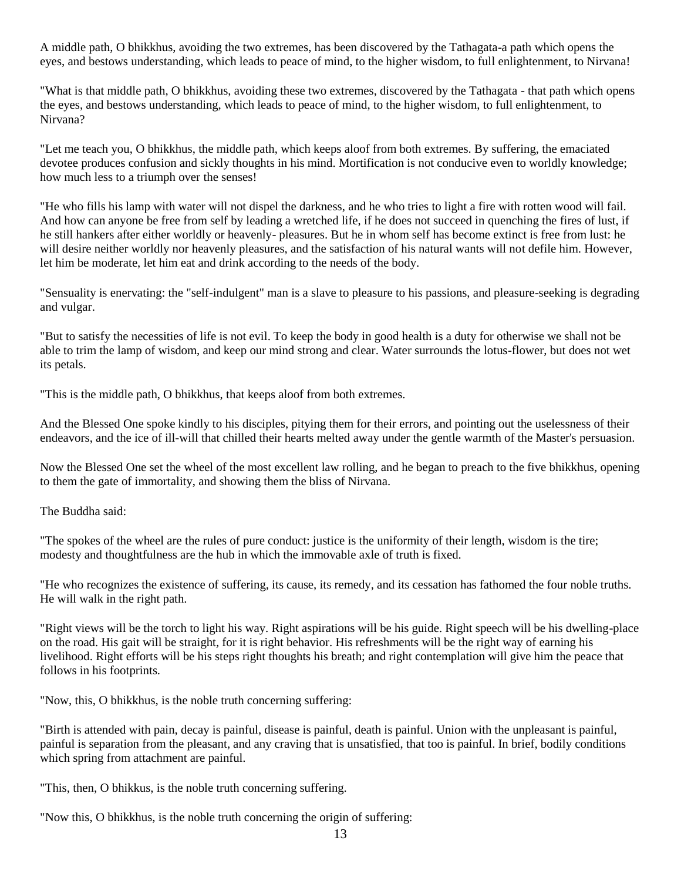A middle path, O bhikkhus, avoiding the two extremes, has been discovered by the Tathagata-a path which opens the eyes, and bestows understanding, which leads to peace of mind, to the higher wisdom, to full enlightenment, to Nirvana!

"What is that middle path, O bhikkhus, avoiding these two extremes, discovered by the Tathagata - that path which opens the eyes, and bestows understanding, which leads to peace of mind, to the higher wisdom, to full enlightenment, to Nirvana?

"Let me teach you, O bhikkhus, the middle path, which keeps aloof from both extremes. By suffering, the emaciated devotee produces confusion and sickly thoughts in his mind. Mortification is not conducive even to worldly knowledge; how much less to a triumph over the senses!

"He who fills his lamp with water will not dispel the darkness, and he who tries to light a fire with rotten wood will fail. And how can anyone be free from self by leading a wretched life, if he does not succeed in quenching the fires of lust, if he still hankers after either worldly or heavenly- pleasures. But he in whom self has become extinct is free from lust: he will desire neither worldly nor heavenly pleasures, and the satisfaction of his natural wants will not defile him. However, let him be moderate, let him eat and drink according to the needs of the body.

"Sensuality is enervating: the "self-indulgent" man is a slave to pleasure to his passions, and pleasure-seeking is degrading and vulgar.

"But to satisfy the necessities of life is not evil. To keep the body in good health is a duty for otherwise we shall not be able to trim the lamp of wisdom, and keep our mind strong and clear. Water surrounds the lotus-flower, but does not wet its petals.

"This is the middle path, O bhikkhus, that keeps aloof from both extremes.

And the Blessed One spoke kindly to his disciples, pitying them for their errors, and pointing out the uselessness of their endeavors, and the ice of ill-will that chilled their hearts melted away under the gentle warmth of the Master's persuasion.

Now the Blessed One set the wheel of the most excellent law rolling, and he began to preach to the five bhikkhus, opening to them the gate of immortality, and showing them the bliss of Nirvana.

The Buddha said:

"The spokes of the wheel are the rules of pure conduct: justice is the uniformity of their length, wisdom is the tire; modesty and thoughtfulness are the hub in which the immovable axle of truth is fixed.

"He who recognizes the existence of suffering, its cause, its remedy, and its cessation has fathomed the four noble truths. He will walk in the right path.

"Right views will be the torch to light his way. Right aspirations will be his guide. Right speech will be his dwelling-place on the road. His gait will be straight, for it is right behavior. His refreshments will be the right way of earning his livelihood. Right efforts will be his steps right thoughts his breath; and right contemplation will give him the peace that follows in his footprints.

"Now, this, O bhikkhus, is the noble truth concerning suffering:

"Birth is attended with pain, decay is painful, disease is painful, death is painful. Union with the unpleasant is painful, painful is separation from the pleasant, and any craving that is unsatisfied, that too is painful. In brief, bodily conditions which spring from attachment are painful.

"This, then, O bhikkus, is the noble truth concerning suffering.

"Now this, O bhikkhus, is the noble truth concerning the origin of suffering: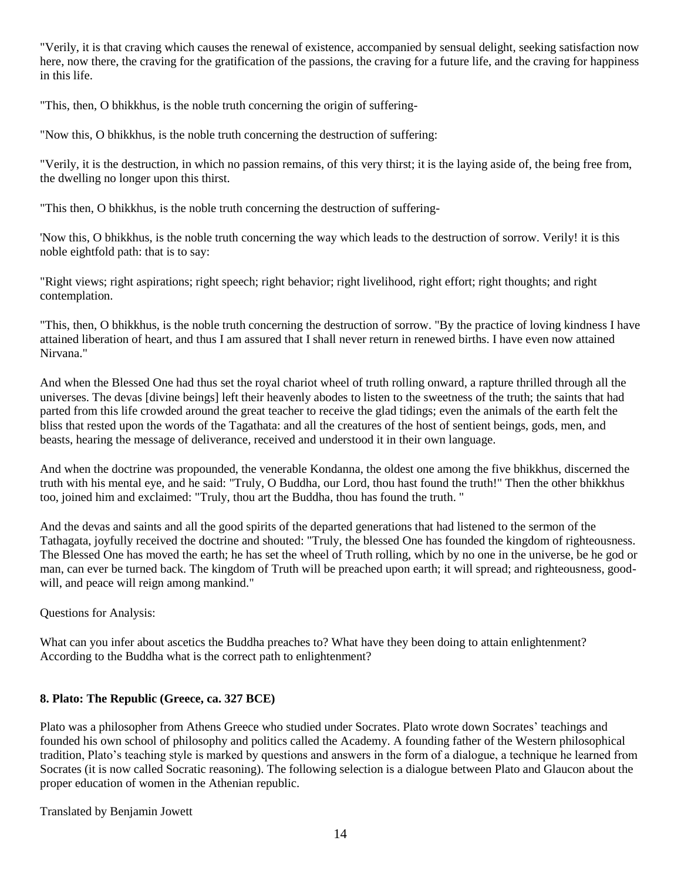"Verily, it is that craving which causes the renewal of existence, accompanied by sensual delight, seeking satisfaction now here, now there, the craving for the gratification of the passions, the craving for a future life, and the craving for happiness in this life.

"This, then, O bhikkhus, is the noble truth concerning the origin of suffering-

"Now this, O bhikkhus, is the noble truth concerning the destruction of suffering:

"Verily, it is the destruction, in which no passion remains, of this very thirst; it is the laying aside of, the being free from, the dwelling no longer upon this thirst.

"This then, O bhikkhus, is the noble truth concerning the destruction of suffering-

'Now this, O bhikkhus, is the noble truth concerning the way which leads to the destruction of sorrow. Verily! it is this noble eightfold path: that is to say:

"Right views; right aspirations; right speech; right behavior; right livelihood, right effort; right thoughts; and right contemplation.

"This, then, O bhikkhus, is the noble truth concerning the destruction of sorrow. "By the practice of loving kindness I have attained liberation of heart, and thus I am assured that I shall never return in renewed births. I have even now attained Nirvana."

And when the Blessed One had thus set the royal chariot wheel of truth rolling onward, a rapture thrilled through all the universes. The devas [divine beings] left their heavenly abodes to listen to the sweetness of the truth; the saints that had parted from this life crowded around the great teacher to receive the glad tidings; even the animals of the earth felt the bliss that rested upon the words of the Tagathata: and all the creatures of the host of sentient beings, gods, men, and beasts, hearing the message of deliverance, received and understood it in their own language.

And when the doctrine was propounded, the venerable Kondanna, the oldest one among the five bhikkhus, discerned the truth with his mental eye, and he said: "Truly, O Buddha, our Lord, thou hast found the truth!" Then the other bhikkhus too, joined him and exclaimed: "Truly, thou art the Buddha, thou has found the truth. "

And the devas and saints and all the good spirits of the departed generations that had listened to the sermon of the Tathagata, joyfully received the doctrine and shouted: "Truly, the blessed One has founded the kingdom of righteousness. The Blessed One has moved the earth; he has set the wheel of Truth rolling, which by no one in the universe, be he god or man, can ever be turned back. The kingdom of Truth will be preached upon earth; it will spread; and righteousness, goodwill, and peace will reign among mankind."

Questions for Analysis:

What can you infer about ascetics the Buddha preaches to? What have they been doing to attain enlightenment? According to the Buddha what is the correct path to enlightenment?

## **8. Plato: The Republic (Greece, ca. 327 BCE)**

Plato was a philosopher from Athens Greece who studied under Socrates. Plato wrote down Socrates' teachings and founded his own school of philosophy and politics called the Academy. A founding father of the Western philosophical tradition, Plato's teaching style is marked by questions and answers in the form of a dialogue, a technique he learned from Socrates (it is now called Socratic reasoning). The following selection is a dialogue between Plato and Glaucon about the proper education of women in the Athenian republic.

Translated by Benjamin Jowett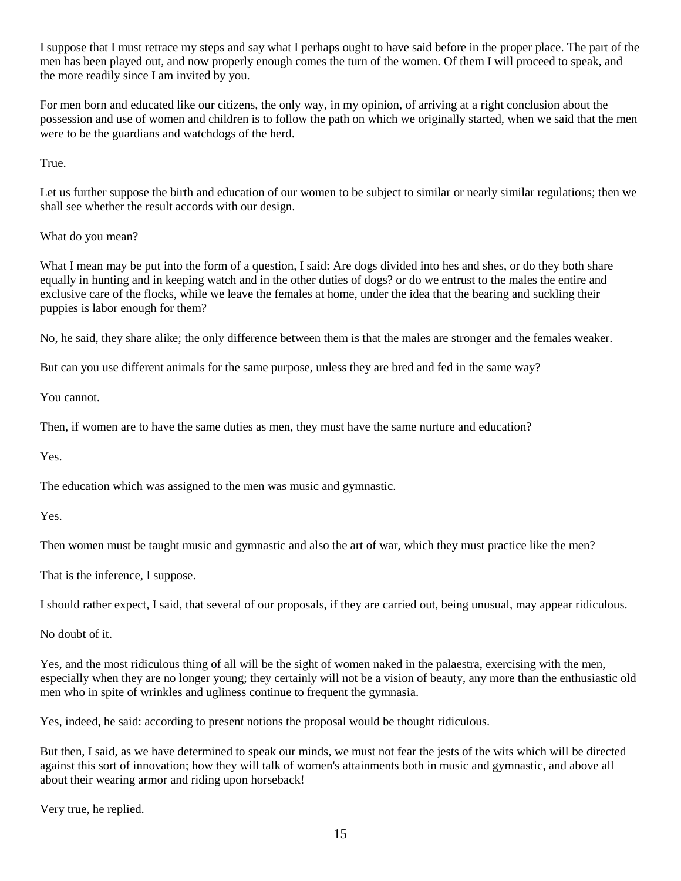I suppose that I must retrace my steps and say what I perhaps ought to have said before in the proper place. The part of the men has been played out, and now properly enough comes the turn of the women. Of them I will proceed to speak, and the more readily since I am invited by you.

For men born and educated like our citizens, the only way, in my opinion, of arriving at a right conclusion about the possession and use of women and children is to follow the path on which we originally started, when we said that the men were to be the guardians and watchdogs of the herd.

True.

Let us further suppose the birth and education of our women to be subject to similar or nearly similar regulations; then we shall see whether the result accords with our design.

What do you mean?

What I mean may be put into the form of a question, I said: Are dogs divided into hes and shes, or do they both share equally in hunting and in keeping watch and in the other duties of dogs? or do we entrust to the males the entire and exclusive care of the flocks, while we leave the females at home, under the idea that the bearing and suckling their puppies is labor enough for them?

No, he said, they share alike; the only difference between them is that the males are stronger and the females weaker.

But can you use different animals for the same purpose, unless they are bred and fed in the same way?

You cannot.

Then, if women are to have the same duties as men, they must have the same nurture and education?

Yes.

The education which was assigned to the men was music and gymnastic.

Yes.

Then women must be taught music and gymnastic and also the art of war, which they must practice like the men?

That is the inference, I suppose.

I should rather expect, I said, that several of our proposals, if they are carried out, being unusual, may appear ridiculous.

No doubt of it.

Yes, and the most ridiculous thing of all will be the sight of women naked in the palaestra, exercising with the men, especially when they are no longer young; they certainly will not be a vision of beauty, any more than the enthusiastic old men who in spite of wrinkles and ugliness continue to frequent the gymnasia.

Yes, indeed, he said: according to present notions the proposal would be thought ridiculous.

But then, I said, as we have determined to speak our minds, we must not fear the jests of the wits which will be directed against this sort of innovation; how they will talk of women's attainments both in music and gymnastic, and above all about their wearing armor and riding upon horseback!

Very true, he replied.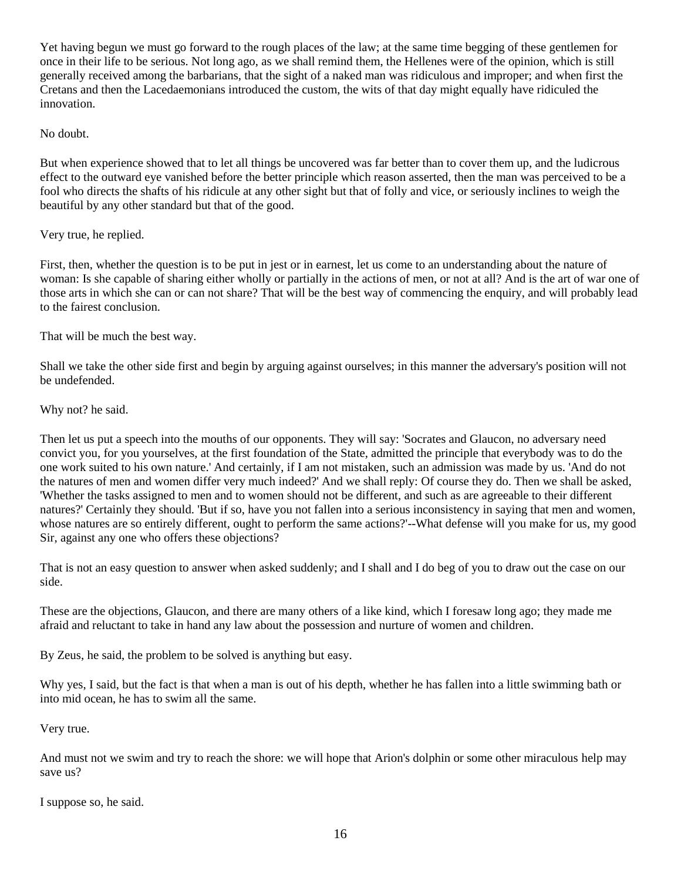Yet having begun we must go forward to the rough places of the law; at the same time begging of these gentlemen for once in their life to be serious. Not long ago, as we shall remind them, the Hellenes were of the opinion, which is still generally received among the barbarians, that the sight of a naked man was ridiculous and improper; and when first the Cretans and then the Lacedaemonians introduced the custom, the wits of that day might equally have ridiculed the innovation.

## No doubt.

But when experience showed that to let all things be uncovered was far better than to cover them up, and the ludicrous effect to the outward eye vanished before the better principle which reason asserted, then the man was perceived to be a fool who directs the shafts of his ridicule at any other sight but that of folly and vice, or seriously inclines to weigh the beautiful by any other standard but that of the good.

## Very true, he replied.

First, then, whether the question is to be put in jest or in earnest, let us come to an understanding about the nature of woman: Is she capable of sharing either wholly or partially in the actions of men, or not at all? And is the art of war one of those arts in which she can or can not share? That will be the best way of commencing the enquiry, and will probably lead to the fairest conclusion.

That will be much the best way.

Shall we take the other side first and begin by arguing against ourselves; in this manner the adversary's position will not be undefended.

## Why not? he said.

Then let us put a speech into the mouths of our opponents. They will say: 'Socrates and Glaucon, no adversary need convict you, for you yourselves, at the first foundation of the State, admitted the principle that everybody was to do the one work suited to his own nature.' And certainly, if I am not mistaken, such an admission was made by us. 'And do not the natures of men and women differ very much indeed?' And we shall reply: Of course they do. Then we shall be asked, 'Whether the tasks assigned to men and to women should not be different, and such as are agreeable to their different natures?' Certainly they should. 'But if so, have you not fallen into a serious inconsistency in saying that men and women, whose natures are so entirely different, ought to perform the same actions?'--What defense will you make for us, my good Sir, against any one who offers these objections?

That is not an easy question to answer when asked suddenly; and I shall and I do beg of you to draw out the case on our side.

These are the objections, Glaucon, and there are many others of a like kind, which I foresaw long ago; they made me afraid and reluctant to take in hand any law about the possession and nurture of women and children.

By Zeus, he said, the problem to be solved is anything but easy.

Why yes, I said, but the fact is that when a man is out of his depth, whether he has fallen into a little swimming bath or into mid ocean, he has to swim all the same.

Very true.

And must not we swim and try to reach the shore: we will hope that Arion's dolphin or some other miraculous help may save us?

I suppose so, he said.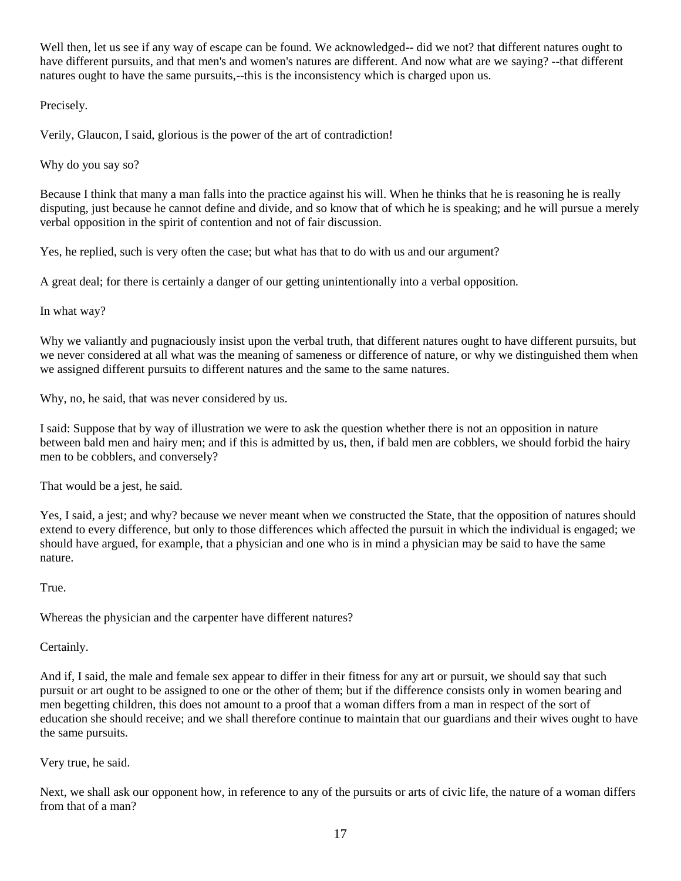Well then, let us see if any way of escape can be found. We acknowledged-- did we not? that different natures ought to have different pursuits, and that men's and women's natures are different. And now what are we saying? --that different natures ought to have the same pursuits,--this is the inconsistency which is charged upon us.

Precisely.

Verily, Glaucon, I said, glorious is the power of the art of contradiction!

Why do you say so?

Because I think that many a man falls into the practice against his will. When he thinks that he is reasoning he is really disputing, just because he cannot define and divide, and so know that of which he is speaking; and he will pursue a merely verbal opposition in the spirit of contention and not of fair discussion.

Yes, he replied, such is very often the case; but what has that to do with us and our argument?

A great deal; for there is certainly a danger of our getting unintentionally into a verbal opposition.

In what way?

Why we valiantly and pugnaciously insist upon the verbal truth, that different natures ought to have different pursuits, but we never considered at all what was the meaning of sameness or difference of nature, or why we distinguished them when we assigned different pursuits to different natures and the same to the same natures.

Why, no, he said, that was never considered by us.

I said: Suppose that by way of illustration we were to ask the question whether there is not an opposition in nature between bald men and hairy men; and if this is admitted by us, then, if bald men are cobblers, we should forbid the hairy men to be cobblers, and conversely?

That would be a jest, he said.

Yes, I said, a jest; and why? because we never meant when we constructed the State, that the opposition of natures should extend to every difference, but only to those differences which affected the pursuit in which the individual is engaged; we should have argued, for example, that a physician and one who is in mind a physician may be said to have the same nature.

True.

Whereas the physician and the carpenter have different natures?

Certainly.

And if, I said, the male and female sex appear to differ in their fitness for any art or pursuit, we should say that such pursuit or art ought to be assigned to one or the other of them; but if the difference consists only in women bearing and men begetting children, this does not amount to a proof that a woman differs from a man in respect of the sort of education she should receive; and we shall therefore continue to maintain that our guardians and their wives ought to have the same pursuits.

Very true, he said.

Next, we shall ask our opponent how, in reference to any of the pursuits or arts of civic life, the nature of a woman differs from that of a man?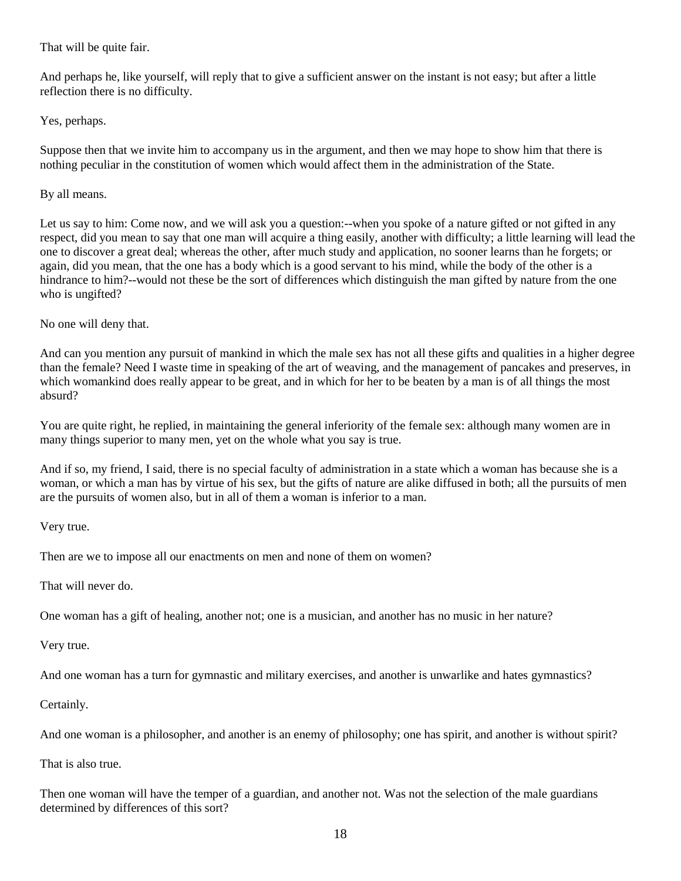That will be quite fair.

And perhaps he, like yourself, will reply that to give a sufficient answer on the instant is not easy; but after a little reflection there is no difficulty.

Yes, perhaps.

Suppose then that we invite him to accompany us in the argument, and then we may hope to show him that there is nothing peculiar in the constitution of women which would affect them in the administration of the State.

By all means.

Let us say to him: Come now, and we will ask you a question:--when you spoke of a nature gifted or not gifted in any respect, did you mean to say that one man will acquire a thing easily, another with difficulty; a little learning will lead the one to discover a great deal; whereas the other, after much study and application, no sooner learns than he forgets; or again, did you mean, that the one has a body which is a good servant to his mind, while the body of the other is a hindrance to him?--would not these be the sort of differences which distinguish the man gifted by nature from the one who is ungifted?

No one will deny that.

And can you mention any pursuit of mankind in which the male sex has not all these gifts and qualities in a higher degree than the female? Need I waste time in speaking of the art of weaving, and the management of pancakes and preserves, in which womankind does really appear to be great, and in which for her to be beaten by a man is of all things the most absurd?

You are quite right, he replied, in maintaining the general inferiority of the female sex: although many women are in many things superior to many men, yet on the whole what you say is true.

And if so, my friend, I said, there is no special faculty of administration in a state which a woman has because she is a woman, or which a man has by virtue of his sex, but the gifts of nature are alike diffused in both; all the pursuits of men are the pursuits of women also, but in all of them a woman is inferior to a man.

Very true.

Then are we to impose all our enactments on men and none of them on women?

That will never do.

One woman has a gift of healing, another not; one is a musician, and another has no music in her nature?

Very true.

And one woman has a turn for gymnastic and military exercises, and another is unwarlike and hates gymnastics?

Certainly.

And one woman is a philosopher, and another is an enemy of philosophy; one has spirit, and another is without spirit?

That is also true.

Then one woman will have the temper of a guardian, and another not. Was not the selection of the male guardians determined by differences of this sort?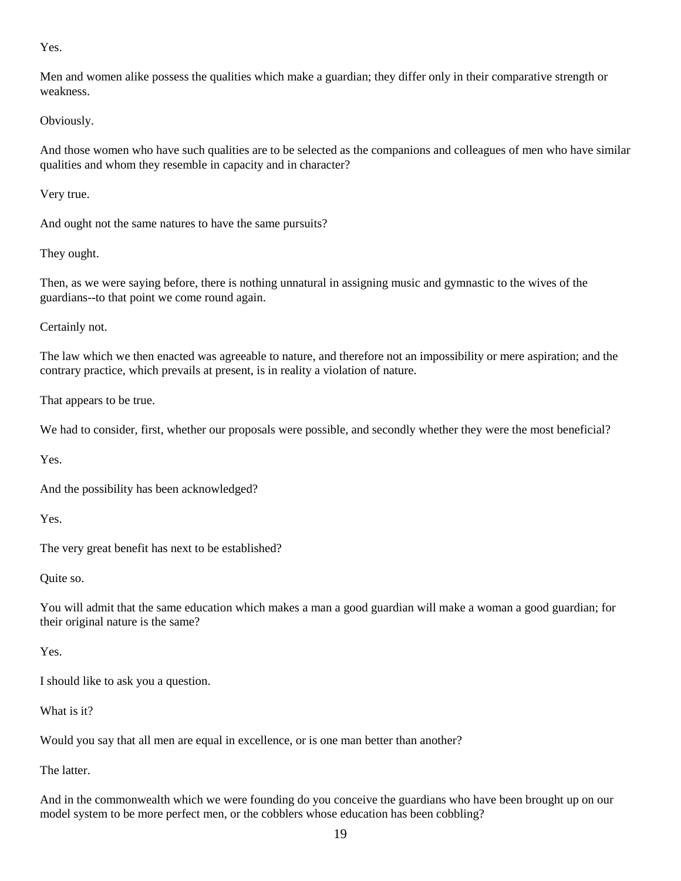Yes.

Men and women alike possess the qualities which make a guardian; they differ only in their comparative strength or weakness.

Obviously.

And those women who have such qualities are to be selected as the companions and colleagues of men who have similar qualities and whom they resemble in capacity and in character?

Very true.

And ought not the same natures to have the same pursuits?

They ought.

Then, as we were saying before, there is nothing unnatural in assigning music and gymnastic to the wives of the guardians--to that point we come round again.

Certainly not.

The law which we then enacted was agreeable to nature, and therefore not an impossibility or mere aspiration; and the contrary practice, which prevails at present, is in reality a violation of nature.

That appears to be true.

We had to consider, first, whether our proposals were possible, and secondly whether they were the most beneficial?

Yes.

And the possibility has been acknowledged?

Yes.

The very great benefit has next to be established?

Quite so.

You will admit that the same education which makes a man a good guardian will make a woman a good guardian; for their original nature is the same?

Yes.

I should like to ask you a question.

What is it?

Would you say that all men are equal in excellence, or is one man better than another?

The latter.

And in the commonwealth which we were founding do you conceive the guardians who have been brought up on our model system to be more perfect men, or the cobblers whose education has been cobbling?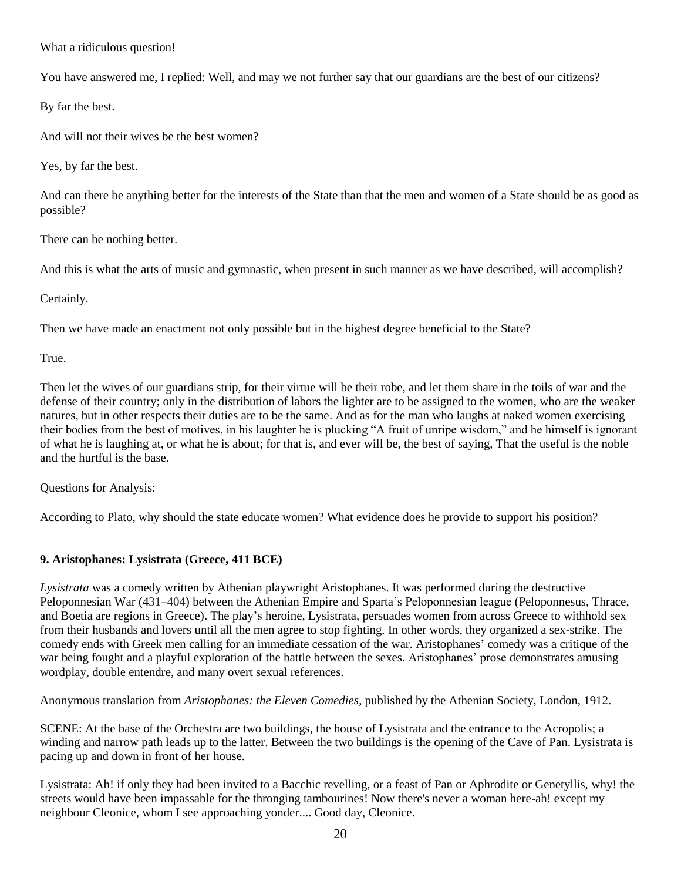What a ridiculous question!

You have answered me, I replied: Well, and may we not further say that our guardians are the best of our citizens?

By far the best.

And will not their wives be the best women?

Yes, by far the best.

And can there be anything better for the interests of the State than that the men and women of a State should be as good as possible?

There can be nothing better.

And this is what the arts of music and gymnastic, when present in such manner as we have described, will accomplish?

Certainly.

Then we have made an enactment not only possible but in the highest degree beneficial to the State?

True.

Then let the wives of our guardians strip, for their virtue will be their robe, and let them share in the toils of war and the defense of their country; only in the distribution of labors the lighter are to be assigned to the women, who are the weaker natures, but in other respects their duties are to be the same. And as for the man who laughs at naked women exercising their bodies from the best of motives, in his laughter he is plucking "A fruit of unripe wisdom," and he himself is ignorant of what he is laughing at, or what he is about; for that is, and ever will be, the best of saying, That the useful is the noble and the hurtful is the base.

Questions for Analysis:

According to Plato, why should the state educate women? What evidence does he provide to support his position?

## **9. Aristophanes: Lysistrata (Greece, 411 BCE)**

*Lysistrata* was a comedy written by Athenian playwright Aristophanes. It was performed during the destructive Peloponnesian War (431–404) between the Athenian Empire and Sparta's Peloponnesian league (Peloponnesus, Thrace, and Boetia are regions in Greece). The play's heroine, Lysistrata, persuades women from across Greece to withhold sex from their husbands and lovers until all the men agree to stop fighting. In other words, they organized a sex-strike. The comedy ends with Greek men calling for an immediate cessation of the war. Aristophanes' comedy was a critique of the war being fought and a playful exploration of the battle between the sexes. Aristophanes' prose demonstrates amusing wordplay, double entendre, and many overt sexual references.

Anonymous translation from *Aristophanes: the Eleven Comedies*, published by the Athenian Society, London, 1912.

SCENE: At the base of the Orchestra are two buildings, the house of Lysistrata and the entrance to the Acropolis; a winding and narrow path leads up to the latter. Between the two buildings is the opening of the Cave of Pan. Lysistrata is pacing up and down in front of her house.

Lysistrata: Ah! if only they had been invited to a Bacchic revelling, or a feast of Pan or Aphrodite or Genetyllis, why! the streets would have been impassable for the thronging tambourines! Now there's never a woman here-ah! except my neighbour Cleonice, whom I see approaching yonder.... Good day, Cleonice.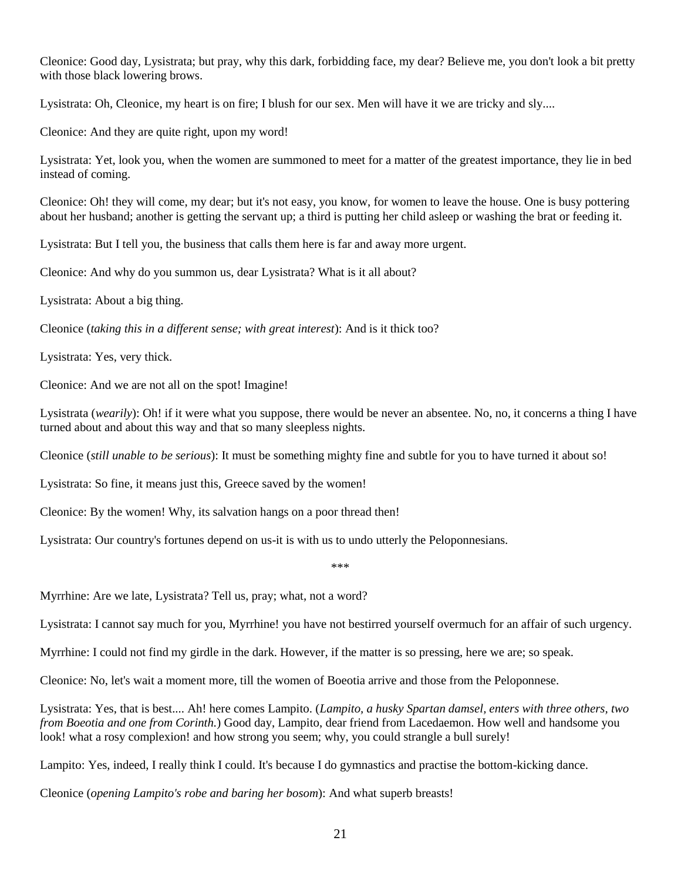Cleonice: Good day, Lysistrata; but pray, why this dark, forbidding face, my dear? Believe me, you don't look a bit pretty with those black lowering brows.

Lysistrata: Oh, Cleonice, my heart is on fire; I blush for our sex. Men will have it we are tricky and sly....

Cleonice: And they are quite right, upon my word!

Lysistrata: Yet, look you, when the women are summoned to meet for a matter of the greatest importance, they lie in bed instead of coming.

Cleonice: Oh! they will come, my dear; but it's not easy, you know, for women to leave the house. One is busy pottering about her husband; another is getting the servant up; a third is putting her child asleep or washing the brat or feeding it.

Lysistrata: But I tell you, the business that calls them here is far and away more urgent.

Cleonice: And why do you summon us, dear Lysistrata? What is it all about?

Lysistrata: About a big thing.

Cleonice (*taking this in a different sense; with great interest*): And is it thick too?

Lysistrata: Yes, very thick.

Cleonice: And we are not all on the spot! Imagine!

Lysistrata *(wearily)*: Oh! if it were what you suppose, there would be never an absentee. No, no, it concerns a thing I have turned about and about this way and that so many sleepless nights.

Cleonice (*still unable to be serious*): It must be something mighty fine and subtle for you to have turned it about so!

Lysistrata: So fine, it means just this, Greece saved by the women!

Cleonice: By the women! Why, its salvation hangs on a poor thread then!

Lysistrata: Our country's fortunes depend on us-it is with us to undo utterly the Peloponnesians.

\*\*\*

Myrrhine: Are we late, Lysistrata? Tell us, pray; what, not a word?

Lysistrata: I cannot say much for you, Myrrhine! you have not bestirred yourself overmuch for an affair of such urgency.

Myrrhine: I could not find my girdle in the dark. However, if the matter is so pressing, here we are; so speak.

Cleonice: No, let's wait a moment more, till the women of Boeotia arrive and those from the Peloponnese.

Lysistrata: Yes, that is best.... Ah! here comes Lampito. (*Lampito, a husky Spartan damsel, enters with three others, two from Boeotia and one from Corinth.*) Good day, Lampito, dear friend from Lacedaemon. How well and handsome you look! what a rosy complexion! and how strong you seem; why, you could strangle a bull surely!

Lampito: Yes, indeed, I really think I could. It's because I do gymnastics and practise the bottom-kicking dance.

Cleonice (*opening Lampito's robe and baring her bosom*): And what superb breasts!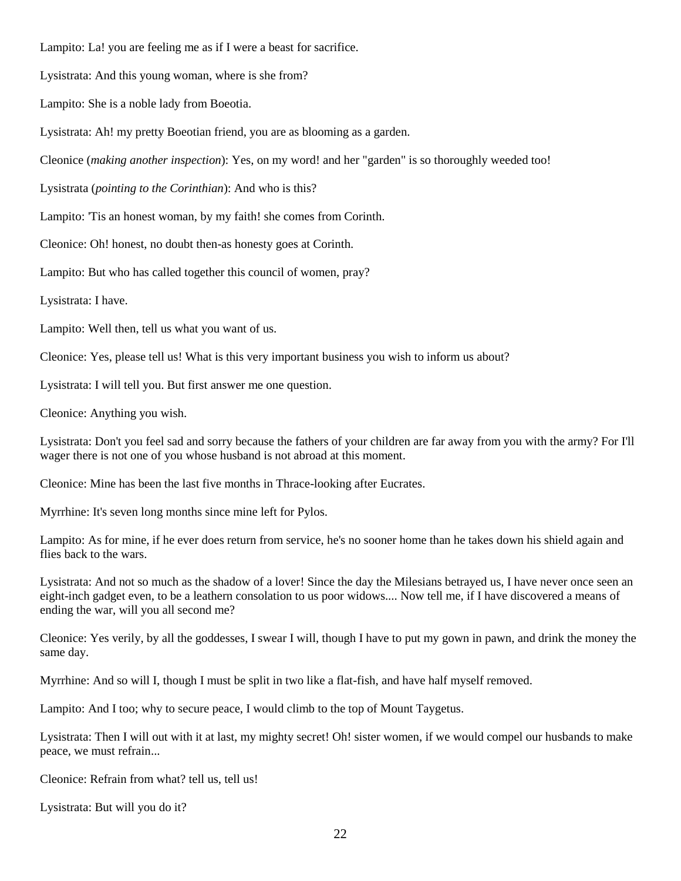Lampito: La! you are feeling me as if I were a beast for sacrifice.

Lysistrata: And this young woman, where is she from?

Lampito: She is a noble lady from Boeotia.

Lysistrata: Ah! my pretty Boeotian friend, you are as blooming as a garden.

Cleonice (*making another inspection*): Yes, on my word! and her "garden" is so thoroughly weeded too!

Lysistrata (*pointing to the Corinthian*): And who is this?

Lampito: 'Tis an honest woman, by my faith! she comes from Corinth.

Cleonice: Oh! honest, no doubt then-as honesty goes at Corinth.

Lampito: But who has called together this council of women, pray?

Lysistrata: I have.

Lampito: Well then, tell us what you want of us.

Cleonice: Yes, please tell us! What is this very important business you wish to inform us about?

Lysistrata: I will tell you. But first answer me one question.

Cleonice: Anything you wish.

Lysistrata: Don't you feel sad and sorry because the fathers of your children are far away from you with the army? For I'll wager there is not one of you whose husband is not abroad at this moment.

Cleonice: Mine has been the last five months in Thrace-looking after Eucrates.

Myrrhine: It's seven long months since mine left for Pylos.

Lampito: As for mine, if he ever does return from service, he's no sooner home than he takes down his shield again and flies back to the wars.

Lysistrata: And not so much as the shadow of a lover! Since the day the Milesians betrayed us, I have never once seen an eight-inch gadget even, to be a leathern consolation to us poor widows.... Now tell me, if I have discovered a means of ending the war, will you all second me?

Cleonice: Yes verily, by all the goddesses, I swear I will, though I have to put my gown in pawn, and drink the money the same day.

Myrrhine: And so will I, though I must be split in two like a flat-fish, and have half myself removed.

Lampito: And I too; why to secure peace, I would climb to the top of Mount Taygetus.

Lysistrata: Then I will out with it at last, my mighty secret! Oh! sister women, if we would compel our husbands to make peace, we must refrain...

Cleonice: Refrain from what? tell us, tell us!

Lysistrata: But will you do it?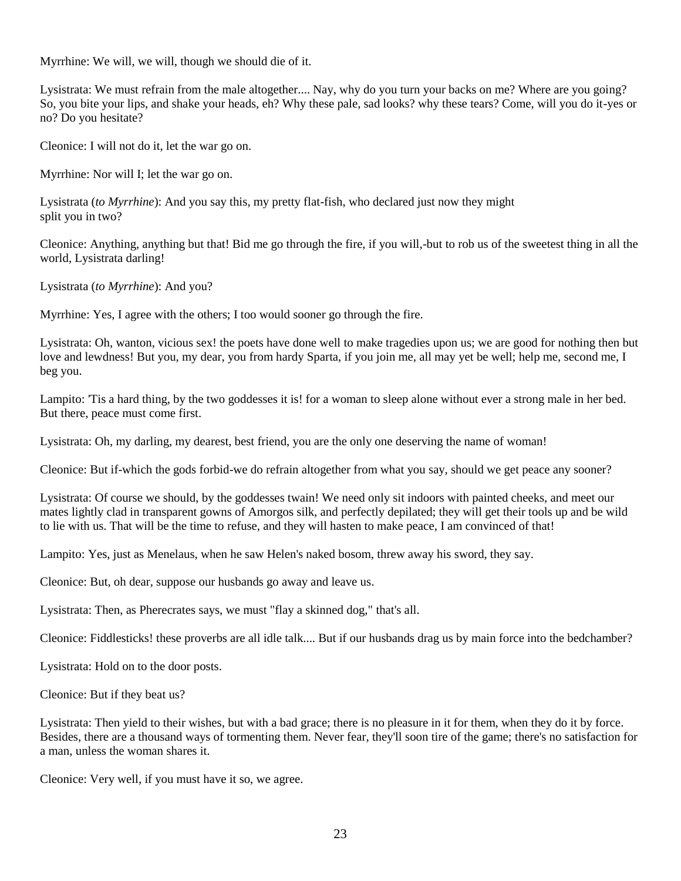Myrrhine: We will, we will, though we should die of it.

Lysistrata: We must refrain from the male altogether.... Nay, why do you turn your backs on me? Where are you going? So, you bite your lips, and shake your heads, eh? Why these pale, sad looks? why these tears? Come, will you do it-yes or no? Do you hesitate?

Cleonice: I will not do it, let the war go on.

Myrrhine: Nor will I; let the war go on.

Lysistrata (*to Myrrhine*): And you say this, my pretty flat-fish, who declared just now they might split you in two?

Cleonice: Anything, anything but that! Bid me go through the fire, if you will,-but to rob us of the sweetest thing in all the world, Lysistrata darling!

Lysistrata (*to Myrrhine*): And you?

Myrrhine: Yes, I agree with the others; I too would sooner go through the fire.

Lysistrata: Oh, wanton, vicious sex! the poets have done well to make tragedies upon us; we are good for nothing then but love and lewdness! But you, my dear, you from hardy Sparta, if you join me, all may yet be well; help me, second me, I beg you.

Lampito: 'Tis a hard thing, by the two goddesses it is! for a woman to sleep alone without ever a strong male in her bed. But there, peace must come first.

Lysistrata: Oh, my darling, my dearest, best friend, you are the only one deserving the name of woman!

Cleonice: But if-which the gods forbid-we do refrain altogether from what you say, should we get peace any sooner?

Lysistrata: Of course we should, by the goddesses twain! We need only sit indoors with painted cheeks, and meet our mates lightly clad in transparent gowns of Amorgos silk, and perfectly depilated; they will get their tools up and be wild to lie with us. That will be the time to refuse, and they will hasten to make peace, I am convinced of that!

Lampito: Yes, just as Menelaus, when he saw Helen's naked bosom, threw away his sword, they say.

Cleonice: But, oh dear, suppose our husbands go away and leave us.

Lysistrata: Then, as Pherecrates says, we must "flay a skinned dog," that's all.

Cleonice: Fiddlesticks! these proverbs are all idle talk.... But if our husbands drag us by main force into the bedchamber?

Lysistrata: Hold on to the door posts.

Cleonice: But if they beat us?

Lysistrata: Then yield to their wishes, but with a bad grace; there is no pleasure in it for them, when they do it by force. Besides, there are a thousand ways of tormenting them. Never fear, they'll soon tire of the game; there's no satisfaction for a man, unless the woman shares it.

Cleonice: Very well, if you must have it so, we agree.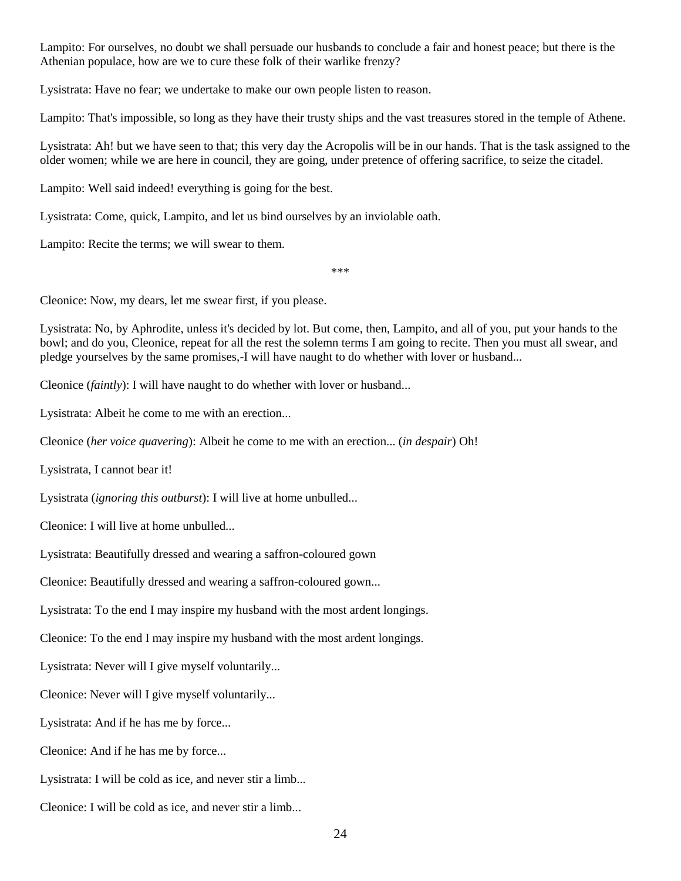Lampito: For ourselves, no doubt we shall persuade our husbands to conclude a fair and honest peace; but there is the Athenian populace, how are we to cure these folk of their warlike frenzy?

Lysistrata: Have no fear; we undertake to make our own people listen to reason.

Lampito: That's impossible, so long as they have their trusty ships and the vast treasures stored in the temple of Athene.

Lysistrata: Ah! but we have seen to that; this very day the Acropolis will be in our hands. That is the task assigned to the older women; while we are here in council, they are going, under pretence of offering sacrifice, to seize the citadel.

Lampito: Well said indeed! everything is going for the best.

Lysistrata: Come, quick, Lampito, and let us bind ourselves by an inviolable oath.

Lampito: Recite the terms; we will swear to them.

\*\*\*

Cleonice: Now, my dears, let me swear first, if you please.

Lysistrata: No, by Aphrodite, unless it's decided by lot. But come, then, Lampito, and all of you, put your hands to the bowl; and do you, Cleonice, repeat for all the rest the solemn terms I am going to recite. Then you must all swear, and pledge yourselves by the same promises,-I will have naught to do whether with lover or husband...

Cleonice (*faintly*): I will have naught to do whether with lover or husband...

Lysistrata: Albeit he come to me with an erection...

Cleonice (*her voice quavering*): Albeit he come to me with an erection... (*in despair*) Oh!

Lysistrata, I cannot bear it!

Lysistrata (*ignoring this outburst*): I will live at home unbulled...

Cleonice: I will live at home unbulled...

Lysistrata: Beautifully dressed and wearing a saffron-coloured gown

Cleonice: Beautifully dressed and wearing a saffron-coloured gown...

Lysistrata: To the end I may inspire my husband with the most ardent longings.

Cleonice: To the end I may inspire my husband with the most ardent longings.

Lysistrata: Never will I give myself voluntarily...

Cleonice: Never will I give myself voluntarily...

Lysistrata: And if he has me by force...

Cleonice: And if he has me by force...

Lysistrata: I will be cold as ice, and never stir a limb...

Cleonice: I will be cold as ice, and never stir a limb...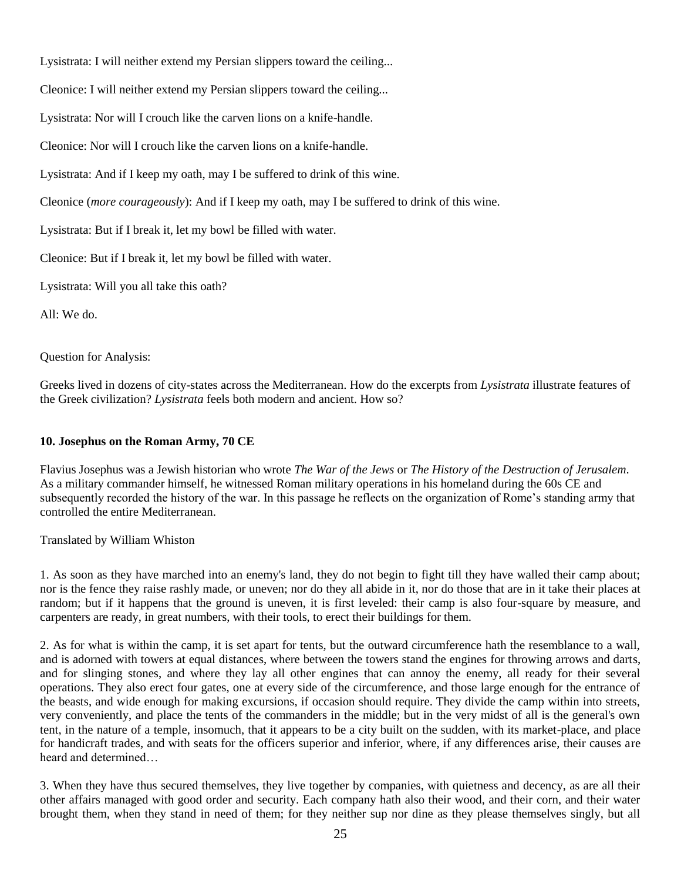Lysistrata: I will neither extend my Persian slippers toward the ceiling...

Cleonice: I will neither extend my Persian slippers toward the ceiling...

Lysistrata: Nor will I crouch like the carven lions on a knife-handle.

Cleonice: Nor will I crouch like the carven lions on a knife-handle.

Lysistrata: And if I keep my oath, may I be suffered to drink of this wine.

Cleonice (*more courageously*): And if I keep my oath, may I be suffered to drink of this wine.

Lysistrata: But if I break it, let my bowl be filled with water.

Cleonice: But if I break it, let my bowl be filled with water.

Lysistrata: Will you all take this oath?

All: We do.

Question for Analysis:

Greeks lived in dozens of city-states across the Mediterranean. How do the excerpts from *Lysistrata* illustrate features of the Greek civilization? *Lysistrata* feels both modern and ancient. How so?

### **10. Josephus on the Roman Army, 70 CE**

Flavius Josephus was a Jewish historian who wrote *The War of the Jews* or *The History of the Destruction of Jerusalem*. As a military commander himself, he witnessed Roman military operations in his homeland during the 60s CE and subsequently recorded the history of the war. In this passage he reflects on the organization of Rome's standing army that controlled the entire Mediterranean.

Translated by William Whiston

1. As soon as they have marched into an enemy's land, they do not begin to fight till they have walled their camp about; nor is the fence they raise rashly made, or uneven; nor do they all abide in it, nor do those that are in it take their places at random; but if it happens that the ground is uneven, it is first leveled: their camp is also four-square by measure, and carpenters are ready, in great numbers, with their tools, to erect their buildings for them.

2. As for what is within the camp, it is set apart for tents, but the outward circumference hath the resemblance to a wall, and is adorned with towers at equal distances, where between the towers stand the engines for throwing arrows and darts, and for slinging stones, and where they lay all other engines that can annoy the enemy, all ready for their several operations. They also erect four gates, one at every side of the circumference, and those large enough for the entrance of the beasts, and wide enough for making excursions, if occasion should require. They divide the camp within into streets, very conveniently, and place the tents of the commanders in the middle; but in the very midst of all is the general's own tent, in the nature of a temple, insomuch, that it appears to be a city built on the sudden, with its market-place, and place for handicraft trades, and with seats for the officers superior and inferior, where, if any differences arise, their causes are heard and determined…

3. When they have thus secured themselves, they live together by companies, with quietness and decency, as are all their other affairs managed with good order and security. Each company hath also their wood, and their corn, and their water brought them, when they stand in need of them; for they neither sup nor dine as they please themselves singly, but all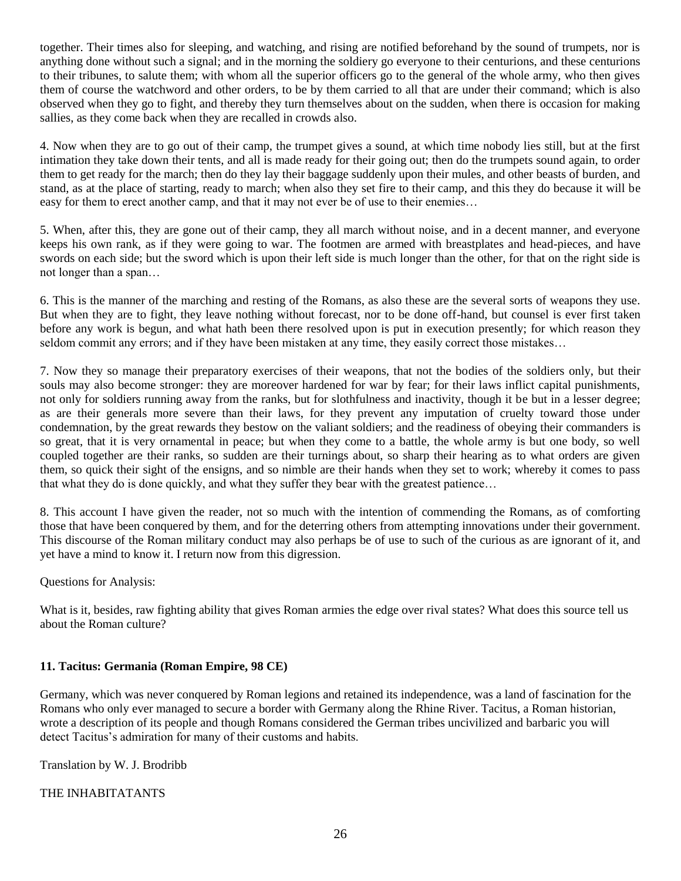together. Their times also for sleeping, and watching, and rising are notified beforehand by the sound of trumpets, nor is anything done without such a signal; and in the morning the soldiery go everyone to their centurions, and these centurions to their tribunes, to salute them; with whom all the superior officers go to the general of the whole army, who then gives them of course the watchword and other orders, to be by them carried to all that are under their command; which is also observed when they go to fight, and thereby they turn themselves about on the sudden, when there is occasion for making sallies, as they come back when they are recalled in crowds also.

4. Now when they are to go out of their camp, the trumpet gives a sound, at which time nobody lies still, but at the first intimation they take down their tents, and all is made ready for their going out; then do the trumpets sound again, to order them to get ready for the march; then do they lay their baggage suddenly upon their mules, and other beasts of burden, and stand, as at the place of starting, ready to march; when also they set fire to their camp, and this they do because it will be easy for them to erect another camp, and that it may not ever be of use to their enemies…

5. When, after this, they are gone out of their camp, they all march without noise, and in a decent manner, and everyone keeps his own rank, as if they were going to war. The footmen are armed with breastplates and head-pieces, and have swords on each side; but the sword which is upon their left side is much longer than the other, for that on the right side is not longer than a span…

6. This is the manner of the marching and resting of the Romans, as also these are the several sorts of weapons they use. But when they are to fight, they leave nothing without forecast, nor to be done off-hand, but counsel is ever first taken before any work is begun, and what hath been there resolved upon is put in execution presently; for which reason they seldom commit any errors; and if they have been mistaken at any time, they easily correct those mistakes…

7. Now they so manage their preparatory exercises of their weapons, that not the bodies of the soldiers only, but their souls may also become stronger: they are moreover hardened for war by fear; for their laws inflict capital punishments, not only for soldiers running away from the ranks, but for slothfulness and inactivity, though it be but in a lesser degree; as are their generals more severe than their laws, for they prevent any imputation of cruelty toward those under condemnation, by the great rewards they bestow on the valiant soldiers; and the readiness of obeying their commanders is so great, that it is very ornamental in peace; but when they come to a battle, the whole army is but one body, so well coupled together are their ranks, so sudden are their turnings about, so sharp their hearing as to what orders are given them, so quick their sight of the ensigns, and so nimble are their hands when they set to work; whereby it comes to pass that what they do is done quickly, and what they suffer they bear with the greatest patience…

8. This account I have given the reader, not so much with the intention of commending the Romans, as of comforting those that have been conquered by them, and for the deterring others from attempting innovations under their government. This discourse of the Roman military conduct may also perhaps be of use to such of the curious as are ignorant of it, and yet have a mind to know it. I return now from this digression.

Questions for Analysis:

What is it, besides, raw fighting ability that gives Roman armies the edge over rival states? What does this source tell us about the Roman culture?

## **11. Tacitus: Germania (Roman Empire, 98 CE)**

Germany, which was never conquered by Roman legions and retained its independence, was a land of fascination for the Romans who only ever managed to secure a border with Germany along the Rhine River. Tacitus, a Roman historian, wrote a description of its people and though Romans considered the German tribes uncivilized and barbaric you will detect Tacitus's admiration for many of their customs and habits.

Translation by W. J. Brodribb

THE INHABITATANTS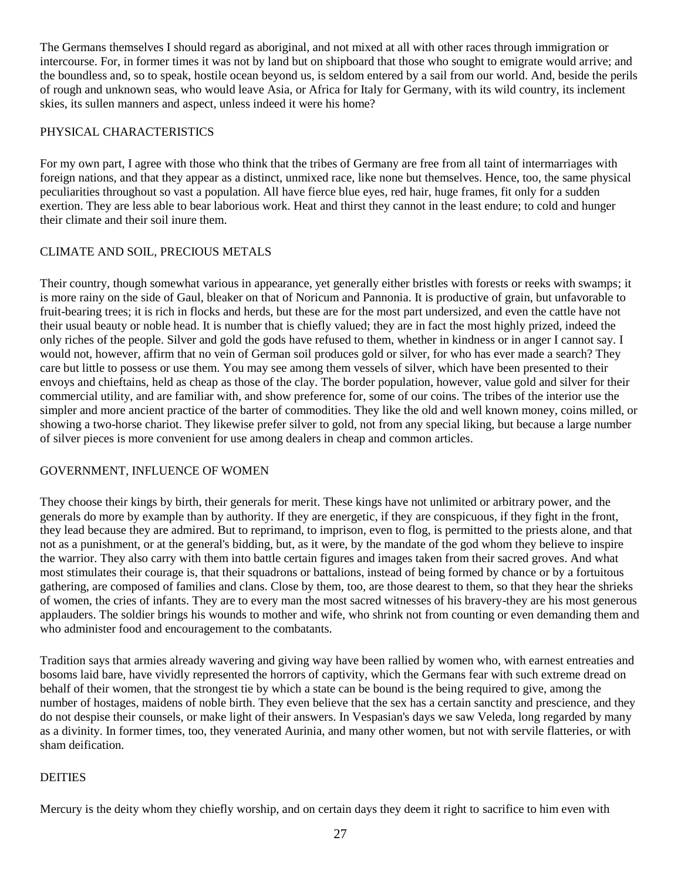The Germans themselves I should regard as aboriginal, and not mixed at all with other races through immigration or intercourse. For, in former times it was not by land but on shipboard that those who sought to emigrate would arrive; and the boundless and, so to speak, hostile ocean beyond us, is seldom entered by a sail from our world. And, beside the perils of rough and unknown seas, who would leave Asia, or Africa for Italy for Germany, with its wild country, its inclement skies, its sullen manners and aspect, unless indeed it were his home?

## PHYSICAL CHARACTERISTICS

For my own part, I agree with those who think that the tribes of Germany are free from all taint of intermarriages with foreign nations, and that they appear as a distinct, unmixed race, like none but themselves. Hence, too, the same physical peculiarities throughout so vast a population. All have fierce blue eyes, red hair, huge frames, fit only for a sudden exertion. They are less able to bear laborious work. Heat and thirst they cannot in the least endure; to cold and hunger their climate and their soil inure them.

## CLIMATE AND SOIL, PRECIOUS METALS

Their country, though somewhat various in appearance, yet generally either bristles with forests or reeks with swamps; it is more rainy on the side of Gaul, bleaker on that of Noricum and Pannonia. It is productive of grain, but unfavorable to fruit-bearing trees; it is rich in flocks and herds, but these are for the most part undersized, and even the cattle have not their usual beauty or noble head. It is number that is chiefly valued; they are in fact the most highly prized, indeed the only riches of the people. Silver and gold the gods have refused to them, whether in kindness or in anger I cannot say. I would not, however, affirm that no vein of German soil produces gold or silver, for who has ever made a search? They care but little to possess or use them. You may see among them vessels of silver, which have been presented to their envoys and chieftains, held as cheap as those of the clay. The border population, however, value gold and silver for their commercial utility, and are familiar with, and show preference for, some of our coins. The tribes of the interior use the simpler and more ancient practice of the barter of commodities. They like the old and well known money, coins milled, or showing a two-horse chariot. They likewise prefer silver to gold, not from any special liking, but because a large number of silver pieces is more convenient for use among dealers in cheap and common articles.

### GOVERNMENT, INFLUENCE OF WOMEN

They choose their kings by birth, their generals for merit. These kings have not unlimited or arbitrary power, and the generals do more by example than by authority. If they are energetic, if they are conspicuous, if they fight in the front, they lead because they are admired. But to reprimand, to imprison, even to flog, is permitted to the priests alone, and that not as a punishment, or at the general's bidding, but, as it were, by the mandate of the god whom they believe to inspire the warrior. They also carry with them into battle certain figures and images taken from their sacred groves. And what most stimulates their courage is, that their squadrons or battalions, instead of being formed by chance or by a fortuitous gathering, are composed of families and clans. Close by them, too, are those dearest to them, so that they hear the shrieks of women, the cries of infants. They are to every man the most sacred witnesses of his bravery-they are his most generous applauders. The soldier brings his wounds to mother and wife, who shrink not from counting or even demanding them and who administer food and encouragement to the combatants.

Tradition says that armies already wavering and giving way have been rallied by women who, with earnest entreaties and bosoms laid bare, have vividly represented the horrors of captivity, which the Germans fear with such extreme dread on behalf of their women, that the strongest tie by which a state can be bound is the being required to give, among the number of hostages, maidens of noble birth. They even believe that the sex has a certain sanctity and prescience, and they do not despise their counsels, or make light of their answers. In Vespasian's days we saw Veleda, long regarded by many as a divinity. In former times, too, they venerated Aurinia, and many other women, but not with servile flatteries, or with sham deification.

### **DEITIES**

Mercury is the deity whom they chiefly worship, and on certain days they deem it right to sacrifice to him even with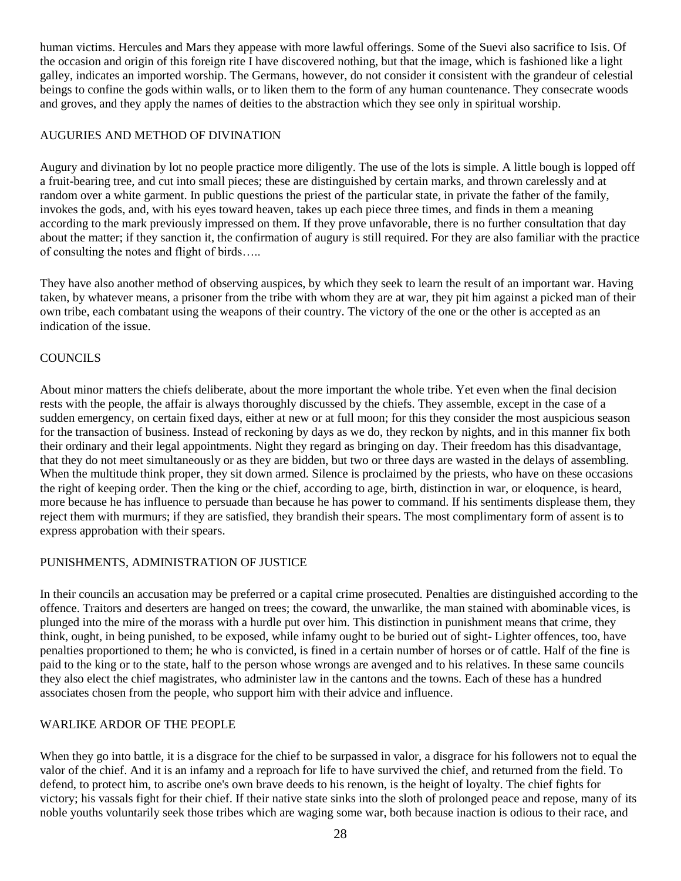human victims. Hercules and Mars they appease with more lawful offerings. Some of the Suevi also sacrifice to Isis. Of the occasion and origin of this foreign rite I have discovered nothing, but that the image, which is fashioned like a light galley, indicates an imported worship. The Germans, however, do not consider it consistent with the grandeur of celestial beings to confine the gods within walls, or to liken them to the form of any human countenance. They consecrate woods and groves, and they apply the names of deities to the abstraction which they see only in spiritual worship.

## AUGURIES AND METHOD OF DIVINATION

Augury and divination by lot no people practice more diligently. The use of the lots is simple. A little bough is lopped off a fruit-bearing tree, and cut into small pieces; these are distinguished by certain marks, and thrown carelessly and at random over a white garment. In public questions the priest of the particular state, in private the father of the family, invokes the gods, and, with his eyes toward heaven, takes up each piece three times, and finds in them a meaning according to the mark previously impressed on them. If they prove unfavorable, there is no further consultation that day about the matter; if they sanction it, the confirmation of augury is still required. For they are also familiar with the practice of consulting the notes and flight of birds…..

They have also another method of observing auspices, by which they seek to learn the result of an important war. Having taken, by whatever means, a prisoner from the tribe with whom they are at war, they pit him against a picked man of their own tribe, each combatant using the weapons of their country. The victory of the one or the other is accepted as an indication of the issue.

## **COUNCILS**

About minor matters the chiefs deliberate, about the more important the whole tribe. Yet even when the final decision rests with the people, the affair is always thoroughly discussed by the chiefs. They assemble, except in the case of a sudden emergency, on certain fixed days, either at new or at full moon; for this they consider the most auspicious season for the transaction of business. Instead of reckoning by days as we do, they reckon by nights, and in this manner fix both their ordinary and their legal appointments. Night they regard as bringing on day. Their freedom has this disadvantage, that they do not meet simultaneously or as they are bidden, but two or three days are wasted in the delays of assembling. When the multitude think proper, they sit down armed. Silence is proclaimed by the priests, who have on these occasions the right of keeping order. Then the king or the chief, according to age, birth, distinction in war, or eloquence, is heard, more because he has influence to persuade than because he has power to command. If his sentiments displease them, they reject them with murmurs; if they are satisfied, they brandish their spears. The most complimentary form of assent is to express approbation with their spears.

## PUNISHMENTS, ADMINISTRATION OF JUSTICE

In their councils an accusation may be preferred or a capital crime prosecuted. Penalties are distinguished according to the offence. Traitors and deserters are hanged on trees; the coward, the unwarlike, the man stained with abominable vices, is plunged into the mire of the morass with a hurdle put over him. This distinction in punishment means that crime, they think, ought, in being punished, to be exposed, while infamy ought to be buried out of sight- Lighter offences, too, have penalties proportioned to them; he who is convicted, is fined in a certain number of horses or of cattle. Half of the fine is paid to the king or to the state, half to the person whose wrongs are avenged and to his relatives. In these same councils they also elect the chief magistrates, who administer law in the cantons and the towns. Each of these has a hundred associates chosen from the people, who support him with their advice and influence.

## WARLIKE ARDOR OF THE PEOPLE

When they go into battle, it is a disgrace for the chief to be surpassed in valor, a disgrace for his followers not to equal the valor of the chief. And it is an infamy and a reproach for life to have survived the chief, and returned from the field. To defend, to protect him, to ascribe one's own brave deeds to his renown, is the height of loyalty. The chief fights for victory; his vassals fight for their chief. If their native state sinks into the sloth of prolonged peace and repose, many of its noble youths voluntarily seek those tribes which are waging some war, both because inaction is odious to their race, and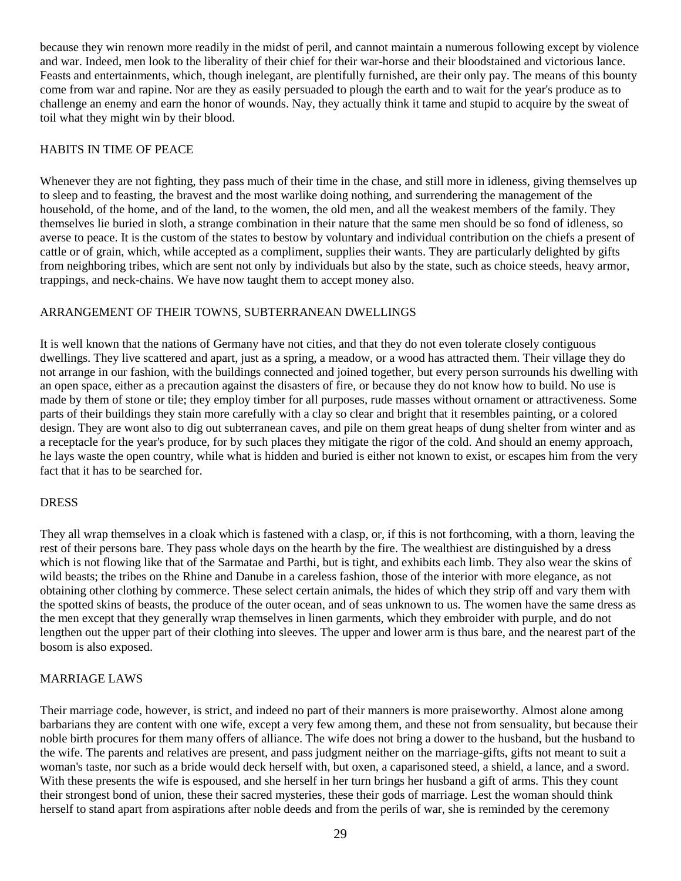because they win renown more readily in the midst of peril, and cannot maintain a numerous following except by violence and war. Indeed, men look to the liberality of their chief for their war-horse and their bloodstained and victorious lance. Feasts and entertainments, which, though inelegant, are plentifully furnished, are their only pay. The means of this bounty come from war and rapine. Nor are they as easily persuaded to plough the earth and to wait for the year's produce as to challenge an enemy and earn the honor of wounds. Nay, they actually think it tame and stupid to acquire by the sweat of toil what they might win by their blood.

## HABITS IN TIME OF PEACE

Whenever they are not fighting, they pass much of their time in the chase, and still more in idleness, giving themselves up to sleep and to feasting, the bravest and the most warlike doing nothing, and surrendering the management of the household, of the home, and of the land, to the women, the old men, and all the weakest members of the family. They themselves lie buried in sloth, a strange combination in their nature that the same men should be so fond of idleness, so averse to peace. It is the custom of the states to bestow by voluntary and individual contribution on the chiefs a present of cattle or of grain, which, while accepted as a compliment, supplies their wants. They are particularly delighted by gifts from neighboring tribes, which are sent not only by individuals but also by the state, such as choice steeds, heavy armor, trappings, and neck-chains. We have now taught them to accept money also.

### ARRANGEMENT OF THEIR TOWNS, SUBTERRANEAN DWELLINGS

It is well known that the nations of Germany have not cities, and that they do not even tolerate closely contiguous dwellings. They live scattered and apart, just as a spring, a meadow, or a wood has attracted them. Their village they do not arrange in our fashion, with the buildings connected and joined together, but every person surrounds his dwelling with an open space, either as a precaution against the disasters of fire, or because they do not know how to build. No use is made by them of stone or tile; they employ timber for all purposes, rude masses without ornament or attractiveness. Some parts of their buildings they stain more carefully with a clay so clear and bright that it resembles painting, or a colored design. They are wont also to dig out subterranean caves, and pile on them great heaps of dung shelter from winter and as a receptacle for the year's produce, for by such places they mitigate the rigor of the cold. And should an enemy approach, he lays waste the open country, while what is hidden and buried is either not known to exist, or escapes him from the very fact that it has to be searched for.

### DRESS

They all wrap themselves in a cloak which is fastened with a clasp, or, if this is not forthcoming, with a thorn, leaving the rest of their persons bare. They pass whole days on the hearth by the fire. The wealthiest are distinguished by a dress which is not flowing like that of the Sarmatae and Parthi, but is tight, and exhibits each limb. They also wear the skins of wild beasts; the tribes on the Rhine and Danube in a careless fashion, those of the interior with more elegance, as not obtaining other clothing by commerce. These select certain animals, the hides of which they strip off and vary them with the spotted skins of beasts, the produce of the outer ocean, and of seas unknown to us. The women have the same dress as the men except that they generally wrap themselves in linen garments, which they embroider with purple, and do not lengthen out the upper part of their clothing into sleeves. The upper and lower arm is thus bare, and the nearest part of the bosom is also exposed.

### MARRIAGE LAWS

Their marriage code, however, is strict, and indeed no part of their manners is more praiseworthy. Almost alone among barbarians they are content with one wife, except a very few among them, and these not from sensuality, but because their noble birth procures for them many offers of alliance. The wife does not bring a dower to the husband, but the husband to the wife. The parents and relatives are present, and pass judgment neither on the marriage-gifts, gifts not meant to suit a woman's taste, nor such as a bride would deck herself with, but oxen, a caparisoned steed, a shield, a lance, and a sword. With these presents the wife is espoused, and she herself in her turn brings her husband a gift of arms. This they count their strongest bond of union, these their sacred mysteries, these their gods of marriage. Lest the woman should think herself to stand apart from aspirations after noble deeds and from the perils of war, she is reminded by the ceremony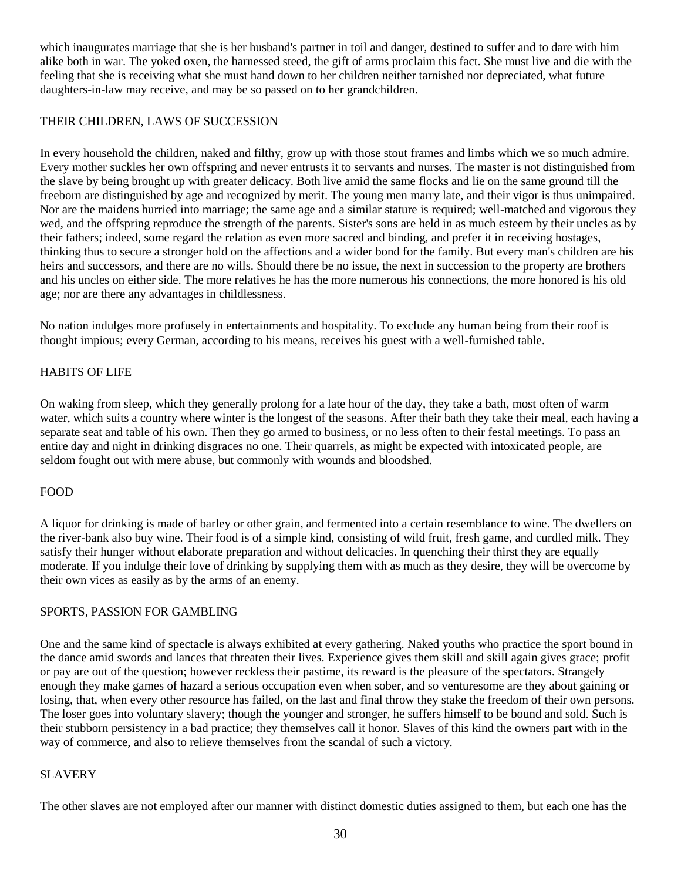which inaugurates marriage that she is her husband's partner in toil and danger, destined to suffer and to dare with him alike both in war. The yoked oxen, the harnessed steed, the gift of arms proclaim this fact. She must live and die with the feeling that she is receiving what she must hand down to her children neither tarnished nor depreciated, what future daughters-in-law may receive, and may be so passed on to her grandchildren.

## THEIR CHILDREN, LAWS OF SUCCESSION

In every household the children, naked and filthy, grow up with those stout frames and limbs which we so much admire. Every mother suckles her own offspring and never entrusts it to servants and nurses. The master is not distinguished from the slave by being brought up with greater delicacy. Both live amid the same flocks and lie on the same ground till the freeborn are distinguished by age and recognized by merit. The young men marry late, and their vigor is thus unimpaired. Nor are the maidens hurried into marriage; the same age and a similar stature is required; well-matched and vigorous they wed, and the offspring reproduce the strength of the parents. Sister's sons are held in as much esteem by their uncles as by their fathers; indeed, some regard the relation as even more sacred and binding, and prefer it in receiving hostages, thinking thus to secure a stronger hold on the affections and a wider bond for the family. But every man's children are his heirs and successors, and there are no wills. Should there be no issue, the next in succession to the property are brothers and his uncles on either side. The more relatives he has the more numerous his connections, the more honored is his old age; nor are there any advantages in childlessness.

No nation indulges more profusely in entertainments and hospitality. To exclude any human being from their roof is thought impious; every German, according to his means, receives his guest with a well-furnished table.

## HABITS OF LIFE

On waking from sleep, which they generally prolong for a late hour of the day, they take a bath, most often of warm water, which suits a country where winter is the longest of the seasons. After their bath they take their meal, each having a separate seat and table of his own. Then they go armed to business, or no less often to their festal meetings. To pass an entire day and night in drinking disgraces no one. Their quarrels, as might be expected with intoxicated people, are seldom fought out with mere abuse, but commonly with wounds and bloodshed.

## FOOD

A liquor for drinking is made of barley or other grain, and fermented into a certain resemblance to wine. The dwellers on the river-bank also buy wine. Their food is of a simple kind, consisting of wild fruit, fresh game, and curdled milk. They satisfy their hunger without elaborate preparation and without delicacies. In quenching their thirst they are equally moderate. If you indulge their love of drinking by supplying them with as much as they desire, they will be overcome by their own vices as easily as by the arms of an enemy.

### SPORTS, PASSION FOR GAMBLING

One and the same kind of spectacle is always exhibited at every gathering. Naked youths who practice the sport bound in the dance amid swords and lances that threaten their lives. Experience gives them skill and skill again gives grace; profit or pay are out of the question; however reckless their pastime, its reward is the pleasure of the spectators. Strangely enough they make games of hazard a serious occupation even when sober, and so venturesome are they about gaining or losing, that, when every other resource has failed, on the last and final throw they stake the freedom of their own persons. The loser goes into voluntary slavery; though the younger and stronger, he suffers himself to be bound and sold. Such is their stubborn persistency in a bad practice; they themselves call it honor. Slaves of this kind the owners part with in the way of commerce, and also to relieve themselves from the scandal of such a victory.

### **SLAVERY**

The other slaves are not employed after our manner with distinct domestic duties assigned to them, but each one has the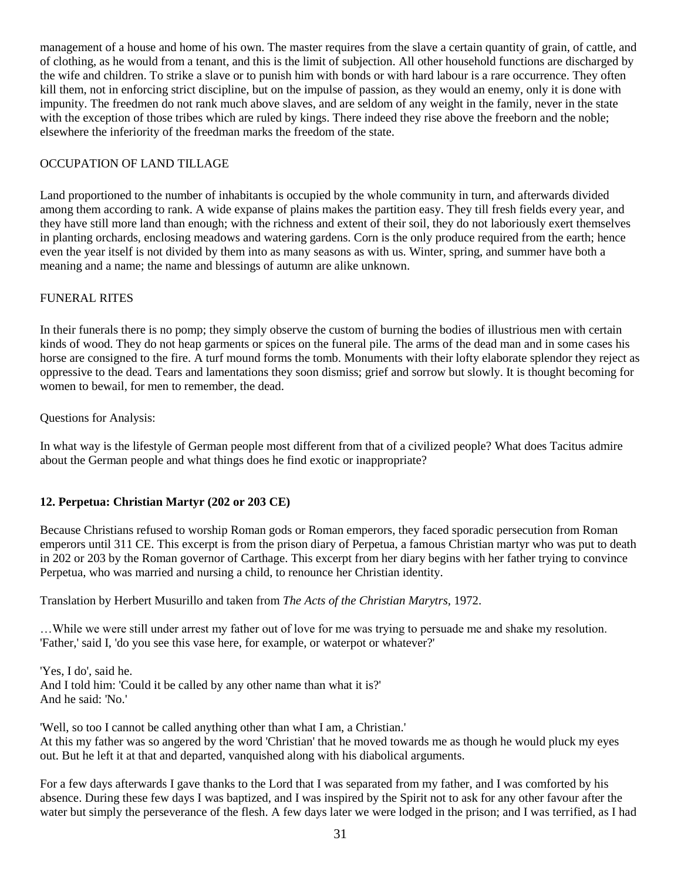management of a house and home of his own. The master requires from the slave a certain quantity of grain, of cattle, and of clothing, as he would from a tenant, and this is the limit of subjection. All other household functions are discharged by the wife and children. To strike a slave or to punish him with bonds or with hard labour is a rare occurrence. They often kill them, not in enforcing strict discipline, but on the impulse of passion, as they would an enemy, only it is done with impunity. The freedmen do not rank much above slaves, and are seldom of any weight in the family, never in the state with the exception of those tribes which are ruled by kings. There indeed they rise above the freeborn and the noble; elsewhere the inferiority of the freedman marks the freedom of the state.

## OCCUPATION OF LAND TILLAGE

Land proportioned to the number of inhabitants is occupied by the whole community in turn, and afterwards divided among them according to rank. A wide expanse of plains makes the partition easy. They till fresh fields every year, and they have still more land than enough; with the richness and extent of their soil, they do not laboriously exert themselves in planting orchards, enclosing meadows and watering gardens. Corn is the only produce required from the earth; hence even the year itself is not divided by them into as many seasons as with us. Winter, spring, and summer have both a meaning and a name; the name and blessings of autumn are alike unknown.

## FUNERAL RITES

In their funerals there is no pomp; they simply observe the custom of burning the bodies of illustrious men with certain kinds of wood. They do not heap garments or spices on the funeral pile. The arms of the dead man and in some cases his horse are consigned to the fire. A turf mound forms the tomb. Monuments with their lofty elaborate splendor they reject as oppressive to the dead. Tears and lamentations they soon dismiss; grief and sorrow but slowly. It is thought becoming for women to bewail, for men to remember, the dead.

Questions for Analysis:

In what way is the lifestyle of German people most different from that of a civilized people? What does Tacitus admire about the German people and what things does he find exotic or inappropriate?

## **12. Perpetua: Christian Martyr (202 or 203 CE)**

Because Christians refused to worship Roman gods or Roman emperors, they faced sporadic persecution from Roman emperors until 311 CE. This excerpt is from the prison diary of Perpetua, a famous Christian martyr who was put to death in 202 or 203 by the Roman governor of Carthage. This excerpt from her diary begins with her father trying to convince Perpetua, who was married and nursing a child, to renounce her Christian identity.

Translation by Herbert Musurillo and taken from *The Acts of the Christian Marytrs,* 1972.

…While we were still under arrest my father out of love for me was trying to persuade me and shake my resolution. 'Father,' said I, 'do you see this vase here, for example, or waterpot or whatever?'

'Yes, I do', said he. And I told him: 'Could it be called by any other name than what it is?' And he said: 'No.'

'Well, so too I cannot be called anything other than what I am, a Christian.' At this my father was so angered by the word 'Christian' that he moved towards me as though he would pluck my eyes out. But he left it at that and departed, vanquished along with his diabolical arguments.

For a few days afterwards I gave thanks to the Lord that I was separated from my father, and I was comforted by his absence. During these few days I was baptized, and I was inspired by the Spirit not to ask for any other favour after the water but simply the perseverance of the flesh. A few days later we were lodged in the prison; and I was terrified, as I had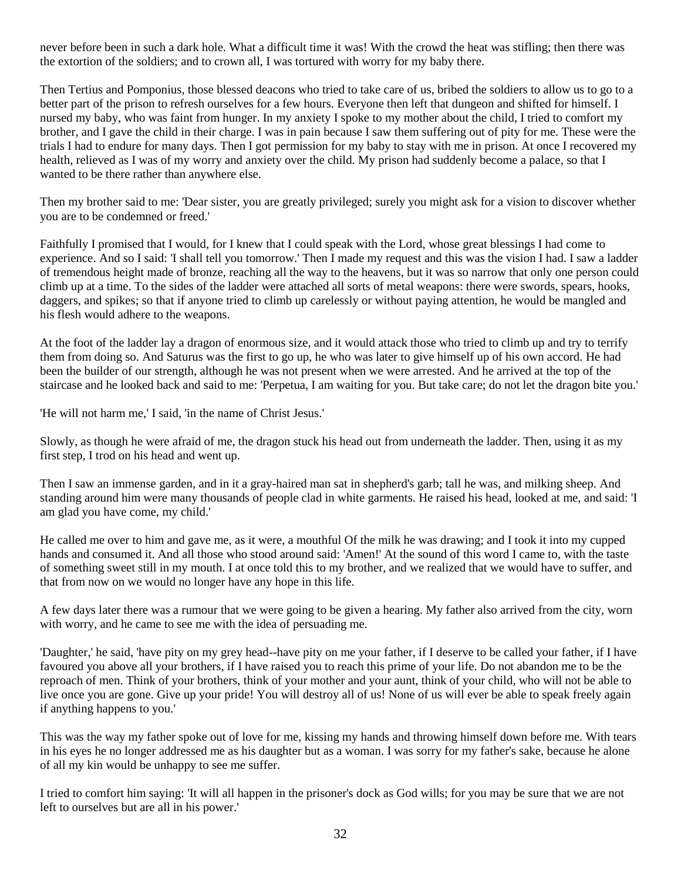never before been in such a dark hole. What a difficult time it was! With the crowd the heat was stifling; then there was the extortion of the soldiers; and to crown all, I was tortured with worry for my baby there.

Then Tertius and Pomponius, those blessed deacons who tried to take care of us, bribed the soldiers to allow us to go to a better part of the prison to refresh ourselves for a few hours. Everyone then left that dungeon and shifted for himself. I nursed my baby, who was faint from hunger. In my anxiety I spoke to my mother about the child, I tried to comfort my brother, and I gave the child in their charge. I was in pain because I saw them suffering out of pity for me. These were the trials I had to endure for many days. Then I got permission for my baby to stay with me in prison. At once I recovered my health, relieved as I was of my worry and anxiety over the child. My prison had suddenly become a palace, so that I wanted to be there rather than anywhere else.

Then my brother said to me: 'Dear sister, you are greatly privileged; surely you might ask for a vision to discover whether you are to be condemned or freed.'

Faithfully I promised that I would, for I knew that I could speak with the Lord, whose great blessings I had come to experience. And so I said: 'I shall tell you tomorrow.' Then I made my request and this was the vision I had. I saw a ladder of tremendous height made of bronze, reaching all the way to the heavens, but it was so narrow that only one person could climb up at a time. To the sides of the ladder were attached all sorts of metal weapons: there were swords, spears, hooks, daggers, and spikes; so that if anyone tried to climb up carelessly or without paying attention, he would be mangled and his flesh would adhere to the weapons.

At the foot of the ladder lay a dragon of enormous size, and it would attack those who tried to climb up and try to terrify them from doing so. And Saturus was the first to go up, he who was later to give himself up of his own accord. He had been the builder of our strength, although he was not present when we were arrested. And he arrived at the top of the staircase and he looked back and said to me: 'Perpetua, I am waiting for you. But take care; do not let the dragon bite you.'

'He will not harm me,' I said, 'in the name of Christ Jesus.'

Slowly, as though he were afraid of me, the dragon stuck his head out from underneath the ladder. Then, using it as my first step, I trod on his head and went up.

Then I saw an immense garden, and in it a gray-haired man sat in shepherd's garb; tall he was, and milking sheep. And standing around him were many thousands of people clad in white garments. He raised his head, looked at me, and said: 'I am glad you have come, my child.'

He called me over to him and gave me, as it were, a mouthful Of the milk he was drawing; and I took it into my cupped hands and consumed it. And all those who stood around said: 'Amen!' At the sound of this word I came to, with the taste of something sweet still in my mouth. I at once told this to my brother, and we realized that we would have to suffer, and that from now on we would no longer have any hope in this life.

A few days later there was a rumour that we were going to be given a hearing. My father also arrived from the city, worn with worry, and he came to see me with the idea of persuading me.

'Daughter,' he said, 'have pity on my grey head--have pity on me your father, if I deserve to be called your father, if I have favoured you above all your brothers, if I have raised you to reach this prime of your life. Do not abandon me to be the reproach of men. Think of your brothers, think of your mother and your aunt, think of your child, who will not be able to live once you are gone. Give up your pride! You will destroy all of us! None of us will ever be able to speak freely again if anything happens to you.'

This was the way my father spoke out of love for me, kissing my hands and throwing himself down before me. With tears in his eyes he no longer addressed me as his daughter but as a woman. I was sorry for my father's sake, because he alone of all my kin would be unhappy to see me suffer.

I tried to comfort him saying: 'It will all happen in the prisoner's dock as God wills; for you may be sure that we are not left to ourselves but are all in his power.'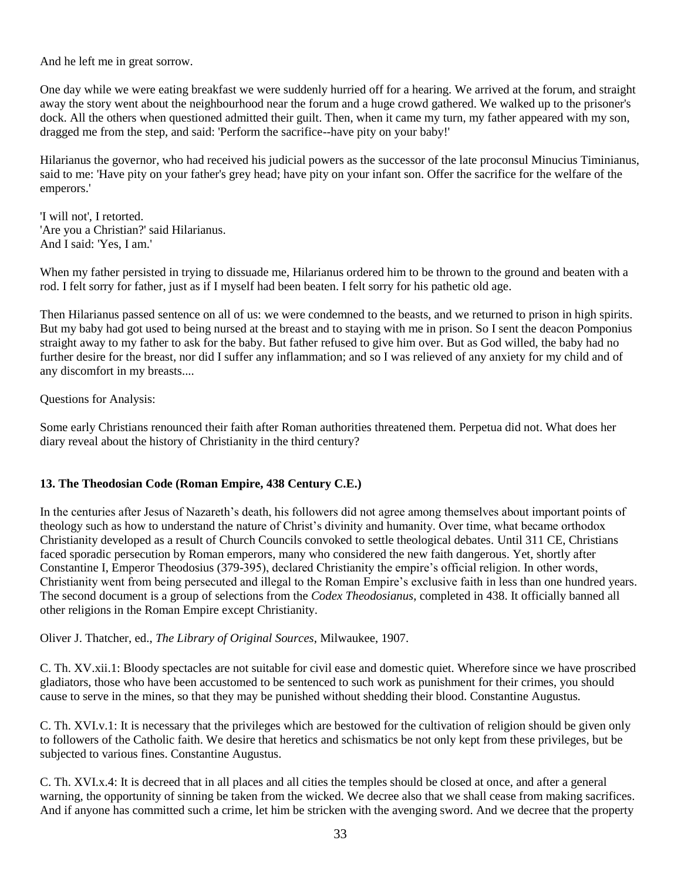And he left me in great sorrow.

One day while we were eating breakfast we were suddenly hurried off for a hearing. We arrived at the forum, and straight away the story went about the neighbourhood near the forum and a huge crowd gathered. We walked up to the prisoner's dock. All the others when questioned admitted their guilt. Then, when it came my turn, my father appeared with my son, dragged me from the step, and said: 'Perform the sacrifice--have pity on your baby!'

Hilarianus the governor, who had received his judicial powers as the successor of the late proconsul Minucius Timinianus, said to me: 'Have pity on your father's grey head; have pity on your infant son. Offer the sacrifice for the welfare of the emperors.'

'I will not', I retorted. 'Are you a Christian?' said Hilarianus. And I said: 'Yes, I am.'

When my father persisted in trying to dissuade me, Hilarianus ordered him to be thrown to the ground and beaten with a rod. I felt sorry for father, just as if I myself had been beaten. I felt sorry for his pathetic old age.

Then Hilarianus passed sentence on all of us: we were condemned to the beasts, and we returned to prison in high spirits. But my baby had got used to being nursed at the breast and to staying with me in prison. So I sent the deacon Pomponius straight away to my father to ask for the baby. But father refused to give him over. But as God willed, the baby had no further desire for the breast, nor did I suffer any inflammation; and so I was relieved of any anxiety for my child and of any discomfort in my breasts....

### Questions for Analysis:

Some early Christians renounced their faith after Roman authorities threatened them. Perpetua did not. What does her diary reveal about the history of Christianity in the third century?

### **13. The Theodosian Code (Roman Empire, 438 Century C.E.)**

In the centuries after Jesus of Nazareth's death, his followers did not agree among themselves about important points of theology such as how to understand the nature of Christ's divinity and humanity. Over time, what became orthodox Christianity developed as a result of Church Councils convoked to settle theological debates. Until 311 CE, Christians faced sporadic persecution by Roman emperors, many who considered the new faith dangerous. Yet, shortly after Constantine I, Emperor Theodosius (379-395), declared Christianity the empire's official religion. In other words, Christianity went from being persecuted and illegal to the Roman Empire's exclusive faith in less than one hundred years. The second document is a group of selections from the *Codex Theodosianus*, completed in 438. It officially banned all other religions in the Roman Empire except Christianity.

Oliver J. Thatcher, ed., *The Library of Original Sources*, Milwaukee, 1907.

C. Th. XV.xii.1: Bloody spectacles are not suitable for civil ease and domestic quiet. Wherefore since we have proscribed gladiators, those who have been accustomed to be sentenced to such work as punishment for their crimes, you should cause to serve in the mines, so that they may be punished without shedding their blood. Constantine Augustus.

C. Th. XVI.v.1: It is necessary that the privileges which are bestowed for the cultivation of religion should be given only to followers of the Catholic faith. We desire that heretics and schismatics be not only kept from these privileges, but be subjected to various fines. Constantine Augustus.

C. Th. XVI.x.4: It is decreed that in all places and all cities the temples should be closed at once, and after a general warning, the opportunity of sinning be taken from the wicked. We decree also that we shall cease from making sacrifices. And if anyone has committed such a crime, let him be stricken with the avenging sword. And we decree that the property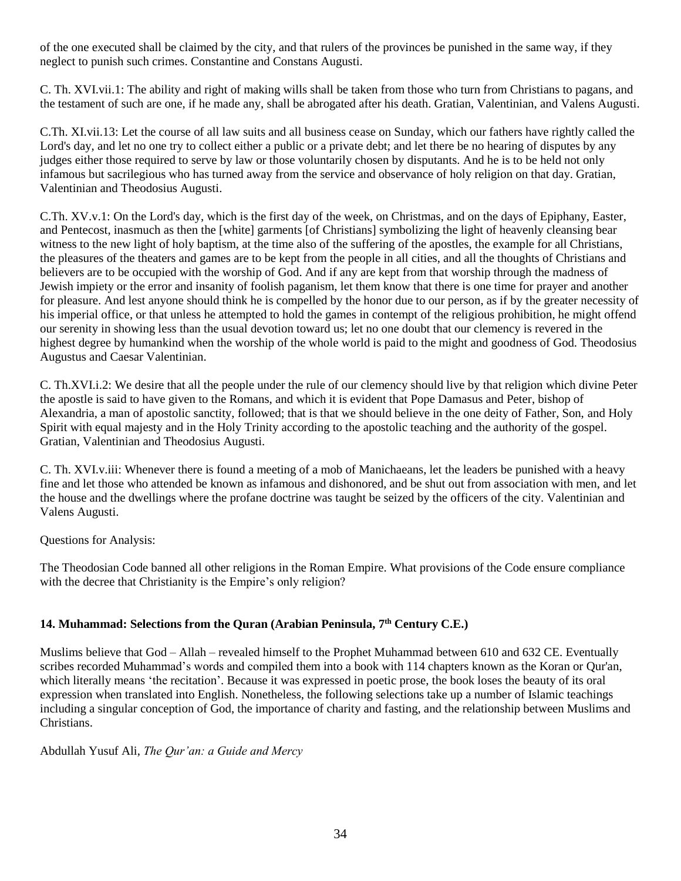of the one executed shall be claimed by the city, and that rulers of the provinces be punished in the same way, if they neglect to punish such crimes. Constantine and Constans Augusti.

C. Th. XVI.vii.1: The ability and right of making wills shall be taken from those who turn from Christians to pagans, and the testament of such are one, if he made any, shall be abrogated after his death. Gratian, Valentinian, and Valens Augusti.

C.Th. XI.vii.13: Let the course of all law suits and all business cease on Sunday, which our fathers have rightly called the Lord's day, and let no one try to collect either a public or a private debt; and let there be no hearing of disputes by any judges either those required to serve by law or those voluntarily chosen by disputants. And he is to be held not only infamous but sacrilegious who has turned away from the service and observance of holy religion on that day. Gratian, Valentinian and Theodosius Augusti.

C.Th. XV.v.1: On the Lord's day, which is the first day of the week, on Christmas, and on the days of Epiphany, Easter, and Pentecost, inasmuch as then the [white] garments [of Christians] symbolizing the light of heavenly cleansing bear witness to the new light of holy baptism, at the time also of the suffering of the apostles, the example for all Christians, the pleasures of the theaters and games are to be kept from the people in all cities, and all the thoughts of Christians and believers are to be occupied with the worship of God. And if any are kept from that worship through the madness of Jewish impiety or the error and insanity of foolish paganism, let them know that there is one time for prayer and another for pleasure. And lest anyone should think he is compelled by the honor due to our person, as if by the greater necessity of his imperial office, or that unless he attempted to hold the games in contempt of the religious prohibition, he might offend our serenity in showing less than the usual devotion toward us; let no one doubt that our clemency is revered in the highest degree by humankind when the worship of the whole world is paid to the might and goodness of God. Theodosius Augustus and Caesar Valentinian.

C. Th.XVI.i.2: We desire that all the people under the rule of our clemency should live by that religion which divine Peter the apostle is said to have given to the Romans, and which it is evident that Pope Damasus and Peter, bishop of Alexandria, a man of apostolic sanctity, followed; that is that we should believe in the one deity of Father, Son, and Holy Spirit with equal majesty and in the Holy Trinity according to the apostolic teaching and the authority of the gospel. Gratian, Valentinian and Theodosius Augusti.

C. Th. XVI.v.iii: Whenever there is found a meeting of a mob of Manichaeans, let the leaders be punished with a heavy fine and let those who attended be known as infamous and dishonored, and be shut out from association with men, and let the house and the dwellings where the profane doctrine was taught be seized by the officers of the city. Valentinian and Valens Augusti.

Questions for Analysis:

The Theodosian Code banned all other religions in the Roman Empire. What provisions of the Code ensure compliance with the decree that Christianity is the Empire's only religion?

## **14. Muhammad: Selections from the Quran (Arabian Peninsula, 7th Century C.E.)**

Muslims believe that God – Allah – revealed himself to the Prophet Muhammad between 610 and 632 CE. Eventually scribes recorded Muhammad's words and compiled them into a book with 114 chapters known as the Koran or Qur'an, which literally means 'the recitation'. Because it was expressed in poetic prose, the book loses the beauty of its oral expression when translated into English. Nonetheless, the following selections take up a number of Islamic teachings including a singular conception of God, the importance of charity and fasting, and the relationship between Muslims and Christians.

Abdullah Yusuf Ali, *The Qur'an: a Guide and Mercy*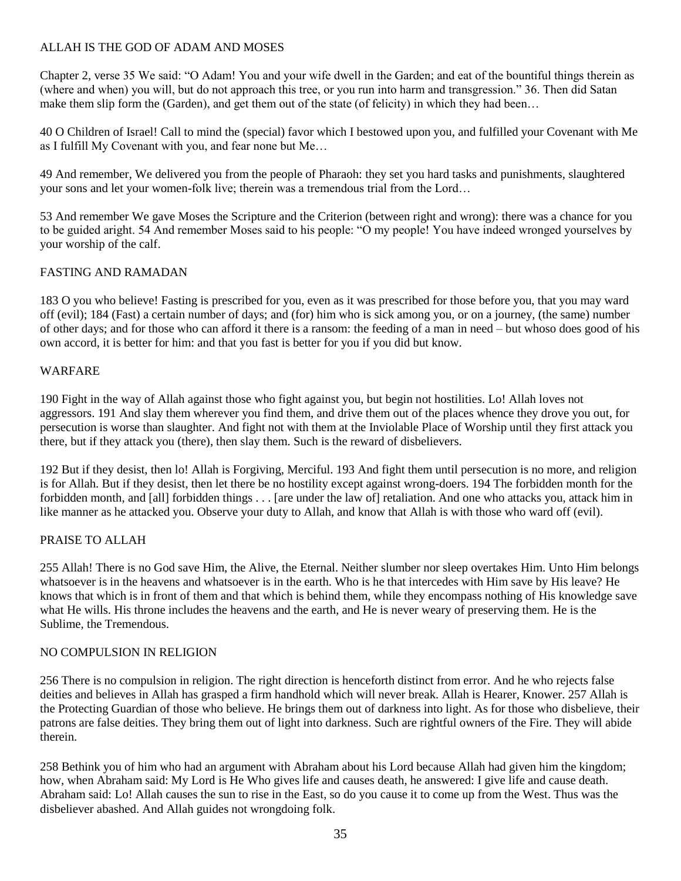## ALLAH IS THE GOD OF ADAM AND MOSES

Chapter 2, verse 35 We said: "O Adam! You and your wife dwell in the Garden; and eat of the bountiful things therein as (where and when) you will, but do not approach this tree, or you run into harm and transgression." 36. Then did Satan make them slip form the (Garden), and get them out of the state (of felicity) in which they had been...

40 O Children of Israel! Call to mind the (special) favor which I bestowed upon you, and fulfilled your Covenant with Me as I fulfill My Covenant with you, and fear none but Me…

49 And remember, We delivered you from the people of Pharaoh: they set you hard tasks and punishments, slaughtered your sons and let your women-folk live; therein was a tremendous trial from the Lord…

53 And remember We gave Moses the Scripture and the Criterion (between right and wrong): there was a chance for you to be guided aright. 54 And remember Moses said to his people: "O my people! You have indeed wronged yourselves by your worship of the calf.

## FASTING AND RAMADAN

183 O you who believe! Fasting is prescribed for you, even as it was prescribed for those before you, that you may ward off (evil); 184 (Fast) a certain number of days; and (for) him who is sick among you, or on a journey, (the same) number of other days; and for those who can afford it there is a ransom: the feeding of a man in need – but whoso does good of his own accord, it is better for him: and that you fast is better for you if you did but know.

### WARFARE

190 Fight in the way of Allah against those who fight against you, but begin not hostilities. Lo! Allah loves not aggressors. 191 And slay them wherever you find them, and drive them out of the places whence they drove you out, for persecution is worse than slaughter. And fight not with them at the Inviolable Place of Worship until they first attack you there, but if they attack you (there), then slay them. Such is the reward of disbelievers.

192 But if they desist, then lo! Allah is Forgiving, Merciful. 193 And fight them until persecution is no more, and religion is for Allah. But if they desist, then let there be no hostility except against wrong-doers. 194 The forbidden month for the forbidden month, and [all] forbidden things . . . [are under the law of] retaliation. And one who attacks you, attack him in like manner as he attacked you. Observe your duty to Allah, and know that Allah is with those who ward off (evil).

### PRAISE TO ALLAH

255 Allah! There is no God save Him, the Alive, the Eternal. Neither slumber nor sleep overtakes Him. Unto Him belongs whatsoever is in the heavens and whatsoever is in the earth. Who is he that intercedes with Him save by His leave? He knows that which is in front of them and that which is behind them, while they encompass nothing of His knowledge save what He wills. His throne includes the heavens and the earth, and He is never weary of preserving them. He is the Sublime, the Tremendous.

### NO COMPULSION IN RELIGION

256 There is no compulsion in religion. The right direction is henceforth distinct from error. And he who rejects false deities and believes in Allah has grasped a firm handhold which will never break. Allah is Hearer, Knower. 257 Allah is the Protecting Guardian of those who believe. He brings them out of darkness into light. As for those who disbelieve, their patrons are false deities. They bring them out of light into darkness. Such are rightful owners of the Fire. They will abide therein.

258 Bethink you of him who had an argument with Abraham about his Lord because Allah had given him the kingdom; how, when Abraham said: My Lord is He Who gives life and causes death, he answered: I give life and cause death. Abraham said: Lo! Allah causes the sun to rise in the East, so do you cause it to come up from the West. Thus was the disbeliever abashed. And Allah guides not wrongdoing folk.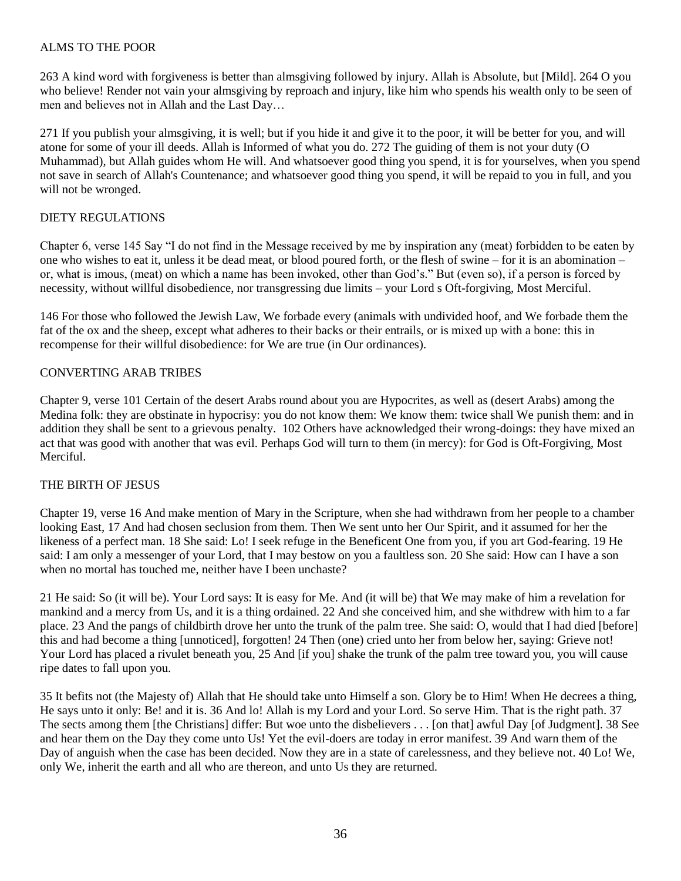## ALMS TO THE POOR

263 A kind word with forgiveness is better than almsgiving followed by injury. Allah is Absolute, but [Mild]. 264 O you who believe! Render not vain your almsgiving by reproach and injury, like him who spends his wealth only to be seen of men and believes not in Allah and the Last Day…

271 If you publish your almsgiving, it is well; but if you hide it and give it to the poor, it will be better for you, and will atone for some of your ill deeds. Allah is Informed of what you do. 272 The guiding of them is not your duty (O Muhammad), but Allah guides whom He will. And whatsoever good thing you spend, it is for yourselves, when you spend not save in search of Allah's Countenance; and whatsoever good thing you spend, it will be repaid to you in full, and you will not be wronged.

## DIETY REGULATIONS

Chapter 6, verse 145 Say "I do not find in the Message received by me by inspiration any (meat) forbidden to be eaten by one who wishes to eat it, unless it be dead meat, or blood poured forth, or the flesh of swine – for it is an abomination – or, what is imous, (meat) on which a name has been invoked, other than God's." But (even so), if a person is forced by necessity, without willful disobedience, nor transgressing due limits – your Lord s Oft-forgiving, Most Merciful.

146 For those who followed the Jewish Law, We forbade every (animals with undivided hoof, and We forbade them the fat of the ox and the sheep, except what adheres to their backs or their entrails, or is mixed up with a bone: this in recompense for their willful disobedience: for We are true (in Our ordinances).

### CONVERTING ARAB TRIBES

Chapter 9, verse 101 Certain of the desert Arabs round about you are Hypocrites, as well as (desert Arabs) among the Medina folk: they are obstinate in hypocrisy: you do not know them: We know them: twice shall We punish them: and in addition they shall be sent to a grievous penalty. 102 Others have acknowledged their wrong-doings: they have mixed an act that was good with another that was evil. Perhaps God will turn to them (in mercy): for God is Oft-Forgiving, Most Merciful.

### THE BIRTH OF JESUS

Chapter 19, verse 16 And make mention of Mary in the Scripture, when she had withdrawn from her people to a chamber looking East, 17 And had chosen seclusion from them. Then We sent unto her Our Spirit, and it assumed for her the likeness of a perfect man. 18 She said: Lo! I seek refuge in the Beneficent One from you, if you art God-fearing. 19 He said: I am only a messenger of your Lord, that I may bestow on you a faultless son. 20 She said: How can I have a son when no mortal has touched me, neither have I been unchaste?

21 He said: So (it will be). Your Lord says: It is easy for Me. And (it will be) that We may make of him a revelation for mankind and a mercy from Us, and it is a thing ordained. 22 And she conceived him, and she withdrew with him to a far place. 23 And the pangs of childbirth drove her unto the trunk of the palm tree. She said: O, would that I had died [before] this and had become a thing [unnoticed], forgotten! 24 Then (one) cried unto her from below her, saying: Grieve not! Your Lord has placed a rivulet beneath you, 25 And [if you] shake the trunk of the palm tree toward you, you will cause ripe dates to fall upon you.

35 It befits not (the Majesty of) Allah that He should take unto Himself a son. Glory be to Him! When He decrees a thing, He says unto it only: Be! and it is. 36 And lo! Allah is my Lord and your Lord. So serve Him. That is the right path. 37 The sects among them [the Christians] differ: But woe unto the disbelievers . . . [on that] awful Day [of Judgment]. 38 See and hear them on the Day they come unto Us! Yet the evil-doers are today in error manifest. 39 And warn them of the Day of anguish when the case has been decided. Now they are in a state of carelessness, and they believe not. 40 Lo! We, only We, inherit the earth and all who are thereon, and unto Us they are returned.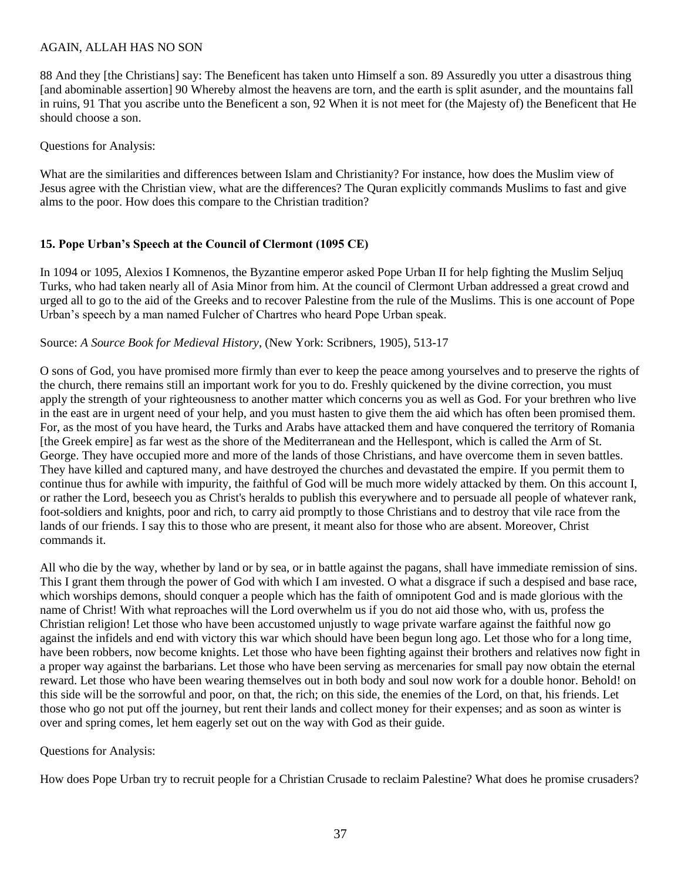### AGAIN, ALLAH HAS NO SON

88 And they [the Christians] say: The Beneficent has taken unto Himself a son. 89 Assuredly you utter a disastrous thing [and abominable assertion] 90 Whereby almost the heavens are torn, and the earth is split asunder, and the mountains fall in ruins, 91 That you ascribe unto the Beneficent a son, 92 When it is not meet for (the Majesty of) the Beneficent that He should choose a son.

Questions for Analysis:

What are the similarities and differences between Islam and Christianity? For instance, how does the Muslim view of Jesus agree with the Christian view, what are the differences? The Quran explicitly commands Muslims to fast and give alms to the poor. How does this compare to the Christian tradition?

### **15. Pope Urban's Speech at the Council of Clermont (1095 CE)**

In 1094 or 1095, Alexios I Komnenos, the Byzantine emperor asked Pope Urban II for help fighting the Muslim Seljuq Turks, who had taken nearly all of Asia Minor from him. At the council of Clermont Urban addressed a great crowd and urged all to go to the aid of the Greeks and to recover Palestine from the rule of the Muslims. This is one account of Pope Urban's speech by a man named Fulcher of Chartres who heard Pope Urban speak.

## Source: *A Source Book for Medieval History*, (New York: Scribners, 1905), 513-17

O sons of God, you have promised more firmly than ever to keep the peace among yourselves and to preserve the rights of the church, there remains still an important work for you to do. Freshly quickened by the divine correction, you must apply the strength of your righteousness to another matter which concerns you as well as God. For your brethren who live in the east are in urgent need of your help, and you must hasten to give them the aid which has often been promised them. For, as the most of you have heard, the Turks and Arabs have attacked them and have conquered the territory of Romania [the Greek empire] as far west as the shore of the Mediterranean and the Hellespont, which is called the Arm of St. George. They have occupied more and more of the lands of those Christians, and have overcome them in seven battles. They have killed and captured many, and have destroyed the churches and devastated the empire. If you permit them to continue thus for awhile with impurity, the faithful of God will be much more widely attacked by them. On this account I, or rather the Lord, beseech you as Christ's heralds to publish this everywhere and to persuade all people of whatever rank, foot-soldiers and knights, poor and rich, to carry aid promptly to those Christians and to destroy that vile race from the lands of our friends. I say this to those who are present, it meant also for those who are absent. Moreover, Christ commands it.

All who die by the way, whether by land or by sea, or in battle against the pagans, shall have immediate remission of sins. This I grant them through the power of God with which I am invested. O what a disgrace if such a despised and base race, which worships demons, should conquer a people which has the faith of omnipotent God and is made glorious with the name of Christ! With what reproaches will the Lord overwhelm us if you do not aid those who, with us, profess the Christian religion! Let those who have been accustomed unjustly to wage private warfare against the faithful now go against the infidels and end with victory this war which should have been begun long ago. Let those who for a long time, have been robbers, now become knights. Let those who have been fighting against their brothers and relatives now fight in a proper way against the barbarians. Let those who have been serving as mercenaries for small pay now obtain the eternal reward. Let those who have been wearing themselves out in both body and soul now work for a double honor. Behold! on this side will be the sorrowful and poor, on that, the rich; on this side, the enemies of the Lord, on that, his friends. Let those who go not put off the journey, but rent their lands and collect money for their expenses; and as soon as winter is over and spring comes, let hem eagerly set out on the way with God as their guide.

#### Questions for Analysis:

How does Pope Urban try to recruit people for a Christian Crusade to reclaim Palestine? What does he promise crusaders?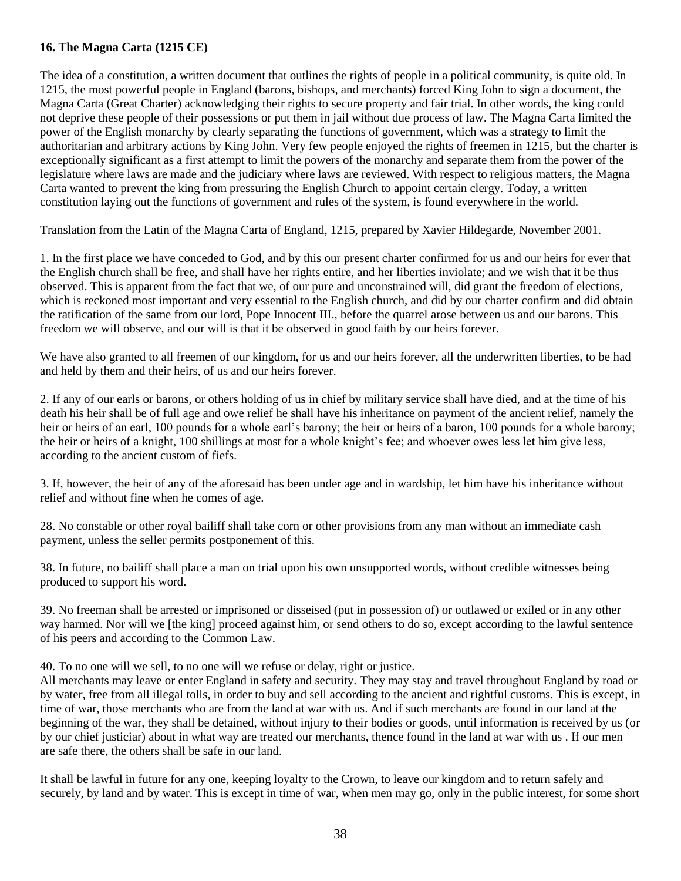## **16. The Magna Carta (1215 CE)**

The idea of a constitution, a written document that outlines the rights of people in a political community, is quite old. In 1215, the most powerful people in England (barons, bishops, and merchants) forced King John to sign a document, the Magna Carta (Great Charter) acknowledging their rights to secure property and fair trial. In other words, the king could not deprive these people of their possessions or put them in jail without due process of law. The Magna Carta limited the power of the English monarchy by clearly separating the functions of government, which was a strategy to limit the authoritarian and arbitrary actions by King John. Very few people enjoyed the rights of freemen in 1215, but the charter is exceptionally significant as a first attempt to limit the powers of the monarchy and separate them from the power of the legislature where laws are made and the judiciary where laws are reviewed. With respect to religious matters, the Magna Carta wanted to prevent the king from pressuring the English Church to appoint certain clergy. Today, a written constitution laying out the functions of government and rules of the system, is found everywhere in the world.

Translation from the Latin of the Magna Carta of England, 1215, prepared by Xavier Hildegarde, November 2001.

1. In the first place we have conceded to God, and by this our present charter confirmed for us and our heirs for ever that the English church shall be free, and shall have her rights entire, and her liberties inviolate; and we wish that it be thus observed. This is apparent from the fact that we, of our pure and unconstrained will, did grant the freedom of elections, which is reckoned most important and very essential to the English church, and did by our charter confirm and did obtain the ratification of the same from our lord, Pope Innocent III., before the quarrel arose between us and our barons. This freedom we will observe, and our will is that it be observed in good faith by our heirs forever.

We have also granted to all freemen of our kingdom, for us and our heirs forever, all the underwritten liberties, to be had and held by them and their heirs, of us and our heirs forever.

2. If any of our earls or barons, or others holding of us in chief by military service shall have died, and at the time of his death his heir shall be of full age and owe relief he shall have his inheritance on payment of the ancient relief, namely the heir or heirs of an earl, 100 pounds for a whole earl's barony; the heir or heirs of a baron, 100 pounds for a whole barony; the heir or heirs of a knight, 100 shillings at most for a whole knight's fee; and whoever owes less let him give less, according to the ancient custom of fiefs.

3. If, however, the heir of any of the aforesaid has been under age and in wardship, let him have his inheritance without relief and without fine when he comes of age.

28. No constable or other royal bailiff shall take corn or other provisions from any man without an immediate cash payment, unless the seller permits postponement of this.

38. In future, no bailiff shall place a man on trial upon his own unsupported words, without credible witnesses being produced to support his word.

39. No freeman shall be arrested or imprisoned or disseised (put in possession of) or outlawed or exiled or in any other way harmed. Nor will we [the king] proceed against him, or send others to do so, except according to the lawful sentence of his peers and according to the Common Law.

40. To no one will we sell, to no one will we refuse or delay, right or justice.

All merchants may leave or enter England in safety and security. They may stay and travel throughout England by road or by water, free from all illegal tolls, in order to buy and sell according to the ancient and rightful customs. This is except, in time of war, those merchants who are from the land at war with us. And if such merchants are found in our land at the beginning of the war, they shall be detained, without injury to their bodies or goods, until information is received by us (or by our chief justiciar) about in what way are treated our merchants, thence found in the land at war with us . If our men are safe there, the others shall be safe in our land.

It shall be lawful in future for any one, keeping loyalty to the Crown, to leave our kingdom and to return safely and securely, by land and by water. This is except in time of war, when men may go, only in the public interest, for some short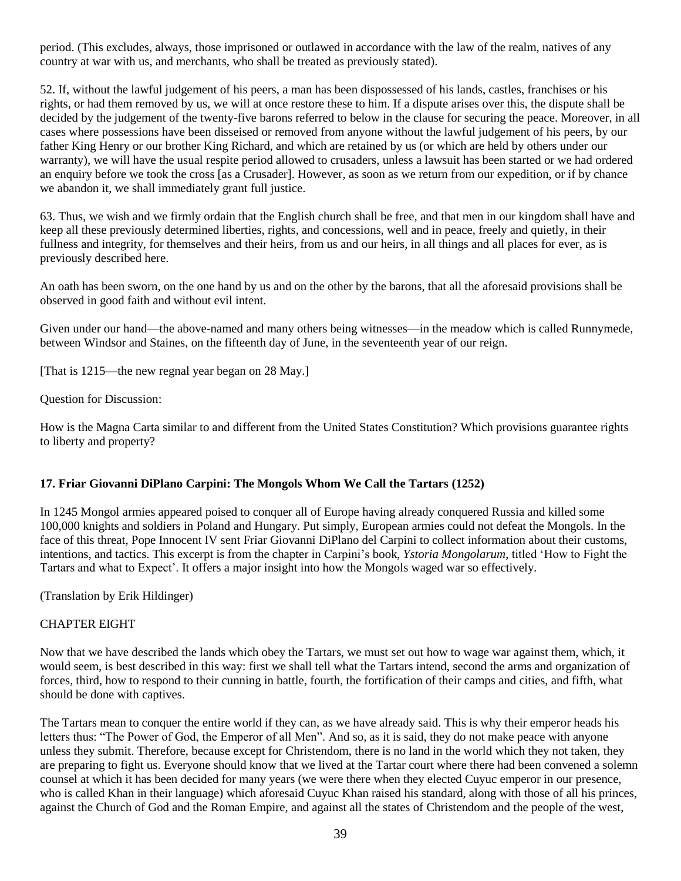period. (This excludes, always, those imprisoned or outlawed in accordance with the law of the realm, natives of any country at war with us, and merchants, who shall be treated as [previously stated\)](http://www.magnacartaplus.org/magnacarta/#article41).

52. If, without the lawful judgement of his peers, a man has been dispossessed of his lands, castles, franchises or his rights, or had them removed by us, we will at once restore these to him. If a dispute arises over this, the dispute shall be decided by the judgement of the twenty-five barons referred to [below](http://www.magnacartaplus.org/magnacarta/#article61) in the clause for securing the peace. Moreover, in all cases where possessions have been disseised or removed from anyone without the lawful judgement of his peers, by our father King Henry or our brother King Richard, and which are retained by us (or which are held by others under our warranty), we will have the usual respite period allowed to crusaders, unless a lawsuit has been started or we had ordered an enquiry before we took the cross [as a Crusader]. However, as soon as we return from our expedition, or if by chance we abandon it, we shall immediately grant full justice.

63. Thus, we wish and we firmly ordain that the English church shall be free, and that men in our kingdom shall have and keep all these previously determined liberties, rights, and concessions, well and in peace, freely and quietly, in their fullness and integrity, for themselves and their heirs, from us and our heirs, in all things and all places for ever, as is previously described here.

An oath has been sworn, on the one hand by us and on the other by the barons, that all the aforesaid provisions shall be observed in good faith and without evil intent.

Given under our hand—the above-named and many others being witnesses—in the meadow which is called Runnymede, between Windsor and Staines, on the fifteenth day of June, in the seventeenth year of our reign.

[That is 1215—the new regnal year began on 28 May.]

Question for Discussion:

How is the Magna Carta similar to and different from the United States Constitution? Which provisions guarantee rights to liberty and property?

## **17. Friar Giovanni DiPlano Carpini: The Mongols Whom We Call the Tartars (1252)**

In 1245 Mongol armies appeared poised to conquer all of Europe having already conquered Russia and killed some 100,000 knights and soldiers in Poland and Hungary. Put simply, European armies could not defeat the Mongols. In the face of this threat, Pope Innocent IV sent Friar Giovanni DiPlano del Carpini to collect information about their customs, intentions, and tactics. This excerpt is from the chapter in Carpini's book, *Ystoria Mongolarum*, titled 'How to Fight the Tartars and what to Expect'. It offers a major insight into how the Mongols waged war so effectively.

(Translation by Erik Hildinger)

### CHAPTER EIGHT

Now that we have described the lands which obey the Tartars, we must set out how to wage war against them, which, it would seem, is best described in this way: first we shall tell what the Tartars intend, second the arms and organization of forces, third, how to respond to their cunning in battle, fourth, the fortification of their camps and cities, and fifth, what should be done with captives.

The Tartars mean to conquer the entire world if they can, as we have already said. This is why their emperor heads his letters thus: "The Power of God, the Emperor of all Men". And so, as it is said, they do not make peace with anyone unless they submit. Therefore, because except for Christendom, there is no land in the world which they not taken, they are preparing to fight us. Everyone should know that we lived at the Tartar court where there had been convened a solemn counsel at which it has been decided for many years (we were there when they elected Cuyuc emperor in our presence, who is called Khan in their language) which aforesaid Cuyuc Khan raised his standard, along with those of all his princes, against the Church of God and the Roman Empire, and against all the states of Christendom and the people of the west,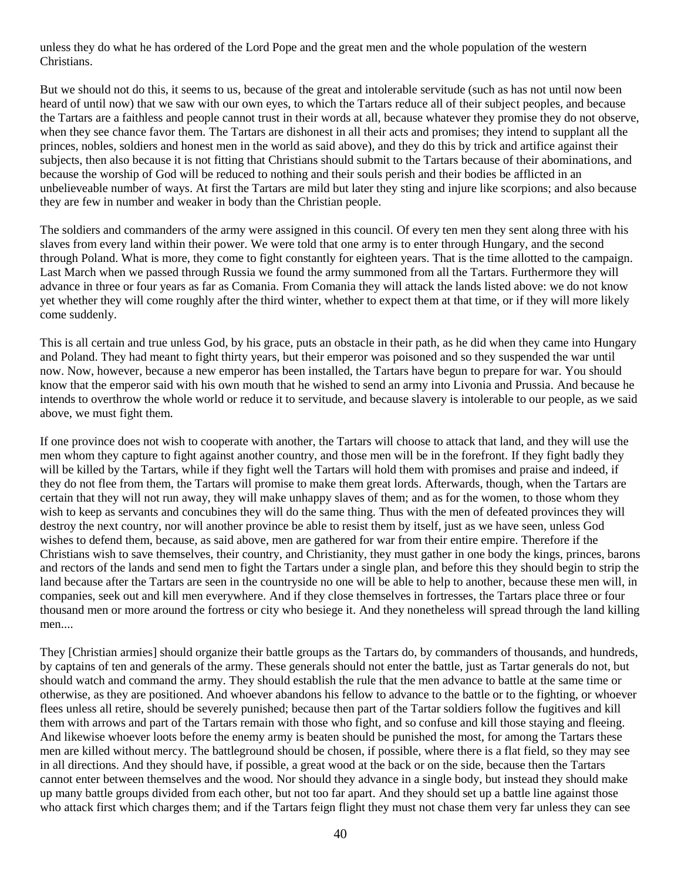unless they do what he has ordered of the Lord Pope and the great men and the whole population of the western Christians.

But we should not do this, it seems to us, because of the great and intolerable servitude (such as has not until now been heard of until now) that we saw with our own eyes, to which the Tartars reduce all of their subject peoples, and because the Tartars are a faithless and people cannot trust in their words at all, because whatever they promise they do not observe, when they see chance favor them. The Tartars are dishonest in all their acts and promises; they intend to supplant all the princes, nobles, soldiers and honest men in the world as said above), and they do this by trick and artifice against their subjects, then also because it is not fitting that Christians should submit to the Tartars because of their abominations, and because the worship of God will be reduced to nothing and their souls perish and their bodies be afflicted in an unbelieveable number of ways. At first the Tartars are mild but later they sting and injure like scorpions; and also because they are few in number and weaker in body than the Christian people.

The soldiers and commanders of the army were assigned in this council. Of every ten men they sent along three with his slaves from every land within their power. We were told that one army is to enter through Hungary, and the second through Poland. What is more, they come to fight constantly for eighteen years. That is the time allotted to the campaign. Last March when we passed through Russia we found the army summoned from all the Tartars. Furthermore they will advance in three or four years as far as Comania. From Comania they will attack the lands listed above: we do not know yet whether they will come roughly after the third winter, whether to expect them at that time, or if they will more likely come suddenly.

This is all certain and true unless God, by his grace, puts an obstacle in their path, as he did when they came into Hungary and Poland. They had meant to fight thirty years, but their emperor was poisoned and so they suspended the war until now. Now, however, because a new emperor has been installed, the Tartars have begun to prepare for war. You should know that the emperor said with his own mouth that he wished to send an army into Livonia and Prussia. And because he intends to overthrow the whole world or reduce it to servitude, and because slavery is intolerable to our people, as we said above, we must fight them.

If one province does not wish to cooperate with another, the Tartars will choose to attack that land, and they will use the men whom they capture to fight against another country, and those men will be in the forefront. If they fight badly they will be killed by the Tartars, while if they fight well the Tartars will hold them with promises and praise and indeed, if they do not flee from them, the Tartars will promise to make them great lords. Afterwards, though, when the Tartars are certain that they will not run away, they will make unhappy slaves of them; and as for the women, to those whom they wish to keep as servants and concubines they will do the same thing. Thus with the men of defeated provinces they will destroy the next country, nor will another province be able to resist them by itself, just as we have seen, unless God wishes to defend them, because, as said above, men are gathered for war from their entire empire. Therefore if the Christians wish to save themselves, their country, and Christianity, they must gather in one body the kings, princes, barons and rectors of the lands and send men to fight the Tartars under a single plan, and before this they should begin to strip the land because after the Tartars are seen in the countryside no one will be able to help to another, because these men will, in companies, seek out and kill men everywhere. And if they close themselves in fortresses, the Tartars place three or four thousand men or more around the fortress or city who besiege it. And they nonetheless will spread through the land killing men....

They [Christian armies] should organize their battle groups as the Tartars do, by commanders of thousands, and hundreds, by captains of ten and generals of the army. These generals should not enter the battle, just as Tartar generals do not, but should watch and command the army. They should establish the rule that the men advance to battle at the same time or otherwise, as they are positioned. And whoever abandons his fellow to advance to the battle or to the fighting, or whoever flees unless all retire, should be severely punished; because then part of the Tartar soldiers follow the fugitives and kill them with arrows and part of the Tartars remain with those who fight, and so confuse and kill those staying and fleeing. And likewise whoever loots before the enemy army is beaten should be punished the most, for among the Tartars these men are killed without mercy. The battleground should be chosen, if possible, where there is a flat field, so they may see in all directions. And they should have, if possible, a great wood at the back or on the side, because then the Tartars cannot enter between themselves and the wood. Nor should they advance in a single body, but instead they should make up many battle groups divided from each other, but not too far apart. And they should set up a battle line against those who attack first which charges them; and if the Tartars feign flight they must not chase them very far unless they can see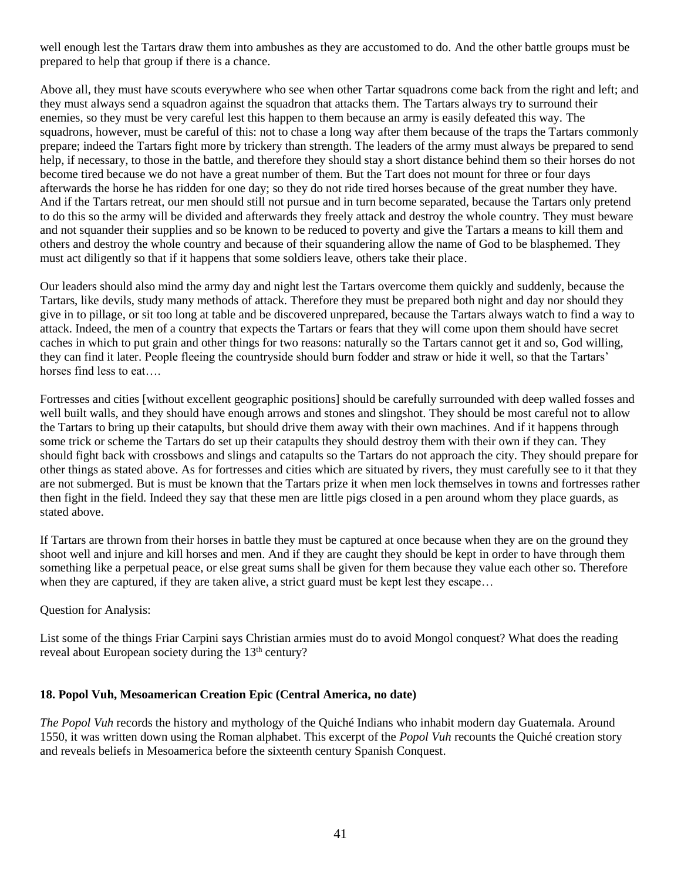well enough lest the Tartars draw them into ambushes as they are accustomed to do. And the other battle groups must be prepared to help that group if there is a chance.

Above all, they must have scouts everywhere who see when other Tartar squadrons come back from the right and left; and they must always send a squadron against the squadron that attacks them. The Tartars always try to surround their enemies, so they must be very careful lest this happen to them because an army is easily defeated this way. The squadrons, however, must be careful of this: not to chase a long way after them because of the traps the Tartars commonly prepare; indeed the Tartars fight more by trickery than strength. The leaders of the army must always be prepared to send help, if necessary, to those in the battle, and therefore they should stay a short distance behind them so their horses do not become tired because we do not have a great number of them. But the Tart does not mount for three or four days afterwards the horse he has ridden for one day; so they do not ride tired horses because of the great number they have. And if the Tartars retreat, our men should still not pursue and in turn become separated, because the Tartars only pretend to do this so the army will be divided and afterwards they freely attack and destroy the whole country. They must beware and not squander their supplies and so be known to be reduced to poverty and give the Tartars a means to kill them and others and destroy the whole country and because of their squandering allow the name of God to be blasphemed. They must act diligently so that if it happens that some soldiers leave, others take their place.

Our leaders should also mind the army day and night lest the Tartars overcome them quickly and suddenly, because the Tartars, like devils, study many methods of attack. Therefore they must be prepared both night and day nor should they give in to pillage, or sit too long at table and be discovered unprepared, because the Tartars always watch to find a way to attack. Indeed, the men of a country that expects the Tartars or fears that they will come upon them should have secret caches in which to put grain and other things for two reasons: naturally so the Tartars cannot get it and so, God willing, they can find it later. People fleeing the countryside should burn fodder and straw or hide it well, so that the Tartars' horses find less to eat….

Fortresses and cities [without excellent geographic positions] should be carefully surrounded with deep walled fosses and well built walls, and they should have enough arrows and stones and slingshot. They should be most careful not to allow the Tartars to bring up their catapults, but should drive them away with their own machines. And if it happens through some trick or scheme the Tartars do set up their catapults they should destroy them with their own if they can. They should fight back with crossbows and slings and catapults so the Tartars do not approach the city. They should prepare for other things as stated above. As for fortresses and cities which are situated by rivers, they must carefully see to it that they are not submerged. But is must be known that the Tartars prize it when men lock themselves in towns and fortresses rather then fight in the field. Indeed they say that these men are little pigs closed in a pen around whom they place guards, as stated above.

If Tartars are thrown from their horses in battle they must be captured at once because when they are on the ground they shoot well and injure and kill horses and men. And if they are caught they should be kept in order to have through them something like a perpetual peace, or else great sums shall be given for them because they value each other so. Therefore when they are captured, if they are taken alive, a strict guard must be kept lest they escape...

Question for Analysis:

List some of the things Friar Carpini says Christian armies must do to avoid Mongol conquest? What does the reading reveal about European society during the  $13<sup>th</sup>$  century?

### **18. Popol Vuh, Mesoamerican Creation Epic (Central America, no date)**

*The Popol Vuh* records the history and mythology of the Quiché Indians who inhabit modern day Guatemala. Around 1550, it was written down using the Roman alphabet. This excerpt of the *Popol Vuh* recounts the Quiché creation story and reveals beliefs in Mesoamerica before the sixteenth century Spanish Conquest.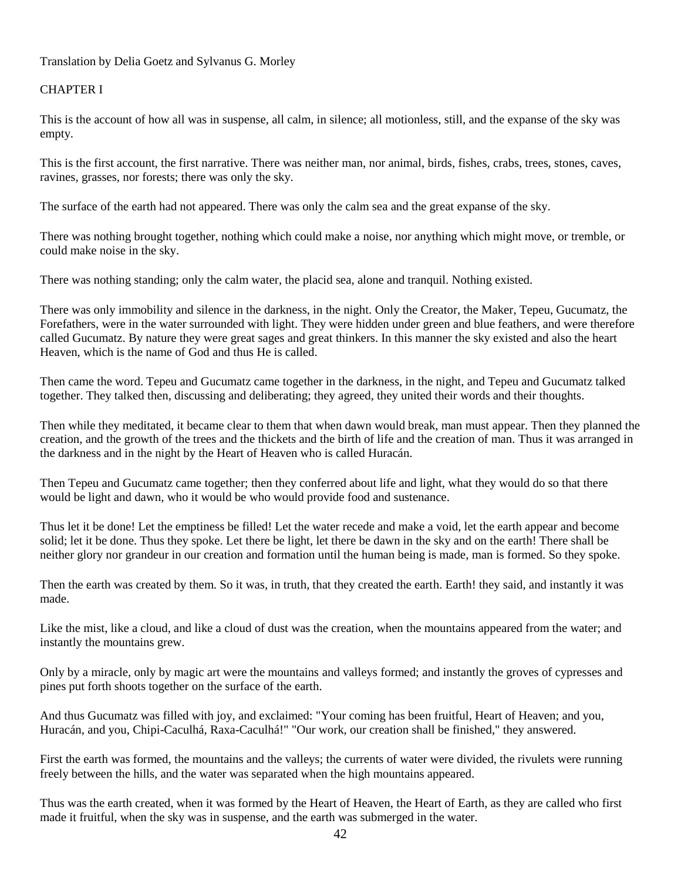# Translation by Delia Goetz and Sylvanus G. Morley

# CHAPTER I

This is the account of how all was in suspense, all calm, in silence; all motionless, still, and the expanse of the sky was empty.

This is the first account, the first narrative. There was neither man, nor animal, birds, fishes, crabs, trees, stones, caves, ravines, grasses, nor forests; there was only the sky.

The surface of the earth had not appeared. There was only the calm sea and the great expanse of the sky.

There was nothing brought together, nothing which could make a noise, nor anything which might move, or tremble, or could make noise in the sky.

There was nothing standing; only the calm water, the placid sea, alone and tranquil. Nothing existed.

There was only immobility and silence in the darkness, in the night. Only the Creator, the Maker, Tepeu, Gucumatz, the Forefathers, were in the water surrounded with light. They were hidden under green and blue feathers, and were therefore called Gucumatz. By nature they were great sages and great thinkers. In this manner the sky existed and also the heart Heaven, which is the name of God and thus He is called.

Then came the word. Tepeu and Gucumatz came together in the darkness, in the night, and Tepeu and Gucumatz talked together. They talked then, discussing and deliberating; they agreed, they united their words and their thoughts.

Then while they meditated, it became clear to them that when dawn would break, man must appear. Then they planned the creation, and the growth of the trees and the thickets and the birth of life and the creation of man. Thus it was arranged in the darkness and in the night by the Heart of Heaven who is called Huracán.

Then Tepeu and Gucumatz came together; then they conferred about life and light, what they would do so that there would be light and dawn, who it would be who would provide food and sustenance.

Thus let it be done! Let the emptiness be filled! Let the water recede and make a void, let the earth appear and become solid; let it be done. Thus they spoke. Let there be light, let there be dawn in the sky and on the earth! There shall be neither glory nor grandeur in our creation and formation until the human being is made, man is formed. So they spoke.

Then the earth was created by them. So it was, in truth, that they created the earth. Earth! they said, and instantly it was made.

Like the mist, like a cloud, and like a cloud of dust was the creation, when the mountains appeared from the water; and instantly the mountains grew.

Only by a miracle, only by magic art were the mountains and valleys formed; and instantly the groves of cypresses and pines put forth shoots together on the surface of the earth.

And thus Gucumatz was filled with joy, and exclaimed: "Your coming has been fruitful, Heart of Heaven; and you, Huracán, and you, Chipi-Caculhá, Raxa-Caculhá!" "Our work, our creation shall be finished," they answered.

First the earth was formed, the mountains and the valleys; the currents of water were divided, the rivulets were running freely between the hills, and the water was separated when the high mountains appeared.

Thus was the earth created, when it was formed by the Heart of Heaven, the Heart of Earth, as they are called who first made it fruitful, when the sky was in suspense, and the earth was submerged in the water.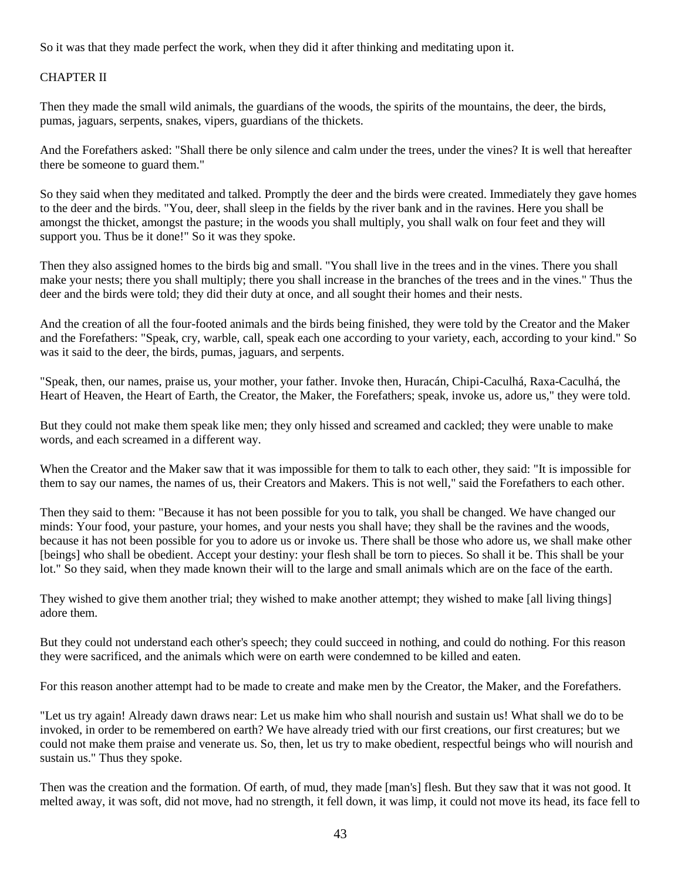So it was that they made perfect the work, when they did it after thinking and meditating upon it.

## CHAPTER II

Then they made the small wild animals, the guardians of the woods, the spirits of the mountains, the deer, the birds, pumas, jaguars, serpents, snakes, vipers, guardians of the thickets.

And the Forefathers asked: "Shall there be only silence and calm under the trees, under the vines? It is well that hereafter there be someone to guard them."

So they said when they meditated and talked. Promptly the deer and the birds were created. Immediately they gave homes to the deer and the birds. "You, deer, shall sleep in the fields by the river bank and in the ravines. Here you shall be amongst the thicket, amongst the pasture; in the woods you shall multiply, you shall walk on four feet and they will support you. Thus be it done!" So it was they spoke.

Then they also assigned homes to the birds big and small. "You shall live in the trees and in the vines. There you shall make your nests; there you shall multiply; there you shall increase in the branches of the trees and in the vines." Thus the deer and the birds were told; they did their duty at once, and all sought their homes and their nests.

And the creation of all the four-footed animals and the birds being finished, they were told by the Creator and the Maker and the Forefathers: "Speak, cry, warble, call, speak each one according to your variety, each, according to your kind." So was it said to the deer, the birds, pumas, jaguars, and serpents.

"Speak, then, our names, praise us, your mother, your father. Invoke then, Huracán, Chipi-Caculhá, Raxa-Caculhá, the Heart of Heaven, the Heart of Earth, the Creator, the Maker, the Forefathers; speak, invoke us, adore us," they were told.

But they could not make them speak like men; they only hissed and screamed and cackled; they were unable to make words, and each screamed in a different way.

When the Creator and the Maker saw that it was impossible for them to talk to each other, they said: "It is impossible for them to say our names, the names of us, their Creators and Makers. This is not well," said the Forefathers to each other.

Then they said to them: "Because it has not been possible for you to talk, you shall be changed. We have changed our minds: Your food, your pasture, your homes, and your nests you shall have; they shall be the ravines and the woods, because it has not been possible for you to adore us or invoke us. There shall be those who adore us, we shall make other [beings] who shall be obedient. Accept your destiny: your flesh shall be torn to pieces. So shall it be. This shall be your lot." So they said, when they made known their will to the large and small animals which are on the face of the earth.

They wished to give them another trial; they wished to make another attempt; they wished to make [all living things] adore them.

But they could not understand each other's speech; they could succeed in nothing, and could do nothing. For this reason they were sacrificed, and the animals which were on earth were condemned to be killed and eaten.

For this reason another attempt had to be made to create and make men by the Creator, the Maker, and the Forefathers.

"Let us try again! Already dawn draws near: Let us make him who shall nourish and sustain us! What shall we do to be invoked, in order to be remembered on earth? We have already tried with our first creations, our first creatures; but we could not make them praise and venerate us. So, then, let us try to make obedient, respectful beings who will nourish and sustain us." Thus they spoke.

Then was the creation and the formation. Of earth, of mud, they made [man's] flesh. But they saw that it was not good. It melted away, it was soft, did not move, had no strength, it fell down, it was limp, it could not move its head, its face fell to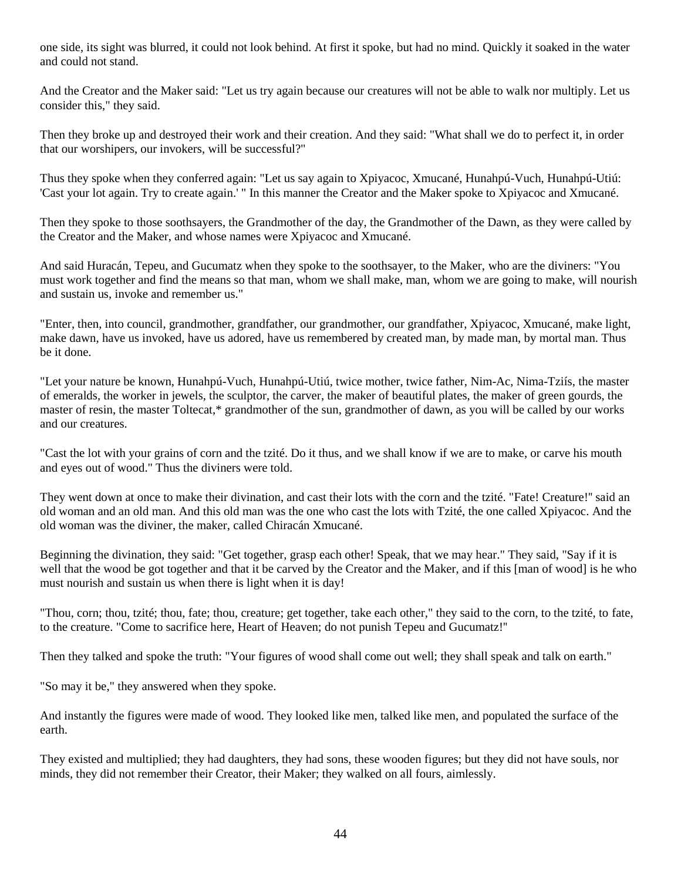one side, its sight was blurred, it could not look behind. At first it spoke, but had no mind. Quickly it soaked in the water and could not stand.

And the Creator and the Maker said: "Let us try again because our creatures will not be able to walk nor multiply. Let us consider this," they said.

Then they broke up and destroyed their work and their creation. And they said: "What shall we do to perfect it, in order that our worshipers, our invokers, will be successful?"

Thus they spoke when they conferred again: "Let us say again to Xpiyacoc, Xmucané, Hunahpú-Vuch, Hunahpú-Utiú: 'Cast your lot again. Try to create again.' " In this manner the Creator and the Maker spoke to Xpiyacoc and Xmucané.

Then they spoke to those soothsayers, the Grandmother of the day, the Grandmother of the Dawn, as they were called by the Creator and the Maker, and whose names were Xpiyacoc and Xmucané.

And said Huracán, Tepeu, and Gucumatz when they spoke to the soothsayer, to the Maker, who are the diviners: "You must work together and find the means so that man, whom we shall make, man, whom we are going to make, will nourish and sustain us, invoke and remember us."

"Enter, then, into council, grandmother, grandfather, our grandmother, our grandfather, Xpiyacoc, Xmucané, make light, make dawn, have us invoked, have us adored, have us remembered by created man, by made man, by mortal man. Thus be it done.

"Let your nature be known, Hunahpú-Vuch, Hunahpú-Utiú, twice mother, twice father, Nim-Ac, Nima-Tziís, the master of emeralds, the worker in jewels, the sculptor, the carver, the maker of beautiful plates, the maker of green gourds, the master of resin, the master Toltecat,\* grandmother of the sun, grandmother of dawn, as you will be called by our works and our creatures.

"Cast the lot with your grains of corn and the tzité. Do it thus, and we shall know if we are to make, or carve his mouth and eyes out of wood." Thus the diviners were told.

They went down at once to make their divination, and cast their lots with the corn and the tzité. "Fate! Creature!'' said an old woman and an old man. And this old man was the one who cast the lots with Tzité, the one called Xpiyacoc. And the old woman was the diviner, the maker, called Chiracán Xmucané.

Beginning the divination, they said: "Get together, grasp each other! Speak, that we may hear." They said, "Say if it is well that the wood be got together and that it be carved by the Creator and the Maker, and if this [man of wood] is he who must nourish and sustain us when there is light when it is day!

"Thou, corn; thou, tzité; thou, fate; thou, creature; get together, take each other," they said to the corn, to the tzité, to fate, to the creature. "Come to sacrifice here, Heart of Heaven; do not punish Tepeu and Gucumatz!''

Then they talked and spoke the truth: "Your figures of wood shall come out well; they shall speak and talk on earth."

"So may it be," they answered when they spoke.

And instantly the figures were made of wood. They looked like men, talked like men, and populated the surface of the earth.

They existed and multiplied; they had daughters, they had sons, these wooden figures; but they did not have souls, nor minds, they did not remember their Creator, their Maker; they walked on all fours, aimlessly.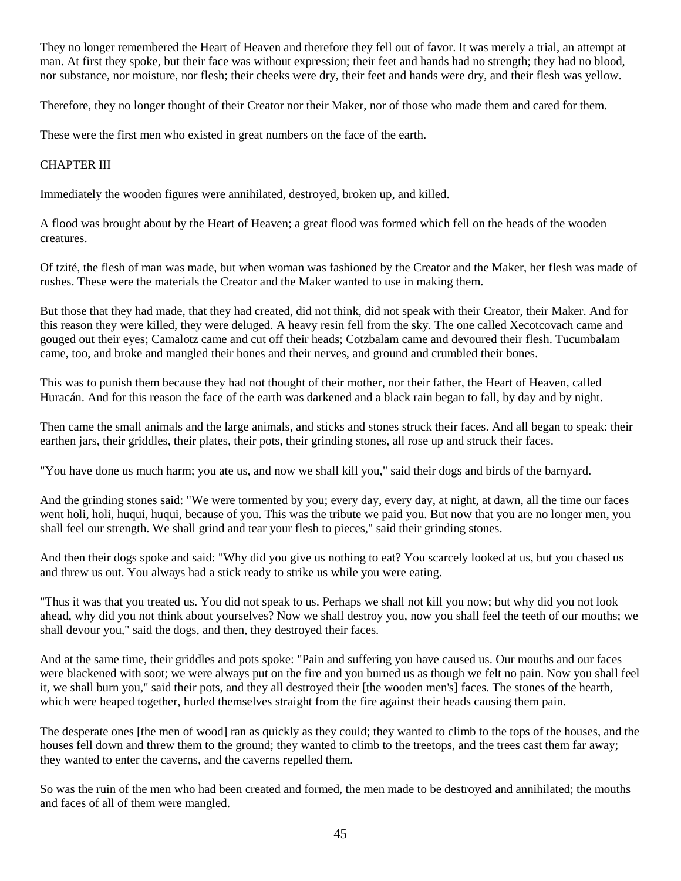They no longer remembered the Heart of Heaven and therefore they fell out of favor. It was merely a trial, an attempt at man. At first they spoke, but their face was without expression; their feet and hands had no strength; they had no blood, nor substance, nor moisture, nor flesh; their cheeks were dry, their feet and hands were dry, and their flesh was yellow.

Therefore, they no longer thought of their Creator nor their Maker, nor of those who made them and cared for them.

These were the first men who existed in great numbers on the face of the earth.

## CHAPTER III

Immediately the wooden figures were annihilated, destroyed, broken up, and killed.

A flood was brought about by the Heart of Heaven; a great flood was formed which fell on the heads of the wooden creatures.

Of tzité, the flesh of man was made, but when woman was fashioned by the Creator and the Maker, her flesh was made of rushes. These were the materials the Creator and the Maker wanted to use in making them.

But those that they had made, that they had created, did not think, did not speak with their Creator, their Maker. And for this reason they were killed, they were deluged. A heavy resin fell from the sky. The one called Xecotcovach came and gouged out their eyes; Camalotz came and cut off their heads; Cotzbalam came and devoured their flesh. Tucumbalam came, too, and broke and mangled their bones and their nerves, and ground and crumbled their bones.

This was to punish them because they had not thought of their mother, nor their father, the Heart of Heaven, called Huracán. And for this reason the face of the earth was darkened and a black rain began to fall, by day and by night.

Then came the small animals and the large animals, and sticks and stones struck their faces. And all began to speak: their earthen jars, their griddles, their plates, their pots, their grinding stones, all rose up and struck their faces.

"You have done us much harm; you ate us, and now we shall kill you," said their dogs and birds of the barnyard.

And the grinding stones said: "We were tormented by you; every day, every day, at night, at dawn, all the time our faces went holi, holi, huqui, huqui, because of you. This was the tribute we paid you. But now that you are no longer men, you shall feel our strength. We shall grind and tear your flesh to pieces," said their grinding stones.

And then their dogs spoke and said: "Why did you give us nothing to eat? You scarcely looked at us, but you chased us and threw us out. You always had a stick ready to strike us while you were eating.

"Thus it was that you treated us. You did not speak to us. Perhaps we shall not kill you now; but why did you not look ahead, why did you not think about yourselves? Now we shall destroy you, now you shall feel the teeth of our mouths; we shall devour you," said the dogs, and then, they destroyed their faces.

And at the same time, their griddles and pots spoke: "Pain and suffering you have caused us. Our mouths and our faces were blackened with soot; we were always put on the fire and you burned us as though we felt no pain. Now you shall feel it, we shall burn you," said their pots, and they all destroyed their [the wooden men's] faces. The stones of the hearth, which were heaped together, hurled themselves straight from the fire against their heads causing them pain.

The desperate ones [the men of wood] ran as quickly as they could; they wanted to climb to the tops of the houses, and the houses fell down and threw them to the ground; they wanted to climb to the treetops, and the trees cast them far away; they wanted to enter the caverns, and the caverns repelled them.

So was the ruin of the men who had been created and formed, the men made to be destroyed and annihilated; the mouths and faces of all of them were mangled.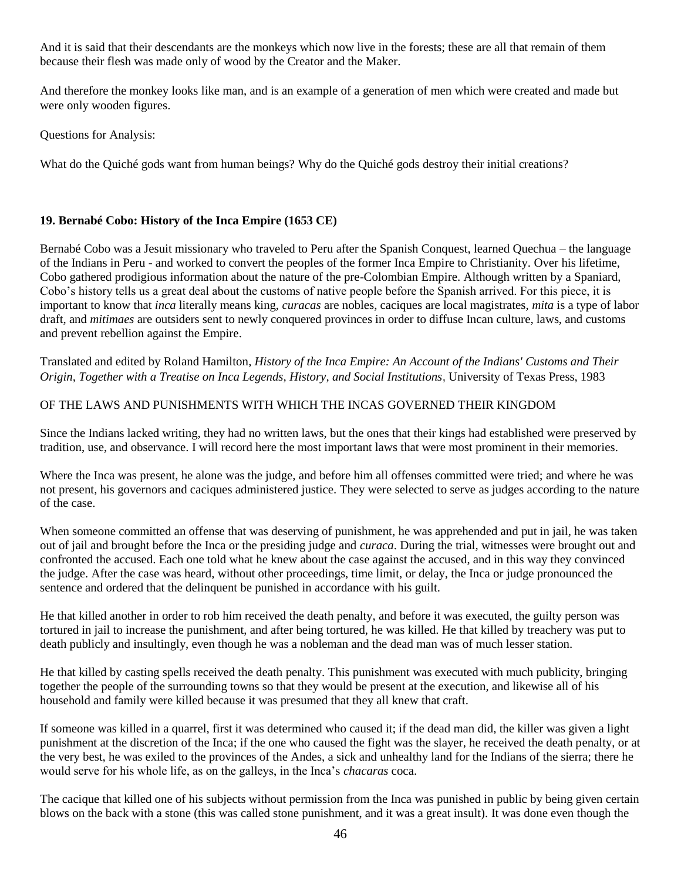And it is said that their descendants are the monkeys which now live in the forests; these are all that remain of them because their flesh was made only of wood by the Creator and the Maker.

And therefore the monkey looks like man, and is an example of a generation of men which were created and made but were only wooden figures.

Questions for Analysis:

What do the Quiché gods want from human beings? Why do the Quiché gods destroy their initial creations?

# **19. Bernabé Cobo: History of the Inca Empire (1653 CE)**

Bernabé Cobo was a Jesuit missionary who traveled to Peru after the Spanish Conquest, learned Quechua – the language of the Indians in Peru - and worked to convert the peoples of the former Inca Empire to Christianity. Over his lifetime, Cobo gathered prodigious information about the nature of the pre-Colombian Empire. Although written by a Spaniard, Cobo's history tells us a great deal about the customs of native people before the Spanish arrived. For this piece, it is important to know that *inca* literally means king, *curacas* are nobles, caciques are local magistrates, *mita* is a type of labor draft, and *mitimaes* are outsiders sent to newly conquered provinces in order to diffuse Incan culture, laws, and customs and prevent rebellion against the Empire.

Translated and edited by Roland Hamilton, *History of the Inca Empire: An Account of the Indians' Customs and Their Origin, Together with a Treatise on Inca Legends, History, and Social Institutions*, University of Texas Press, 1983

## OF THE LAWS AND PUNISHMENTS WITH WHICH THE INCAS GOVERNED THEIR KINGDOM

Since the Indians lacked writing, they had no written laws, but the ones that their kings had established were preserved by tradition, use, and observance. I will record here the most important laws that were most prominent in their memories.

Where the Inca was present, he alone was the judge, and before him all offenses committed were tried; and where he was not present, his governors and caciques administered justice. They were selected to serve as judges according to the nature of the case.

When someone committed an offense that was deserving of punishment, he was apprehended and put in jail, he was taken out of jail and brought before the Inca or the presiding judge and *curaca*. During the trial, witnesses were brought out and confronted the accused. Each one told what he knew about the case against the accused, and in this way they convinced the judge. After the case was heard, without other proceedings, time limit, or delay, the Inca or judge pronounced the sentence and ordered that the delinquent be punished in accordance with his guilt.

He that killed another in order to rob him received the death penalty, and before it was executed, the guilty person was tortured in jail to increase the punishment, and after being tortured, he was killed. He that killed by treachery was put to death publicly and insultingly, even though he was a nobleman and the dead man was of much lesser station.

He that killed by casting spells received the death penalty. This punishment was executed with much publicity, bringing together the people of the surrounding towns so that they would be present at the execution, and likewise all of his household and family were killed because it was presumed that they all knew that craft.

If someone was killed in a quarrel, first it was determined who caused it; if the dead man did, the killer was given a light punishment at the discretion of the Inca; if the one who caused the fight was the slayer, he received the death penalty, or at the very best, he was exiled to the provinces of the Andes, a sick and unhealthy land for the Indians of the sierra; there he would serve for his whole life, as on the galleys, in the Inca's *chacaras* coca.

The cacique that killed one of his subjects without permission from the Inca was punished in public by being given certain blows on the back with a stone (this was called stone punishment, and it was a great insult). It was done even though the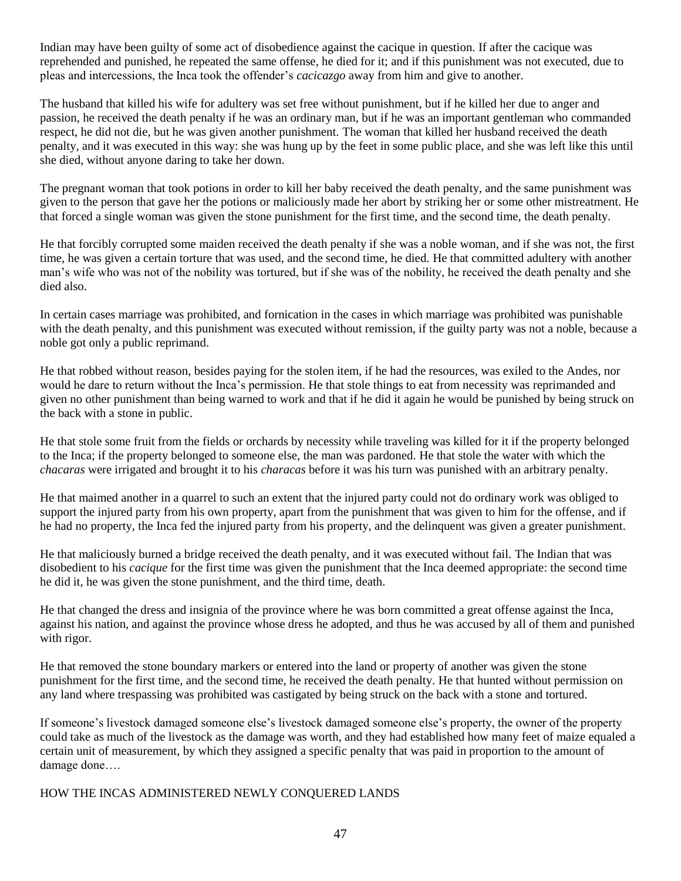Indian may have been guilty of some act of disobedience against the cacique in question. If after the cacique was reprehended and punished, he repeated the same offense, he died for it; and if this punishment was not executed, due to pleas and intercessions, the Inca took the offender's *cacicazgo* away from him and give to another.

The husband that killed his wife for adultery was set free without punishment, but if he killed her due to anger and passion, he received the death penalty if he was an ordinary man, but if he was an important gentleman who commanded respect, he did not die, but he was given another punishment. The woman that killed her husband received the death penalty, and it was executed in this way: she was hung up by the feet in some public place, and she was left like this until she died, without anyone daring to take her down.

The pregnant woman that took potions in order to kill her baby received the death penalty, and the same punishment was given to the person that gave her the potions or maliciously made her abort by striking her or some other mistreatment. He that forced a single woman was given the stone punishment for the first time, and the second time, the death penalty.

He that forcibly corrupted some maiden received the death penalty if she was a noble woman, and if she was not, the first time, he was given a certain torture that was used, and the second time, he died. He that committed adultery with another man's wife who was not of the nobility was tortured, but if she was of the nobility, he received the death penalty and she died also.

In certain cases marriage was prohibited, and fornication in the cases in which marriage was prohibited was punishable with the death penalty, and this punishment was executed without remission, if the guilty party was not a noble, because a noble got only a public reprimand.

He that robbed without reason, besides paying for the stolen item, if he had the resources, was exiled to the Andes, nor would he dare to return without the Inca's permission. He that stole things to eat from necessity was reprimanded and given no other punishment than being warned to work and that if he did it again he would be punished by being struck on the back with a stone in public.

He that stole some fruit from the fields or orchards by necessity while traveling was killed for it if the property belonged to the Inca; if the property belonged to someone else, the man was pardoned. He that stole the water with which the *chacaras* were irrigated and brought it to his *characas* before it was his turn was punished with an arbitrary penalty.

He that maimed another in a quarrel to such an extent that the injured party could not do ordinary work was obliged to support the injured party from his own property, apart from the punishment that was given to him for the offense, and if he had no property, the Inca fed the injured party from his property, and the delinquent was given a greater punishment.

He that maliciously burned a bridge received the death penalty, and it was executed without fail. The Indian that was disobedient to his *cacique* for the first time was given the punishment that the Inca deemed appropriate: the second time he did it, he was given the stone punishment, and the third time, death.

He that changed the dress and insignia of the province where he was born committed a great offense against the Inca, against his nation, and against the province whose dress he adopted, and thus he was accused by all of them and punished with rigor.

He that removed the stone boundary markers or entered into the land or property of another was given the stone punishment for the first time, and the second time, he received the death penalty. He that hunted without permission on any land where trespassing was prohibited was castigated by being struck on the back with a stone and tortured.

If someone's livestock damaged someone else's livestock damaged someone else's property, the owner of the property could take as much of the livestock as the damage was worth, and they had established how many feet of maize equaled a certain unit of measurement, by which they assigned a specific penalty that was paid in proportion to the amount of damage done….

### HOW THE INCAS ADMINISTERED NEWLY CONQUERED LANDS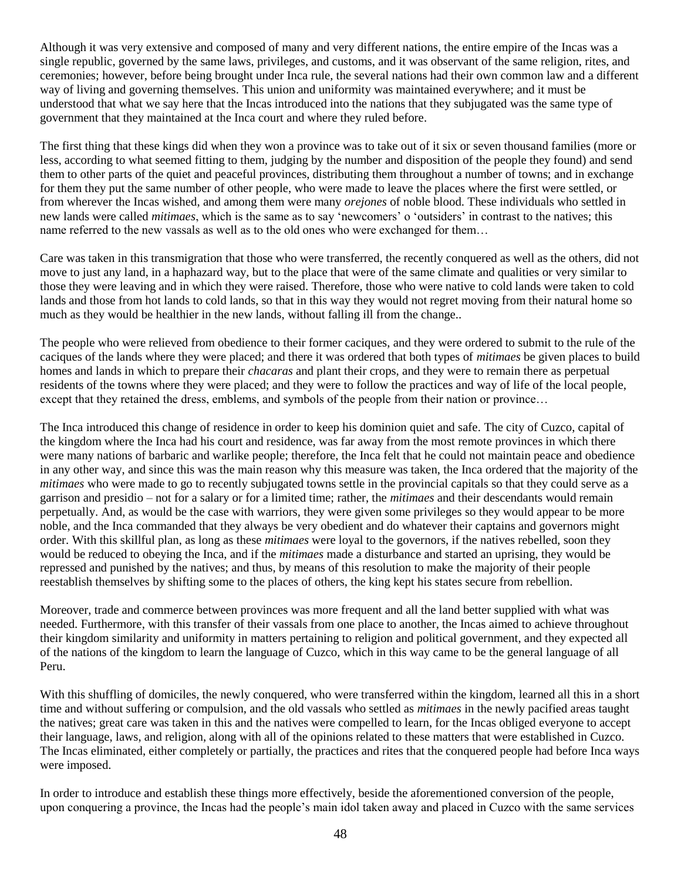Although it was very extensive and composed of many and very different nations, the entire empire of the Incas was a single republic, governed by the same laws, privileges, and customs, and it was observant of the same religion, rites, and ceremonies; however, before being brought under Inca rule, the several nations had their own common law and a different way of living and governing themselves. This union and uniformity was maintained everywhere; and it must be understood that what we say here that the Incas introduced into the nations that they subjugated was the same type of government that they maintained at the Inca court and where they ruled before.

The first thing that these kings did when they won a province was to take out of it six or seven thousand families (more or less, according to what seemed fitting to them, judging by the number and disposition of the people they found) and send them to other parts of the quiet and peaceful provinces, distributing them throughout a number of towns; and in exchange for them they put the same number of other people, who were made to leave the places where the first were settled, or from wherever the Incas wished, and among them were many *orejones* of noble blood. These individuals who settled in new lands were called *mitimaes*, which is the same as to say 'newcomers' o 'outsiders' in contrast to the natives; this name referred to the new vassals as well as to the old ones who were exchanged for them…

Care was taken in this transmigration that those who were transferred, the recently conquered as well as the others, did not move to just any land, in a haphazard way, but to the place that were of the same climate and qualities or very similar to those they were leaving and in which they were raised. Therefore, those who were native to cold lands were taken to cold lands and those from hot lands to cold lands, so that in this way they would not regret moving from their natural home so much as they would be healthier in the new lands, without falling ill from the change..

The people who were relieved from obedience to their former caciques, and they were ordered to submit to the rule of the caciques of the lands where they were placed; and there it was ordered that both types of *mitimaes* be given places to build homes and lands in which to prepare their *chacaras* and plant their crops, and they were to remain there as perpetual residents of the towns where they were placed; and they were to follow the practices and way of life of the local people, except that they retained the dress, emblems, and symbols of the people from their nation or province...

The Inca introduced this change of residence in order to keep his dominion quiet and safe. The city of Cuzco, capital of the kingdom where the Inca had his court and residence, was far away from the most remote provinces in which there were many nations of barbaric and warlike people; therefore, the Inca felt that he could not maintain peace and obedience in any other way, and since this was the main reason why this measure was taken, the Inca ordered that the majority of the *mitimaes* who were made to go to recently subjugated towns settle in the provincial capitals so that they could serve as a garrison and presidio – not for a salary or for a limited time; rather, the *mitimaes* and their descendants would remain perpetually. And, as would be the case with warriors, they were given some privileges so they would appear to be more noble, and the Inca commanded that they always be very obedient and do whatever their captains and governors might order. With this skillful plan, as long as these *mitimaes* were loyal to the governors, if the natives rebelled, soon they would be reduced to obeying the Inca, and if the *mitimaes* made a disturbance and started an uprising, they would be repressed and punished by the natives; and thus, by means of this resolution to make the majority of their people reestablish themselves by shifting some to the places of others, the king kept his states secure from rebellion.

Moreover, trade and commerce between provinces was more frequent and all the land better supplied with what was needed. Furthermore, with this transfer of their vassals from one place to another, the Incas aimed to achieve throughout their kingdom similarity and uniformity in matters pertaining to religion and political government, and they expected all of the nations of the kingdom to learn the language of Cuzco, which in this way came to be the general language of all Peru.

With this shuffling of domiciles, the newly conquered, who were transferred within the kingdom, learned all this in a short time and without suffering or compulsion, and the old vassals who settled as *mitimaes* in the newly pacified areas taught the natives; great care was taken in this and the natives were compelled to learn, for the Incas obliged everyone to accept their language, laws, and religion, along with all of the opinions related to these matters that were established in Cuzco. The Incas eliminated, either completely or partially, the practices and rites that the conquered people had before Inca ways were imposed.

In order to introduce and establish these things more effectively, beside the aforementioned conversion of the people, upon conquering a province, the Incas had the people's main idol taken away and placed in Cuzco with the same services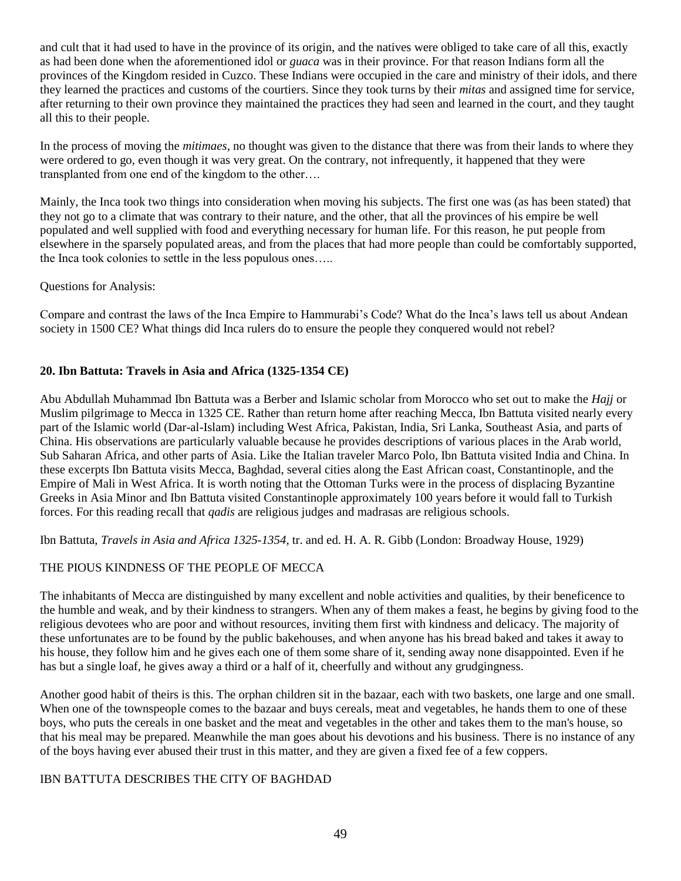and cult that it had used to have in the province of its origin, and the natives were obliged to take care of all this, exactly as had been done when the aforementioned idol or *guaca* was in their province. For that reason Indians form all the provinces of the Kingdom resided in Cuzco. These Indians were occupied in the care and ministry of their idols, and there they learned the practices and customs of the courtiers. Since they took turns by their *mitas* and assigned time for service, after returning to their own province they maintained the practices they had seen and learned in the court, and they taught all this to their people.

In the process of moving the *mitimaes*, no thought was given to the distance that there was from their lands to where they were ordered to go, even though it was very great. On the contrary, not infrequently, it happened that they were transplanted from one end of the kingdom to the other….

Mainly, the Inca took two things into consideration when moving his subjects. The first one was (as has been stated) that they not go to a climate that was contrary to their nature, and the other, that all the provinces of his empire be well populated and well supplied with food and everything necessary for human life. For this reason, he put people from elsewhere in the sparsely populated areas, and from the places that had more people than could be comfortably supported, the Inca took colonies to settle in the less populous ones…..

Questions for Analysis:

Compare and contrast the laws of the Inca Empire to Hammurabi's Code? What do the Inca's laws tell us about Andean society in 1500 CE? What things did Inca rulers do to ensure the people they conquered would not rebel?

## **20. Ibn Battuta: Travels in Asia and Africa (1325-1354 CE)**

Abu Abdullah Muhammad Ibn Battuta was a Berber and Islamic scholar from Morocco who set out to make the *Hajj* or Muslim pilgrimage to Mecca in 1325 CE. Rather than return home after reaching Mecca, Ibn Battuta visited nearly every part of the Islamic world (Dar-al-Islam) including West Africa, Pakistan, India, Sri Lanka, Southeast Asia, and parts of China. His observations are particularly valuable because he provides descriptions of various places in the Arab world, Sub Saharan Africa, and other parts of Asia. Like the Italian traveler Marco Polo, Ibn Battuta visited India and China. In these excerpts Ibn Battuta visits Mecca, Baghdad, several cities along the East African coast, Constantinople, and the Empire of Mali in West Africa. It is worth noting that the Ottoman Turks were in the process of displacing Byzantine Greeks in Asia Minor and Ibn Battuta visited Constantinople approximately 100 years before it would fall to Turkish forces. For this reading recall that *qadis* are religious judges and madrasas are religious schools.

Ibn Battuta, *Travels in Asia and Africa 1325-1354*, tr. and ed. H. A. R. Gibb (London: Broadway House, 1929)

## THE PIOUS KINDNESS OF THE PEOPLE OF MECCA

The inhabitants of Mecca are distinguished by many excellent and noble activities and qualities, by their beneficence to the humble and weak, and by their kindness to strangers. When any of them makes a feast, he begins by giving food to the religious devotees who are poor and without resources, inviting them first with kindness and delicacy. The majority of these unfortunates are to be found by the public bakehouses, and when anyone has his bread baked and takes it away to his house, they follow him and he gives each one of them some share of it, sending away none disappointed. Even if he has but a single loaf, he gives away a third or a half of it, cheerfully and without any grudgingness.

Another good habit of theirs is this. The orphan children sit in the bazaar, each with two baskets, one large and one small. When one of the townspeople comes to the bazaar and buys cereals, meat and vegetables, he hands them to one of these boys, who puts the cereals in one basket and the meat and vegetables in the other and takes them to the man's house, so that his meal may be prepared. Meanwhile the man goes about his devotions and his business. There is no instance of any of the boys having ever abused their trust in this matter, and they are given a fixed fee of a few coppers.

## IBN BATTUTA DESCRIBES THE CITY OF BAGHDAD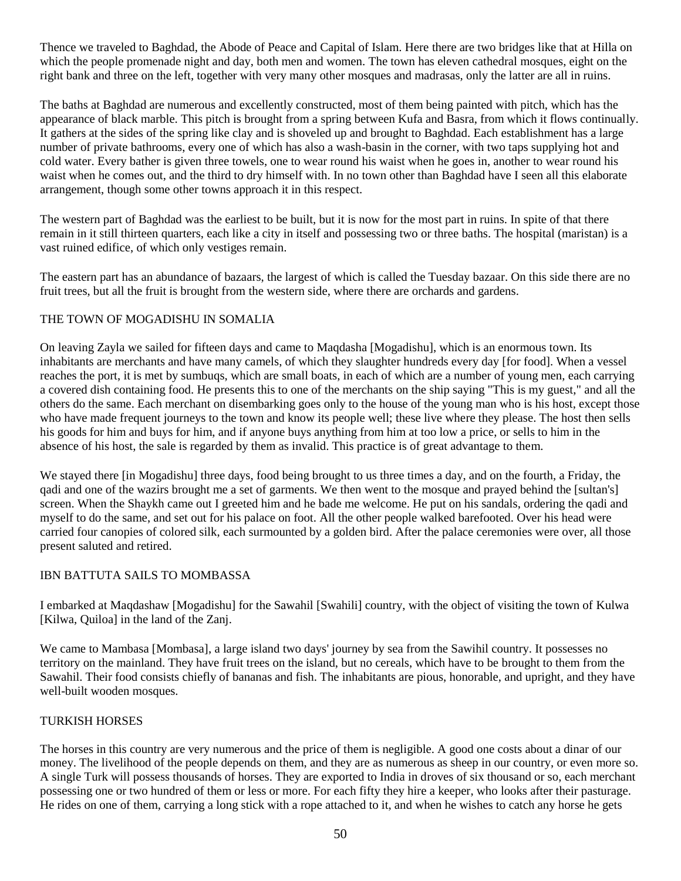Thence we traveled to Baghdad, the Abode of Peace and Capital of Islam. Here there are two bridges like that at Hilla on which the people promenade night and day, both men and women. The town has eleven cathedral mosques, eight on the right bank and three on the left, together with very many other mosques and madrasas, only the latter are all in ruins.

The baths at Baghdad are numerous and excellently constructed, most of them being painted with pitch, which has the appearance of black marble. This pitch is brought from a spring between Kufa and Basra, from which it flows continually. It gathers at the sides of the spring like clay and is shoveled up and brought to Baghdad. Each establishment has a large number of private bathrooms, every one of which has also a wash-basin in the corner, with two taps supplying hot and cold water. Every bather is given three towels, one to wear round his waist when he goes in, another to wear round his waist when he comes out, and the third to dry himself with. In no town other than Baghdad have I seen all this elaborate arrangement, though some other towns approach it in this respect.

The western part of Baghdad was the earliest to be built, but it is now for the most part in ruins. In spite of that there remain in it still thirteen quarters, each like a city in itself and possessing two or three baths. The hospital (maristan) is a vast ruined edifice, of which only vestiges remain.

The eastern part has an abundance of bazaars, the largest of which is called the Tuesday bazaar. On this side there are no fruit trees, but all the fruit is brought from the western side, where there are orchards and gardens.

## THE TOWN OF MOGADISHU IN SOMALIA

On leaving Zayla we sailed for fifteen days and came to Maqdasha [Mogadishu], which is an enormous town. Its inhabitants are merchants and have many camels, of which they slaughter hundreds every day [for food]. When a vessel reaches the port, it is met by sumbuqs, which are small boats, in each of which are a number of young men, each carrying a covered dish containing food. He presents this to one of the merchants on the ship saying "This is my guest," and all the others do the same. Each merchant on disembarking goes only to the house of the young man who is his host, except those who have made frequent journeys to the town and know its people well; these live where they please. The host then sells his goods for him and buys for him, and if anyone buys anything from him at too low a price, or sells to him in the absence of his host, the sale is regarded by them as invalid. This practice is of great advantage to them.

We stayed there [in Mogadishu] three days, food being brought to us three times a day, and on the fourth, a Friday, the qadi and one of the wazirs brought me a set of garments. We then went to the mosque and prayed behind the [sultan's] screen. When the Shaykh came out I greeted him and he bade me welcome. He put on his sandals, ordering the qadi and myself to do the same, and set out for his palace on foot. All the other people walked barefooted. Over his head were carried four canopies of colored silk, each surmounted by a golden bird. After the palace ceremonies were over, all those present saluted and retired.

## IBN BATTUTA SAILS TO MOMBASSA

I embarked at Maqdashaw [Mogadishu] for the Sawahil [Swahili] country, with the object of visiting the town of Kulwa [Kilwa, Quiloa] in the land of the Zanj.

We came to Mambasa [Mombasa], a large island two days' journey by sea from the Sawihil country. It possesses no territory on the mainland. They have fruit trees on the island, but no cereals, which have to be brought to them from the Sawahil. Their food consists chiefly of bananas and fish. The inhabitants are pious, honorable, and upright, and they have well-built wooden mosques.

### TURKISH HORSES

The horses in this country are very numerous and the price of them is negligible. A good one costs about a dinar of our money. The livelihood of the people depends on them, and they are as numerous as sheep in our country, or even more so. A single Turk will possess thousands of horses. They are exported to India in droves of six thousand or so, each merchant possessing one or two hundred of them or less or more. For each fifty they hire a keeper, who looks after their pasturage. He rides on one of them, carrying a long stick with a rope attached to it, and when he wishes to catch any horse he gets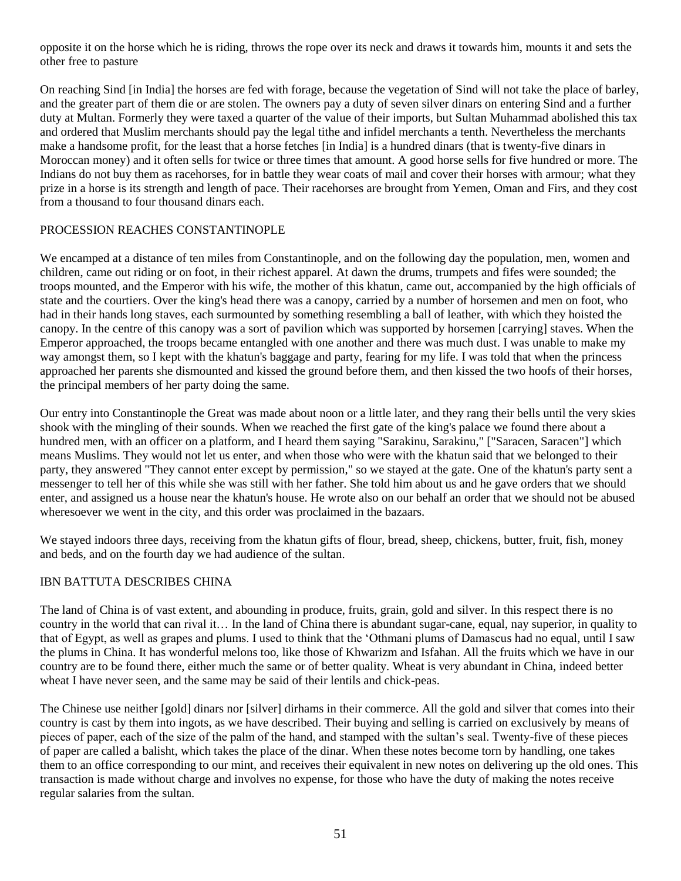opposite it on the horse which he is riding, throws the rope over its neck and draws it towards him, mounts it and sets the other free to pasture

On reaching Sind [in India] the horses are fed with forage, because the vegetation of Sind will not take the place of barley, and the greater part of them die or are stolen. The owners pay a duty of seven silver dinars on entering Sind and a further duty at Multan. Formerly they were taxed a quarter of the value of their imports, but Sultan Muhammad abolished this tax and ordered that Muslim merchants should pay the legal tithe and infidel merchants a tenth. Nevertheless the merchants make a handsome profit, for the least that a horse fetches [in India] is a hundred dinars (that is twenty-five dinars in Moroccan money) and it often sells for twice or three times that amount. A good horse sells for five hundred or more. The Indians do not buy them as racehorses, for in battle they wear coats of mail and cover their horses with armour; what they prize in a horse is its strength and length of pace. Their racehorses are brought from Yemen, Oman and Firs, and they cost from a thousand to four thousand dinars each.

## PROCESSION REACHES CONSTANTINOPLE

We encamped at a distance of ten miles from Constantinople, and on the following day the population, men, women and children, came out riding or on foot, in their richest apparel. At dawn the drums, trumpets and fifes were sounded; the troops mounted, and the Emperor with his wife, the mother of this khatun, came out, accompanied by the high officials of state and the courtiers. Over the king's head there was a canopy, carried by a number of horsemen and men on foot, who had in their hands long staves, each surmounted by something resembling a ball of leather, with which they hoisted the canopy. In the centre of this canopy was a sort of pavilion which was supported by horsemen [carrying] staves. When the Emperor approached, the troops became entangled with one another and there was much dust. I was unable to make my way amongst them, so I kept with the khatun's baggage and party, fearing for my life. I was told that when the princess approached her parents she dismounted and kissed the ground before them, and then kissed the two hoofs of their horses, the principal members of her party doing the same.

Our entry into Constantinople the Great was made about noon or a little later, and they rang their bells until the very skies shook with the mingling of their sounds. When we reached the first gate of the king's palace we found there about a hundred men, with an officer on a platform, and I heard them saying "Sarakinu, Sarakinu," ["Saracen, Saracen"] which means Muslims. They would not let us enter, and when those who were with the khatun said that we belonged to their party, they answered "They cannot enter except by permission," so we stayed at the gate. One of the khatun's party sent a messenger to tell her of this while she was still with her father. She told him about us and he gave orders that we should enter, and assigned us a house near the khatun's house. He wrote also on our behalf an order that we should not be abused wheresoever we went in the city, and this order was proclaimed in the bazaars.

We stayed indoors three days, receiving from the khatun gifts of flour, bread, sheep, chickens, butter, fruit, fish, money and beds, and on the fourth day we had audience of the sultan.

### IBN BATTUTA DESCRIBES CHINA

The land of China is of vast extent, and abounding in produce, fruits, grain, gold and silver. In this respect there is no country in the world that can rival it… In the land of China there is abundant sugar-cane, equal, nay superior, in quality to that of Egypt, as well as grapes and plums. I used to think that the 'Othmani plums of Damascus had no equal, until I saw the plums in China. It has wonderful melons too, like those of Khwarizm and Isfahan. All the fruits which we have in our country are to be found there, either much the same or of better quality. Wheat is very abundant in China, indeed better wheat I have never seen, and the same may be said of their lentils and chick-peas.

The Chinese use neither [gold] dinars nor [silver] dirhams in their commerce. All the gold and silver that comes into their country is cast by them into ingots, as we have described. Their buying and selling is carried on exclusively by means of pieces of paper, each of the size of the palm of the hand, and stamped with the sultan's seal. Twenty-five of these pieces of paper are called a balisht, which takes the place of the dinar. When these notes become torn by handling, one takes them to an office corresponding to our mint, and receives their equivalent in new notes on delivering up the old ones. This transaction is made without charge and involves no expense, for those who have the duty of making the notes receive regular salaries from the sultan.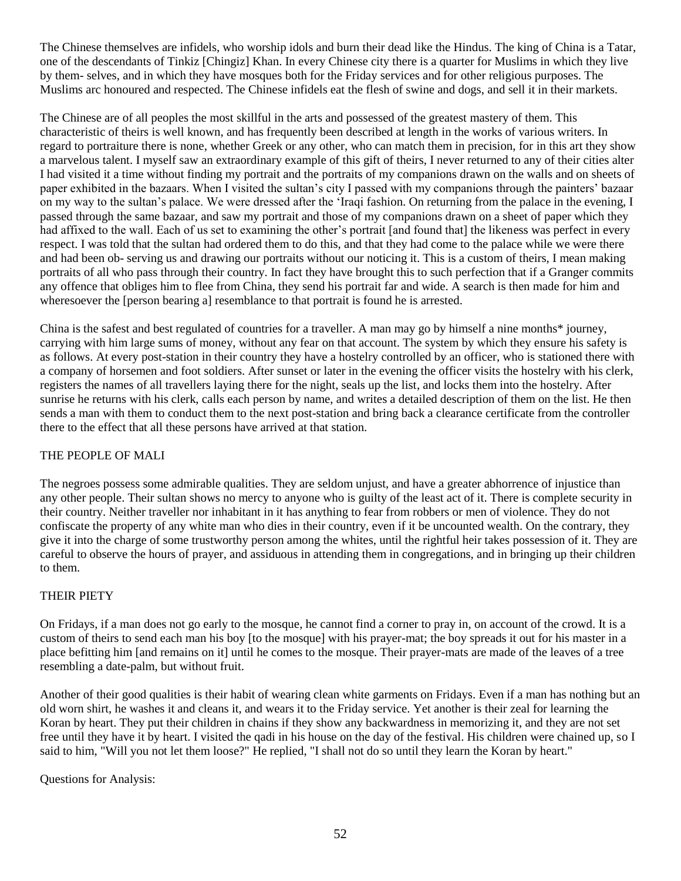The Chinese themselves are infidels, who worship idols and burn their dead like the Hindus. The king of China is a Tatar, one of the descendants of Tinkiz [Chingiz] Khan. In every Chinese city there is a quarter for Muslims in which they live by them- selves, and in which they have mosques both for the Friday services and for other religious purposes. The Muslims arc honoured and respected. The Chinese infidels eat the flesh of swine and dogs, and sell it in their markets.

The Chinese are of all peoples the most skillful in the arts and possessed of the greatest mastery of them. This characteristic of theirs is well known, and has frequently been described at length in the works of various writers. In regard to portraiture there is none, whether Greek or any other, who can match them in precision, for in this art they show a marvelous talent. I myself saw an extraordinary example of this gift of theirs, I never returned to any of their cities alter I had visited it a time without finding my portrait and the portraits of my companions drawn on the walls and on sheets of paper exhibited in the bazaars. When I visited the sultan's city I passed with my companions through the painters' bazaar on my way to the sultan's palace. We were dressed after the 'Iraqi fashion. On returning from the palace in the evening, I passed through the same bazaar, and saw my portrait and those of my companions drawn on a sheet of paper which they had affixed to the wall. Each of us set to examining the other's portrait [and found that] the likeness was perfect in every respect. I was told that the sultan had ordered them to do this, and that they had come to the palace while we were there and had been ob- serving us and drawing our portraits without our noticing it. This is a custom of theirs, I mean making portraits of all who pass through their country. In fact they have brought this to such perfection that if a Granger commits any offence that obliges him to flee from China, they send his portrait far and wide. A search is then made for him and wheresoever the [person bearing a] resemblance to that portrait is found he is arrested.

China is the safest and best regulated of countries for a traveller. A man may go by himself a nine months\* journey, carrying with him large sums of money, without any fear on that account. The system by which they ensure his safety is as follows. At every post-station in their country they have a hostelry controlled by an officer, who is stationed there with a company of horsemen and foot soldiers. After sunset or later in the evening the officer visits the hostelry with his clerk, registers the names of all travellers laying there for the night, seals up the list, and locks them into the hostelry. After sunrise he returns with his clerk, calls each person by name, and writes a detailed description of them on the list. He then sends a man with them to conduct them to the next post-station and bring back a clearance certificate from the controller there to the effect that all these persons have arrived at that station.

## THE PEOPLE OF MALI

The negroes possess some admirable qualities. They are seldom unjust, and have a greater abhorrence of injustice than any other people. Their sultan shows no mercy to anyone who is guilty of the least act of it. There is complete security in their country. Neither traveller nor inhabitant in it has anything to fear from robbers or men of violence. They do not confiscate the property of any white man who dies in their country, even if it be uncounted wealth. On the contrary, they give it into the charge of some trustworthy person among the whites, until the rightful heir takes possession of it. They are careful to observe the hours of prayer, and assiduous in attending them in congregations, and in bringing up their children to them.

# THEIR PIETY

On Fridays, if a man does not go early to the mosque, he cannot find a corner to pray in, on account of the crowd. It is a custom of theirs to send each man his boy [to the mosque] with his prayer-mat; the boy spreads it out for his master in a place befitting him [and remains on it] until he comes to the mosque. Their prayer-mats are made of the leaves of a tree resembling a date-palm, but without fruit.

Another of their good qualities is their habit of wearing clean white garments on Fridays. Even if a man has nothing but an old worn shirt, he washes it and cleans it, and wears it to the Friday service. Yet another is their zeal for learning the Koran by heart. They put their children in chains if they show any backwardness in memorizing it, and they are not set free until they have it by heart. I visited the qadi in his house on the day of the festival. His children were chained up, so I said to him, "Will you not let them loose?" He replied, "I shall not do so until they learn the Koran by heart."

Questions for Analysis: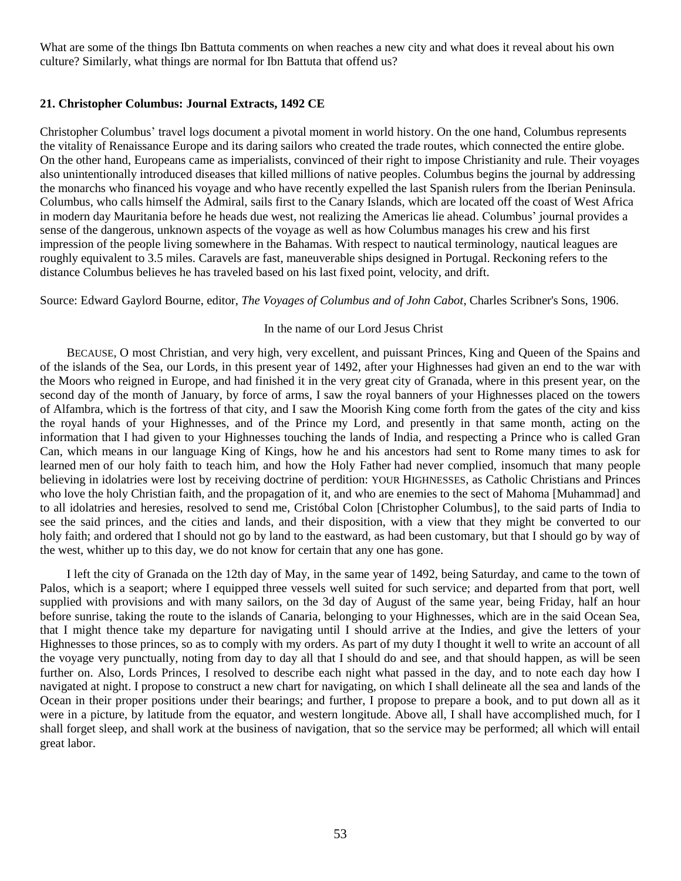What are some of the things Ibn Battuta comments on when reaches a new city and what does it reveal about his own culture? Similarly, what things are normal for Ibn Battuta that offend us?

#### **21. Christopher Columbus: Journal Extracts, 1492 CE**

Christopher Columbus' travel logs document a pivotal moment in world history. On the one hand, Columbus represents the vitality of Renaissance Europe and its daring sailors who created the trade routes, which connected the entire globe. On the other hand, Europeans came as imperialists, convinced of their right to impose Christianity and rule. Their voyages also unintentionally introduced diseases that killed millions of native peoples. Columbus begins the journal by addressing the monarchs who financed his voyage and who have recently expelled the last Spanish rulers from the Iberian Peninsula. Columbus, who calls himself the Admiral, sails first to the Canary Islands, which are located off the coast of West Africa in modern day Mauritania before he heads due west, not realizing the Americas lie ahead. Columbus' journal provides a sense of the dangerous, unknown aspects of the voyage as well as how Columbus manages his crew and his first impression of the people living somewhere in the Bahamas. With respect to nautical terminology, nautical leagues are roughly equivalent to 3.5 miles. Caravels are fast, maneuverable ships designed in Portugal. Reckoning refers to the distance Columbus believes he has traveled based on his last fixed point, velocity, and drift.

Source: Edward Gaylord Bourne, editor, *The Voyages of Columbus and of John Cabot*, Charles Scribner's Sons, 1906.

#### In the name of our Lord Jesus Christ

BECAUSE, O most Christian, and very high, very excellent, and puissant Princes, King and Queen of the Spains and of the islands of the Sea, our Lords, in this present year of 1492, after your Highnesses had given an end to the war with the Moors who reigned in Europe, and had finished it in the very great city of Granada, where in this present year, on the second day of the month of January, by force of arms, I saw the royal banners of your Highnesses placed on the towers of Alfambra, which is the fortress of that city, and I saw the Moorish King come forth from the gates of the city and kiss the royal hands of your Highnesses, and of the Prince my Lord, and presently in that same month, acting on the information that I had given to your Highnesses touching the lands of India, and respecting a Prince who is called Gran Can, which means in our language King of Kings, how he and his ancestors had sent to Rome many times to ask for learned men of our holy faith to teach him, and how the Holy Father had never complied, insomuch that many people believing in idolatries were lost by receiving doctrine of perdition: YOUR HIGHNESSES, as Catholic Christians and Princes who love the holy Christian faith, and the propagation of it, and who are enemies to the sect of Mahoma [Muhammad] and to all idolatries and heresies, resolved to send me, Cristóbal Colon [Christopher Columbus], to the said parts of India to see the said princes, and the cities and lands, and their disposition, with a view that they might be converted to our holy faith; and ordered that I should not go by land to the eastward, as had been customary, but that I should go by way of the west, whither up to this day, we do not know for certain that any one has gone.

I left the city of Granada on the 12th day of May, in the same year of 1492, being Saturday, and came to the town of Palos, which is a seaport; where I equipped three vessels well suited for such service; and departed from that port, well supplied with provisions and with many sailors, on the 3d day of August of the same year, being Friday, half an hour before sunrise, taking the route to the islands of Canaria, belonging to your Highnesses, which are in the said Ocean Sea, that I might thence take my departure for navigating until I should arrive at the Indies, and give the letters of your Highnesses to those princes, so as to comply with my orders. As part of my duty I thought it well to write an account of all the voyage very punctually, noting from day to day all that I should do and see, and that should happen, as will be seen further on. Also, Lords Princes, I resolved to describe each night what passed in the day, and to note each day how I navigated at night. I propose to construct a new chart for navigating, on which I shall delineate all the sea and lands of the Ocean in their proper positions under their bearings; and further, I propose to prepare a book, and to put down all as it were in a picture, by latitude from the equator, and western longitude. Above all, I shall have accomplished much, for I shall forget sleep, and shall work at the business of navigation, that so the service may be performed; all which will entail great labor.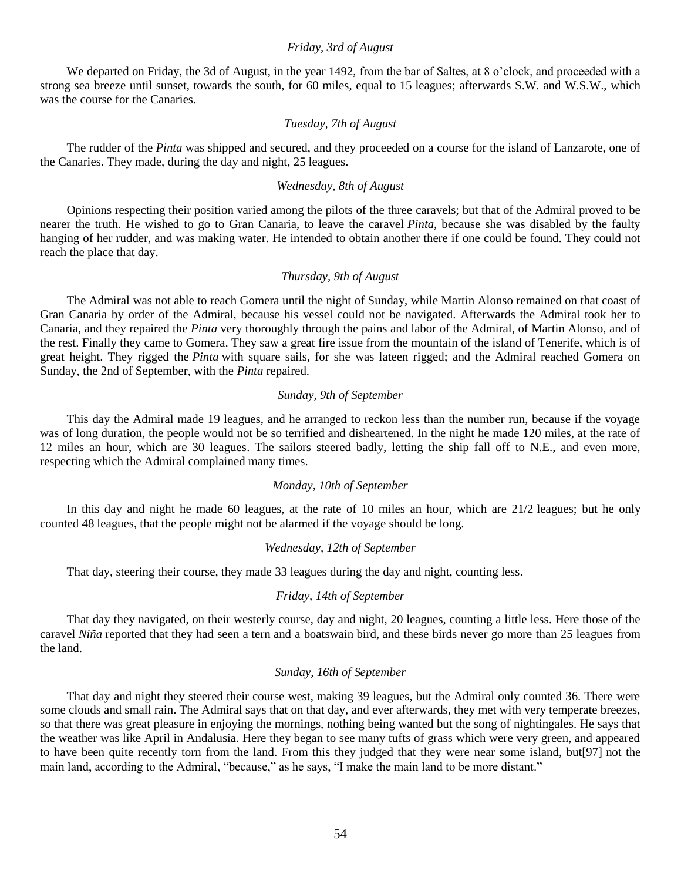#### *Friday, 3rd of August*

We departed on Friday, the 3d of August, in the year 1492, from the bar of Saltes, at 8 o'clock, and proceeded with a strong sea breeze until sunset, towards the south, for 60 miles, equal to 15 leagues; afterwards S.W. and W.S.W., which was the course for the Canaries.

#### *Tuesday, 7th of August*

The rudder of the *Pinta* was shipped and secured, and they proceeded on a course for the island of Lanzarote, one of the Canaries. They made, during the day and night, 25 leagues.

#### *Wednesday, 8th of August*

Opinions respecting their position varied among the pilots of the three caravels; but that of the Admiral proved to be nearer the truth. He wished to go to Gran Canaria, to leave the caravel *Pinta*, because she was disabled by the faulty hanging of her rudder, and was making water. He intended to obtain another there if one could be found. They could not reach the place that day.

#### *Thursday, 9th of August*

The Admiral was not able to reach Gomera until the night of Sunday, while Martin Alonso remained on that coast of Gran Canaria by order of the Admiral, because his vessel could not be navigated. Afterwards the Admiral took her to Canaria, and they repaired the *Pinta* very thoroughly through the pains and labor of the Admiral, of Martin Alonso, and of the rest. Finally they came to Gomera. They saw a great fire issue from the mountain of the island of Tenerife, which is of great height. They rigged the *Pinta* with square sails, for she was lateen rigged; and the Admiral reached Gomera on Sunday, the 2nd of September, with the *Pinta* repaired.

#### *Sunday, 9th of September*

This day the Admiral made 19 leagues, and he arranged to reckon less than the number run, because if the voyage was of long duration, the people would not be so terrified and disheartened. In the night he made 120 miles, at the rate of 12 miles an hour, which are 30 leagues. The sailors steered badly, letting the ship fall off to N.E., and even more, respecting which the Admiral complained many times.

#### *Monday, 10th of September*

In this day and night he made 60 leagues, at the rate of 10 miles an hour, which are 21/2 leagues; but he only counted 48 leagues, that the people might not be alarmed if the voyage should be long.

#### *Wednesday, 12th of September*

That day, steering their course, they made 33 leagues during the day and night, counting less.

#### *Friday, 14th of September*

That day they navigated, on their westerly course, day and night, 20 leagues, counting a little less. Here those of the caravel *Niña* reported that they had seen a tern and a boatswain bird, and these birds never go more than 25 leagues from the land.

#### *Sunday, 16th of September*

That day and night they steered their course west, making 39 leagues, but the Admiral only counted 36. There were some clouds and small rain. The Admiral says that on that day, and ever afterwards, they met with very temperate breezes, so that there was great pleasure in enjoying the mornings, nothing being wanted but the song of nightingales. He says that the weather was like April in Andalusia. Here they began to see many tufts of grass which were very green, and appeared to have been quite recently torn from the land. From this they judged that they were near some island, but[97] not the main land, according to the Admiral, "because," as he says, "I make the main land to be more distant."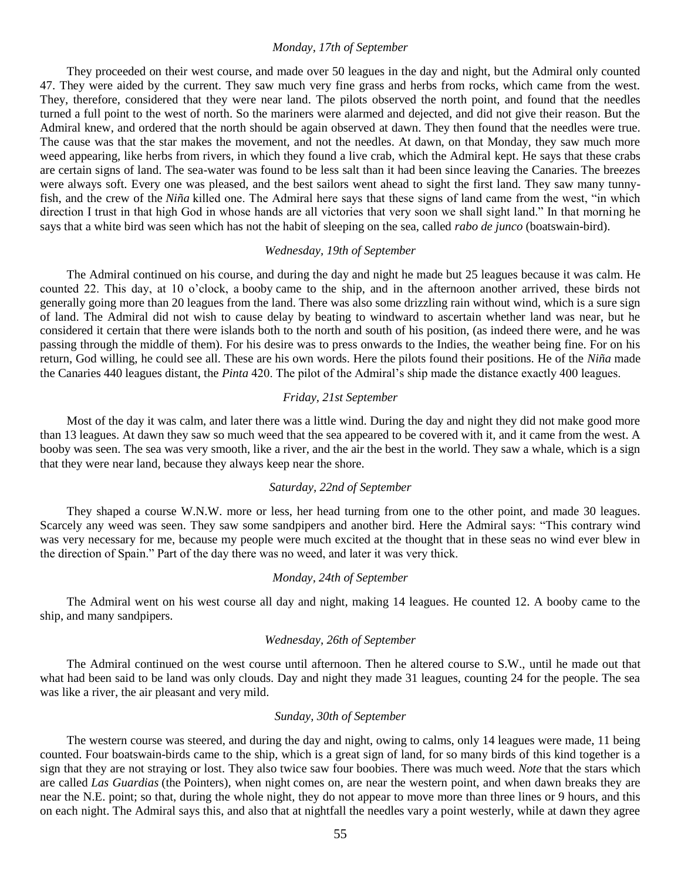#### *Monday, 17th of September*

They proceeded on their west course, and made over 50 leagues in the day and night, but the Admiral only counted 47. They were aided by the current. They saw much very fine grass and herbs from rocks, which came from the west. They, therefore, considered that they were near land. The pilots observed the north point, and found that the needles turned a full point to the west of north. So the mariners were alarmed and dejected, and did not give their reason. But the Admiral knew, and ordered that the north should be again observed at dawn. They then found that the needles were true. The cause was that the star makes the movement, and not the needles. At dawn, on that Monday, they saw much more weed appearing, like herbs from rivers, in which they found a live crab, which the Admiral kept. He says that these crabs are certain signs of land. The sea-water was found to be less salt than it had been since leaving the Canaries. The breezes were always soft. Every one was pleased, and the best sailors went ahead to sight the first land. They saw many tunnyfish, and the crew of the *Niña* killed one. The Admiral here says that these signs of land came from the west, "in which direction I trust in that high God in whose hands are all victories that very soon we shall sight land." In that morning he says that a white bird was seen which has not the habit of sleeping on the sea, called *rabo de junco* (boatswain-bird).

#### *Wednesday, 19th of September*

The Admiral continued on his course, and during the day and night he made but 25 leagues because it was calm. He counted 22. This day, at 10 o'clock, a booby came to the ship, and in the afternoon another arrived, these birds not generally going more than 20 leagues from the land. There was also some drizzling rain without wind, which is a sure sign of land. The Admiral did not wish to cause delay by beating to windward to ascertain whether land was near, but he considered it certain that there were islands both to the north and south of his position, (as indeed there were, and he was passing through the middle of them). For his desire was to press onwards to the Indies, the weather being fine. For on his return, God willing, he could see all. These are his own words. Here the pilots found their positions. He of the *Niña* made the Canaries 440 leagues distant, the *Pinta* 420. The pilot of the Admiral's ship made the distance exactly 400 leagues.

#### *Friday, 21st September*

Most of the day it was calm, and later there was a little wind. During the day and night they did not make good more than 13 leagues. At dawn they saw so much weed that the sea appeared to be covered with it, and it came from the west. A booby was seen. The sea was very smooth, like a river, and the air the best in the world. They saw a whale, which is a sign that they were near land, because they always keep near the shore.

#### *Saturday, 22nd of September*

They shaped a course W.N.W. more or less, her head turning from one to the other point, and made 30 leagues. Scarcely any weed was seen. They saw some sandpipers and another bird. Here the Admiral says: "This contrary wind was very necessary for me, because my people were much excited at the thought that in these seas no wind ever blew in the direction of Spain." Part of the day there was no weed, and later it was very thick.

#### *Monday, 24th of September*

The Admiral went on his west course all day and night, making 14 leagues. He counted 12. A booby came to the ship, and many sandpipers.

#### *Wednesday, 26th of September*

The Admiral continued on the west course until afternoon. Then he altered course to S.W., until he made out that what had been said to be land was only clouds. Day and night they made 31 leagues, counting 24 for the people. The sea was like a river, the air pleasant and very mild.

#### *Sunday, 30th of September*

The western course was steered, and during the day and night, owing to calms, only 14 leagues were made, 11 being counted. Four boatswain-birds came to the ship, which is a great sign of land, for so many birds of this kind together is a sign that they are not straying or lost. They also twice saw four boobies. There was much weed. *Note* that the stars which are called *Las Guardias* (the Pointers), when night comes on, are near the western point, and when dawn breaks they are near the N.E. point; so that, during the whole night, they do not appear to move more than three lines or 9 hours, and this on each night. The Admiral says this, and also that at nightfall the needles vary a point westerly, while at dawn they agree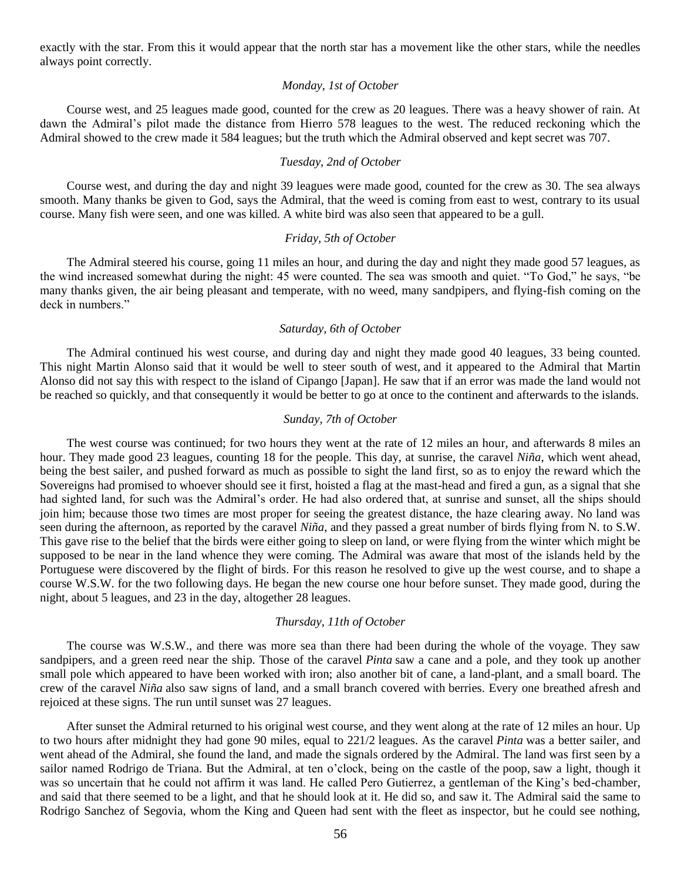exactly with the star. From this it would appear that the north star has a movement like the other stars, while the needles always point correctly.

#### *Monday, 1st of October*

Course west, and 25 leagues made good, counted for the crew as 20 leagues. There was a heavy shower of rain. At dawn the Admiral's pilot made the distance from Hierro 578 leagues to the west. The reduced reckoning which the Admiral showed to the crew made it 584 leagues; but the truth which the Admiral observed and kept secret was 707.

#### *Tuesday, 2nd of October*

Course west, and during the day and night 39 leagues were made good, counted for the crew as 30. The sea always smooth. Many thanks be given to God, says the Admiral, that the weed is coming from east to west, contrary to its usual course. Many fish were seen, and one was killed. A white bird was also seen that appeared to be a gull.

### *Friday, 5th of October*

The Admiral steered his course, going 11 miles an hour, and during the day and night they made good 57 leagues, as the wind increased somewhat during the night: 45 were counted. The sea was smooth and quiet. "To God," he says, "be many thanks given, the air being pleasant and temperate, with no weed, many sandpipers, and flying-fish coming on the deck in numbers."

#### *Saturday, 6th of October*

The Admiral continued his west course, and during day and night they made good 40 leagues, 33 being counted. This night Martin Alonso said that it would be well to steer south of west, and it appeared to the Admiral that Martin Alonso did not say this with respect to the island of Cipango [Japan]. He saw that if an error was made the land would not be reached so quickly, and that consequently it would be better to go at once to the continent and afterwards to the islands.

#### *Sunday, 7th of October*

The west course was continued; for two hours they went at the rate of 12 miles an hour, and afterwards 8 miles an hour. They made good 23 leagues, counting 18 for the people. This day, at sunrise, the caravel *Niña*, which went ahead, being the best sailer, and pushed forward as much as possible to sight the land first, so as to enjoy the reward which the Sovereigns had promised to whoever should see it first, hoisted a flag at the mast-head and fired a gun, as a signal that she had sighted land, for such was the Admiral's order. He had also ordered that, at sunrise and sunset, all the ships should join him; because those two times are most proper for seeing the greatest distance, the haze clearing away. No land was seen during the afternoon, as reported by the caravel *Niña*, and they passed a great number of birds flying from N. to S.W. This gave rise to the belief that the birds were either going to sleep on land, or were flying from the winter which might be supposed to be near in the land whence they were coming. The Admiral was aware that most of the islands held by the Portuguese were discovered by the flight of birds. For this reason he resolved to give up the west course, and to shape a course W.S.W. for the two following days. He began the new course one hour before sunset. They made good, during the night, about 5 leagues, and 23 in the day, altogether 28 leagues.

#### *Thursday, 11th of October*

The course was W.S.W., and there was more sea than there had been during the whole of the voyage. They saw sandpipers, and a green reed near the ship. Those of the caravel *Pinta* saw a cane and a pole, and they took up another small pole which appeared to have been worked with iron; also another bit of cane, a land-plant, and a small board. The crew of the caravel *Niña* also saw signs of land, and a small branch covered with berries. Every one breathed afresh and rejoiced at these signs. The run until sunset was 27 leagues.

After sunset the Admiral returned to his original west course, and they went along at the rate of 12 miles an hour. Up to two hours after midnight they had gone 90 miles, equal to 221/2 leagues. As the caravel *Pinta* was a better sailer, and went ahead of the Admiral, she found the land, and made the signals ordered by the Admiral. The land was first seen by a sailor named Rodrigo de Triana. But the Admiral, at ten o'clock, being on the castle of the poop, saw a light, though it was so uncertain that he could not affirm it was land. He called Pero Gutierrez, a gentleman of the King's bed-chamber, and said that there seemed to be a light, and that he should look at it. He did so, and saw it. The Admiral said the same to Rodrigo Sanchez of Segovia, whom the King and Queen had sent with the fleet as inspector, but he could see nothing,